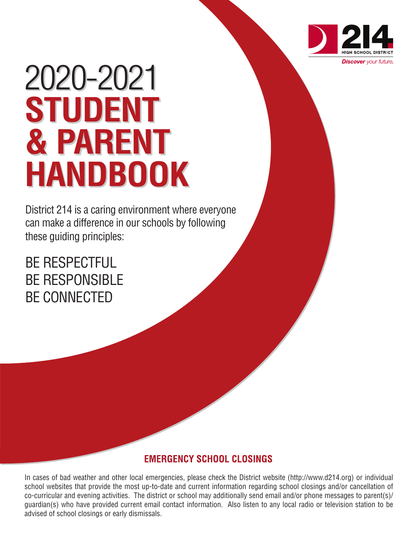

# 2020-2021 **STUDENT & PARENT HANDBOOK**

District 214 is a caring environment where everyone can make a difference in our schools by following these guiding principles:

BE RESPECTFUL BE RESPONSIBLE BE CONNECTED

# **EMERGENCY SCHOOL CLOSINGS**

In cases of bad weather and other local emergencies, please check the District website (http://www.d214.org) or individual school websites that provide the most up-to-date and current information regarding school closings and/or cancellation of co-curricular and evening activities. The district or school may additionally send email and/or phone messages to parent(s)/ guardian(s) who have provided current email contact information. Also listen to any local radio or television station to be advised of school closings or early dismissals.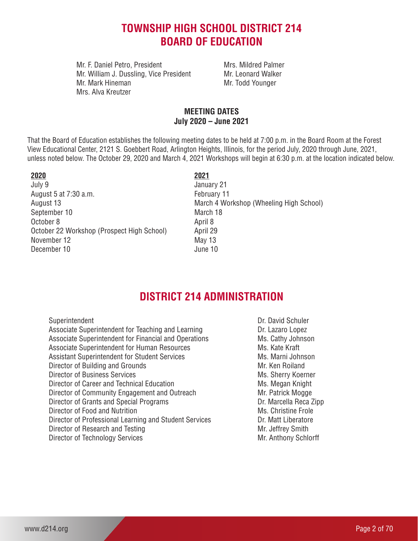# **TOWNSHIP HIGH SCHOOL DISTRICT 214 BOARD OF EDUCATION**

Mr. F. Daniel Petro, President Mrs. Mildred Palmer Mr. William J. Dussling, Vice President Mr. Leonard Walker Mr. Mark Hineman Mr. Todd Younger Mrs. Alva Kreutzer

# **MEETING DATES July 2020 – June 2021**

That the Board of Education establishes the following meeting dates to be held at 7:00 p.m. in the Board Room at the Forest View Educational Center, 2121 S. Goebbert Road, Arlington Heights, Illinois, for the period July, 2020 through June, 2021, unless noted below. The October 29, 2020 and March 4, 2021 Workshops will begin at 6:30 p.m. at the location indicated below.

| 2020                                       | 2021     |
|--------------------------------------------|----------|
| July 9                                     | January  |
| August 5 at 7:30 a.m.                      | Februar  |
| August 13                                  | March 4  |
| September 10                               | March 1  |
| October 8                                  | April 8  |
| October 22 Workshop (Prospect High School) | April 29 |
| November 12                                | May 13   |
| December 10                                | June 10  |
|                                            |          |

January 21 February 11 March 4 Workshop (Wheeling High School) March 18 April 29 May 13

# **DISTRICT 214 ADMINISTRATION**

| Superintendent                                         | Dr. David Schuler      |
|--------------------------------------------------------|------------------------|
| Associate Superintendent for Teaching and Learning     | Dr. Lazaro Lopez       |
| Associate Superintendent for Financial and Operations  | Ms. Cathy Johnson      |
| Associate Superintendent for Human Resources           | Ms. Kate Kraft         |
| <b>Assistant Superintendent for Student Services</b>   | Ms. Marni Johnson      |
| Director of Building and Grounds                       | Mr. Ken Roiland        |
| <b>Director of Business Services</b>                   | Ms. Sherry Koerner     |
| Director of Career and Technical Education             | Ms. Megan Knight       |
| Director of Community Engagement and Outreach          | Mr. Patrick Mogge      |
| Director of Grants and Special Programs                | Dr. Marcella Reca Zipp |
| Director of Food and Nutrition                         | Ms. Christine Frole    |
| Director of Professional Learning and Student Services | Dr. Matt Liberatore    |
| Director of Research and Testing                       | Mr. Jeffrey Smith      |
| Director of Technology Services                        | Mr. Anthony Schlorff   |
|                                                        |                        |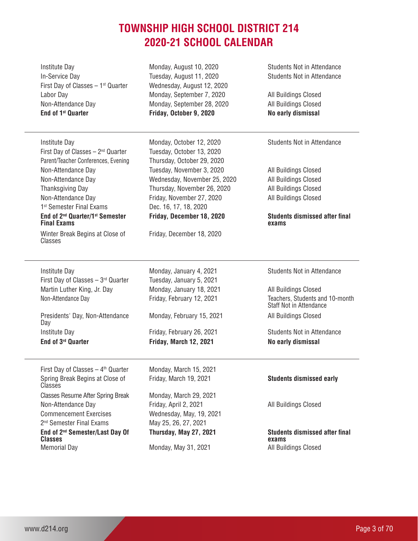# **TOWNSHIP HIGH SCHOOL DISTRICT 214 2020-21 SCHOOL CALENDAR**

| Institute Day<br>In-Service Day<br>First Day of Classes - 1 <sup>st</sup> Quarter<br>Labor Day<br>Non-Attendance Day<br>End of 1 <sup>st</sup> Quarter | Monday, August 10, 2020<br>Tuesday, August 11, 2020<br>Wednesday, August 12, 2020<br>Monday, September 7, 2020<br>Monday, September 28, 2020<br>Friday, October 9, 2020 | <b>Students Not in Attendance</b><br><b>Students Not in Attendance</b><br>All Buildings Closed<br>All Buildings Closed<br>No early dismissal |
|--------------------------------------------------------------------------------------------------------------------------------------------------------|-------------------------------------------------------------------------------------------------------------------------------------------------------------------------|----------------------------------------------------------------------------------------------------------------------------------------------|
| <b>Institute Day</b><br>First Day of Classes - 2 <sup>nd</sup> Quarter<br>Parent/Teacher Conferences, Evening                                          | Monday, October 12, 2020<br>Tuesday, October 13, 2020<br>Thursday, October 29, 2020                                                                                     | Students Not in Attendance                                                                                                                   |
| Non-Attendance Day                                                                                                                                     | Tuesday, November 3, 2020                                                                                                                                               | All Buildings Closed                                                                                                                         |
| Non-Attendance Day                                                                                                                                     | Wednesday, November 25, 2020                                                                                                                                            | All Buildings Closed                                                                                                                         |
| Thanksgiving Day                                                                                                                                       | Thursday, November 26, 2020                                                                                                                                             | All Buildings Closed                                                                                                                         |
| Non-Attendance Day                                                                                                                                     | Friday, November 27, 2020                                                                                                                                               | All Buildings Closed                                                                                                                         |
| 1 <sup>st</sup> Semester Final Exams                                                                                                                   | Dec. 16, 17, 18, 2020                                                                                                                                                   |                                                                                                                                              |
| End of 2 <sup>nd</sup> Quarter/1 <sup>st</sup> Semester<br><b>Final Exams</b>                                                                          | Friday, December 18, 2020                                                                                                                                               | <b>Students dismissed after final</b><br>exams                                                                                               |
| Winter Break Begins at Close of<br>Classes                                                                                                             | Friday, December 18, 2020                                                                                                                                               |                                                                                                                                              |
| Institute Day                                                                                                                                          | Monday, January 4, 2021                                                                                                                                                 | <b>Students Not in Attendance</b>                                                                                                            |
| First Day of Classes $-3^{rd}$ Quarter                                                                                                                 | Tuesday, January 5, 2021                                                                                                                                                |                                                                                                                                              |
| Martin Luther King, Jr. Day<br>Non-Attendance Day                                                                                                      | Monday, January 18, 2021<br>Friday, February 12, 2021                                                                                                                   | All Buildings Closed<br>Teachers, Students and 10-month<br>Staff Not in Attendance                                                           |
| Presidents' Day, Non-Attendance<br>Day                                                                                                                 | Monday, February 15, 2021                                                                                                                                               | All Buildings Closed                                                                                                                         |
| Institute Day                                                                                                                                          | Friday, February 26, 2021                                                                                                                                               | <b>Students Not in Attendance</b>                                                                                                            |
| End of 3rd Quarter                                                                                                                                     | Friday, March 12, 2021                                                                                                                                                  | No early dismissal                                                                                                                           |
| First Day of Classes $-4$ <sup>th</sup> Quarter                                                                                                        | Monday, March 15, 2021                                                                                                                                                  |                                                                                                                                              |
| Spring Break Begins at Close of<br>Classes                                                                                                             | Friday, March 19, 2021                                                                                                                                                  | <b>Students dismissed early</b>                                                                                                              |
| <b>Classes Resume After Spring Break</b><br>Non-Attendance Day                                                                                         | Monday, March 29, 2021<br>Friday, April 2, 2021                                                                                                                         | All Buildings Closed                                                                                                                         |
| <b>Commencement Exercises</b>                                                                                                                          | Wednesday, May, 19, 2021                                                                                                                                                |                                                                                                                                              |
| 2 <sup>nd</sup> Semester Final Exams                                                                                                                   | May 25, 26, 27, 2021                                                                                                                                                    |                                                                                                                                              |
| End of 2 <sup>nd</sup> Semester/Last Day Of<br><b>Classes</b>                                                                                          | Thursday, May 27, 2021                                                                                                                                                  | <b>Students dismissed after final</b><br>exams                                                                                               |
| <b>Memorial Day</b>                                                                                                                                    | Monday, May 31, 2021                                                                                                                                                    | All Buildings Closed                                                                                                                         |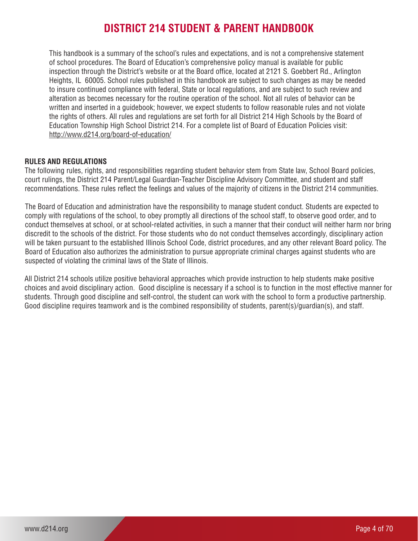# **DISTRICT 214 STUDENT & PARENT HANDBOOK**

This handbook is a summary of the school's rules and expectations, and is not a comprehensive statement of school procedures. The Board of Education's comprehensive policy manual is available for public inspection through the District's website or at the Board office, located at 2121 S. Goebbert Rd., Arlington Heights, IL 60005. School rules published in this handbook are subject to such changes as may be needed to insure continued compliance with federal, State or local regulations, and are subject to such review and alteration as becomes necessary for the routine operation of the school. Not all rules of behavior can be written and inserted in a guidebook; however, we expect students to follow reasonable rules and not violate the rights of others. All rules and regulations are set forth for all District 214 High Schools by the Board of Education Township High School District 214. For a complete list of Board of Education Policies visit: http://www.d214.org/board-of-education/

# **RULES AND REGULATIONS**

The following rules, rights, and responsibilities regarding student behavior stem from State law, School Board policies, court rulings, the District 214 Parent/Legal Guardian-Teacher Discipline Advisory Committee, and student and staff recommendations. These rules reflect the feelings and values of the majority of citizens in the District 214 communities.

The Board of Education and administration have the responsibility to manage student conduct. Students are expected to comply with regulations of the school, to obey promptly all directions of the school staff, to observe good order, and to conduct themselves at school, or at school-related activities, in such a manner that their conduct will neither harm nor bring discredit to the schools of the district. For those students who do not conduct themselves accordingly, disciplinary action will be taken pursuant to the established Illinois School Code, district procedures, and any other relevant Board policy. The Board of Education also authorizes the administration to pursue appropriate criminal charges against students who are suspected of violating the criminal laws of the State of Illinois.

All District 214 schools utilize positive behavioral approaches which provide instruction to help students make positive choices and avoid disciplinary action. Good discipline is necessary if a school is to function in the most effective manner for students. Through good discipline and self-control, the student can work with the school to form a productive partnership. Good discipline requires teamwork and is the combined responsibility of students, parent(s)/guardian(s), and staff.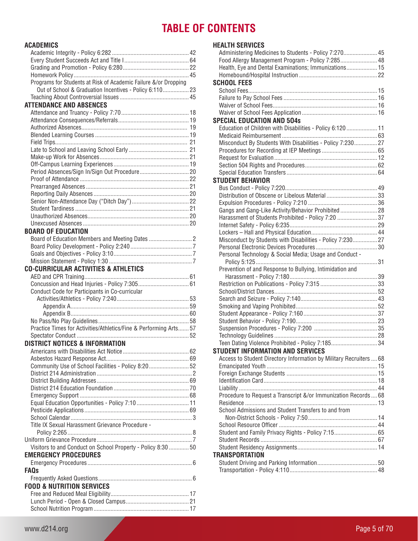# **TABLE OF CONTENTS**

# **ACADEMICS**

| <b>AUADEMIUJ</b>                                                  |    |
|-------------------------------------------------------------------|----|
|                                                                   |    |
|                                                                   |    |
|                                                                   |    |
|                                                                   |    |
| Programs for Students at Risk of Academic Failure &/or Dropping   |    |
| Out of School & Graduation Incentives - Policy 6:110 23           |    |
|                                                                   |    |
| <b>ATTENDANCE AND ABSENCES</b>                                    |    |
|                                                                   |    |
|                                                                   |    |
|                                                                   |    |
|                                                                   |    |
|                                                                   |    |
|                                                                   |    |
|                                                                   |    |
|                                                                   |    |
|                                                                   |    |
|                                                                   |    |
|                                                                   |    |
|                                                                   |    |
|                                                                   |    |
|                                                                   |    |
|                                                                   |    |
|                                                                   |    |
| <b>BOARD OF EDUCATION</b>                                         |    |
|                                                                   |    |
|                                                                   |    |
|                                                                   |    |
|                                                                   |    |
| <b>CO-CURRICULAR ACTIVITIES &amp; ATHLETICS</b>                   |    |
|                                                                   |    |
|                                                                   |    |
| Conduct Code for Participants in Co-curricular                    |    |
|                                                                   |    |
|                                                                   |    |
|                                                                   |    |
|                                                                   |    |
| Practice Times for Activities/Athletics/Fine & Performing Arts 57 |    |
|                                                                   |    |
| <b>DISTRICT NOTICES &amp; INFORMATION</b>                         |    |
| Americans with Disabilities Act Notice                            | 62 |
|                                                                   |    |
| Community Use of School Facilities - Policy 8:2052                |    |
|                                                                   |    |
|                                                                   |    |
|                                                                   |    |
|                                                                   |    |
| Equal Education Opportunities - Policy 7:10  11                   |    |
|                                                                   |    |
|                                                                   |    |
| Title IX Sexual Harassment Grievance Procedure -                  |    |
|                                                                   |    |
|                                                                   |    |
| Visitors to and Conduct on School Property - Policy 8:30  50      |    |
| <b>EMERGENCY PROCEDURES</b>                                       |    |
|                                                                   |    |
| <b>FAOs</b>                                                       |    |
|                                                                   |    |
| <b>FOOD &amp; NUTRITION SERVICES</b>                              |    |
|                                                                   |    |
|                                                                   |    |
|                                                                   |    |

# **HEALTH SERVICES**

| Administering Medicines to Students - Policy 7:270 45              |  |
|--------------------------------------------------------------------|--|
| Food Allergy Management Program - Policy 7:285 48                  |  |
| Health, Eye and Dental Examinations; Immunizations 15              |  |
|                                                                    |  |
| <b>SCHOOL FEES</b>                                                 |  |
|                                                                    |  |
|                                                                    |  |
|                                                                    |  |
|                                                                    |  |
| <b>SPECIAL EDUCATION AND 504s</b>                                  |  |
| Education of Children with Disabilities - Policy 6:120  11         |  |
|                                                                    |  |
| Misconduct By Students With Disabilities - Policy 7:230 27         |  |
|                                                                    |  |
|                                                                    |  |
|                                                                    |  |
|                                                                    |  |
| <b>STUDENT BEHAVIOR</b>                                            |  |
|                                                                    |  |
| Distribution of Obscene or Libelous Material33                     |  |
|                                                                    |  |
| Gangs and Gang-Like Activity/Behavior Prohibited 28                |  |
| Harassment of Students Prohibited - Policy 7:20  37                |  |
|                                                                    |  |
|                                                                    |  |
| Misconduct by Students with Disabilities - Policy 7:230 27         |  |
|                                                                    |  |
| Personal Technology & Social Media; Usage and Conduct -            |  |
| Prevention of and Response to Bullying, Intimidation and           |  |
|                                                                    |  |
|                                                                    |  |
|                                                                    |  |
|                                                                    |  |
|                                                                    |  |
|                                                                    |  |
|                                                                    |  |
|                                                                    |  |
|                                                                    |  |
| Teen Dating Violence Prohibited - Policy 7:18534                   |  |
| <b>STUDENT INFORMATION AND SERVICES</b>                            |  |
| Access to Student Directory Information by Military Recruiters  68 |  |
|                                                                    |  |
|                                                                    |  |
|                                                                    |  |
|                                                                    |  |
| Procedure to Request a Transcript &/or Immunization Records 68     |  |
|                                                                    |  |
| School Admissions and Student Transfers to and from                |  |
|                                                                    |  |
|                                                                    |  |
| Student and Family Privacy Rights - Policy 7:15 65                 |  |
|                                                                    |  |
|                                                                    |  |
| <b>TRANSPORTATION</b>                                              |  |
|                                                                    |  |
|                                                                    |  |
|                                                                    |  |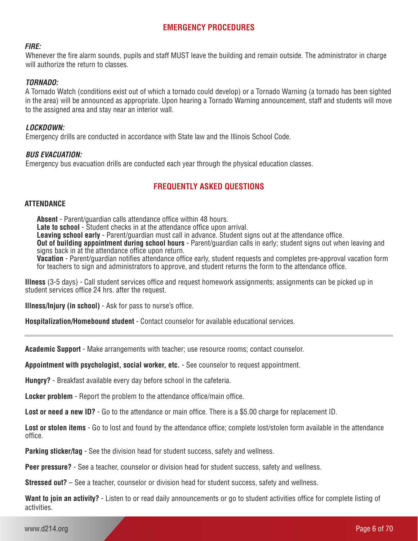# **EMERGENCY PROCEDURES**

#### *FIRE:*

Whenever the fire alarm sounds, pupils and staff MUST leave the building and remain outside. The administrator in charge will authorize the return to classes.

#### *TORNADO:*

A Tornado Watch (conditions exist out of which a tornado could develop) or a Tornado Warning (a tornado has been sighted in the area) will be announced as appropriate. Upon hearing a Tornado Warning announcement, staff and students will move to the assigned area and stay near an interior wall.

#### *LOCKDOWN:*

Emergency drills are conducted in accordance with State law and the Illinois School Code.

#### *BUS EVACUATION:*

Emergency bus evacuation drills are conducted each year through the physical education classes.

# **FREQUENTLY ASKED QUESTIONS**

#### **ATTENDANCE**

**Absent** - Parent/guardian calls attendance office within 48 hours. **Late to school** - Student checks in at the attendance office upon arrival. **Leaving school early** - Parent/guardian must call in advance. Student signs out at the attendance office. **Out of building appointment during school hours** - Parent/guardian calls in early; student signs out when leaving and signs back in at the attendance office upon return. **Vacation** - Parent/guardian notifies attendance office early, student requests and completes pre-approval vacation form

for teachers to sign and administrators to approve, and student returns the form to the attendance office.

**Illness** (3-5 days) - Call student services office and request homework assignments; assignments can be picked up in student services office 24 hrs. after the request.

**Illness/Injury (in school)** - Ask for pass to nurse's office.

**Hospitalization/Homebound student** - Contact counselor for available educational services.

**Academic Support** - Make arrangements with teacher; use resource rooms; contact counselor.

**Appointment with psychologist, social worker, etc.** - See counselor to request appointment.

**Hungry?** - Breakfast available every day before school in the cafeteria.

**Locker problem** - Report the problem to the attendance office/main office.

**Lost or need a new ID?** - Go to the attendance or main office. There is a \$5.00 charge for replacement ID.

**Lost or stolen items** - Go to lost and found by the attendance office; complete lost/stolen form available in the attendance office.

**Parking sticker/tag** - See the division head for student success, safety and wellness.

**Peer pressure?** - See a teacher, counselor or division head for student success, safety and wellness.

**Stressed out?** – See a teacher, counselor or division head for student success, safety and wellness.

**Want to join an activity?** - Listen to or read daily announcements or go to student activities office for complete listing of activities.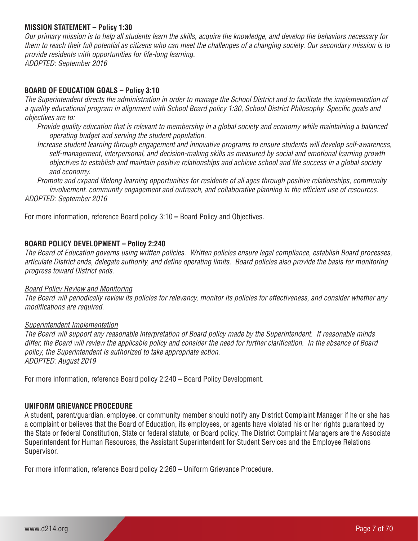#### **MISSION STATEMENT – Policy 1:30**

*Our primary mission is to help all students learn the skills, acquire the knowledge, and develop the behaviors necessary for them to reach their full potential as citizens who can meet the challenges of a changing society. Our secondary mission is to provide residents with opportunities for life-long learning. ADOPTED: September 2016*

#### **BOARD OF EDUCATION GOALS – Policy 3:10**

*The Superintendent directs the administration in order to manage the School District and to facilitate the implementation of a quality educational program in alignment with School Board policy 1:30, School District Philosophy. Specific goals and objectives are to:*

*Provide quality education that is relevant to membership in a global society and economy while maintaining a balanced operating budget and serving the student population.*

*Increase student learning through engagement and innovative programs to ensure students will develop self-awareness, self-management, interpersonal, and decision-making skills as measured by social and emotional learning growth objectives to establish and maintain positive relationships and achieve school and life success in a global society and economy.*

*Promote and expand lifelong learning opportunities for residents of all ages through positive relationships, community involvement, community engagement and outreach, and collaborative planning in the efficient use of resources. ADOPTED: September 2016*

For more information, reference Board policy 3:10 **–** Board Policy and Objectives.

#### **BOARD POLICY DEVELOPMENT – Policy 2:240**

*The Board of Education governs using written policies. Written policies ensure legal compliance, establish Board processes, articulate District ends, delegate authority, and define operating limits. Board policies also provide the basis for monitoring progress toward District ends.* 

#### *Board Policy Review and Monitoring*

*The Board will periodically review its policies for relevancy, monitor its policies for effectiveness, and consider whether any modifications are required.*

#### *Superintendent Implementation*

*The Board will support any reasonable interpretation of Board policy made by the Superintendent. If reasonable minds differ, the Board will review the applicable policy and consider the need for further clarification. In the absence of Board policy, the Superintendent is authorized to take appropriate action. ADOPTED: August 2019*

For more information, reference Board policy 2:240 **–** Board Policy Development.

#### **UNIFORM GRIEVANCE PROCEDURE**

A student, parent/guardian, employee, or community member should notify any District Complaint Manager if he or she has a complaint or believes that the Board of Education, its employees, or agents have violated his or her rights guaranteed by the State or federal Constitution, State or federal statute, or Board policy. The District Complaint Managers are the Associate Superintendent for Human Resources, the Assistant Superintendent for Student Services and the Employee Relations Supervisor.

For more information, reference Board policy 2:260 – Uniform Grievance Procedure.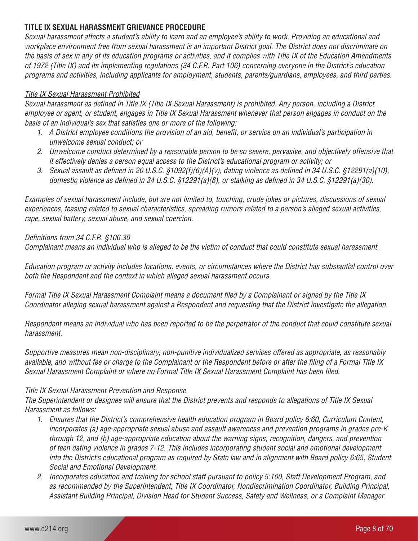# **TITLE IX SEXUAL HARASSMENT GRIEVANCE PROCEDURE**

*Sexual harassment affects a student's ability to learn and an employee's ability to work. Providing an educational and workplace environment free from sexual harassment is an important District goal. The District does not discriminate on the basis of sex in any of its education programs or activities, and it complies with Title IX of the Education Amendments of 1972 (Title IX) and its implementing regulations (34 C.F.R. Part 106) concerning everyone in the District's education programs and activities, including applicants for employment, students, parents/guardians, employees, and third parties.* 

# *Title IX Sexual Harassment Prohibited*

*Sexual harassment as defined in Title IX (Title IX Sexual Harassment) is prohibited. Any person, including a District employee or agent, or student, engages in Title IX Sexual Harassment whenever that person engages in conduct on the basis of an individual's sex that satisfies one or more of the following:* 

- *1. A District employee conditions the provision of an aid, benefit, or service on an individual's participation in unwelcome sexual conduct; or*
- *2. Unwelcome conduct determined by a reasonable person to be so severe, pervasive, and objectively offensive that it effectively denies a person equal access to the District's educational program or activity; or*
- *3. Sexual assault as defined in 20 U.S.C. §1092(f)(6)(A)(v), dating violence as defined in 34 U.S.C. §12291(a)(10), domestic violence as defined in 34 U.S.C. §12291(a)(8), or stalking as defined in 34 U.S.C. §12291(a)(30).*

*Examples of sexual harassment include, but are not limited to, touching, crude jokes or pictures, discussions of sexual experiences, teasing related to sexual characteristics, spreading rumors related to a person's alleged sexual activities, rape, sexual battery, sexual abuse, and sexual coercion.*

# *Definitions from 34 C.F.R. §106.30*

*Complainant means an individual who is alleged to be the victim of conduct that could constitute sexual harassment.*

*Education program or activity includes locations, events, or circumstances where the District has substantial control over both the Respondent and the context in which alleged sexual harassment occurs.*

*Formal Title IX Sexual Harassment Complaint means a document filed by a Complainant or signed by the Title IX Coordinator alleging sexual harassment against a Respondent and requesting that the District investigate the allegation.*

*Respondent means an individual who has been reported to be the perpetrator of the conduct that could constitute sexual harassment.*

*Supportive measures mean non-disciplinary, non-punitive individualized services offered as appropriate, as reasonably available, and without fee or charge to the Complainant or the Respondent before or after the filing of a Formal Title IX Sexual Harassment Complaint or where no Formal Title IX Sexual Harassment Complaint has been filed.* 

# *Title IX Sexual Harassment Prevention and Response*

*The Superintendent or designee will ensure that the District prevents and responds to allegations of Title IX Sexual Harassment as follows:*

- *1. Ensures that the District's comprehensive health education program in Board policy 6:60, Curriculum Content, incorporates (a) age-appropriate sexual abuse and assault awareness and prevention programs in grades pre-K through 12, and (b) age-appropriate education about the warning signs, recognition, dangers, and prevention of teen dating violence in grades 7-12. This includes incorporating student social and emotional development into the District's educational program as required by State law and in alignment with Board policy 6:65, Student Social and Emotional Development.*
- *2. Incorporates education and training for school staff pursuant to policy 5:100, Staff Development Program, and as recommended by the Superintendent, Title IX Coordinator, Nondiscrimination Coordinator, Building Principal, Assistant Building Principal, Division Head for Student Success, Safety and Wellness, or a Complaint Manager.*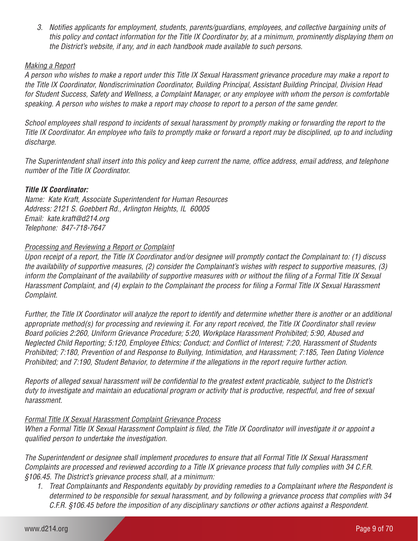*3. Notifies applicants for employment, students, parents/guardians, employees, and collective bargaining units of this policy and contact information for the Title IX Coordinator by, at a minimum, prominently displaying them on the District's website, if any, and in each handbook made available to such persons.* 

# *Making a Report*

*A person who wishes to make a report under this Title IX Sexual Harassment grievance procedure may make a report to the Title IX Coordinator, Nondiscrimination Coordinator, Building Principal, Assistant Building Principal, Division Head for Student Success, Safety and Wellness, a Complaint Manager, or any employee with whom the person is comfortable speaking. A person who wishes to make a report may choose to report to a person of the same gender.*

*School employees shall respond to incidents of sexual harassment by promptly making or forwarding the report to the Title IX Coordinator. An employee who fails to promptly make or forward a report may be disciplined, up to and including discharge.*

*The Superintendent shall insert into this policy and keep current the name, office address, email address, and telephone number of the Title IX Coordinator.* 

# *Title IX Coordinator:*

*Name: Kate Kraft, Associate Superintendent for Human Resources Address: 2121 S. Goebbert Rd., Arlington Heights, IL 60005 Email: kate.kraft@d214.org Telephone: 847-718-7647*

# *Processing and Reviewing a Report or Complaint*

*Upon receipt of a report, the Title IX Coordinator and/or designee will promptly contact the Complainant to: (1) discuss the availability of supportive measures, (2) consider the Complainant's wishes with respect to supportive measures, (3) inform the Complainant of the availability of supportive measures with or without the filing of a Formal Title IX Sexual Harassment Complaint, and (4) explain to the Complainant the process for filing a Formal Title IX Sexual Harassment Complaint.* 

*Further, the Title IX Coordinator will analyze the report to identify and determine whether there is another or an additional appropriate method(s) for processing and reviewing it. For any report received, the Title IX Coordinator shall review Board policies 2:260, Uniform Grievance Procedure; 5:20, Workplace Harassment Prohibited; 5:90, Abused and Neglected Child Reporting; 5:120, Employee Ethics; Conduct; and Conflict of Interest; 7:20, Harassment of Students Prohibited; 7:180, Prevention of and Response to Bullying, Intimidation, and Harassment; 7:185, Teen Dating Violence Prohibited; and 7:190, Student Behavior, to determine if the allegations in the report require further action.*

*Reports of alleged sexual harassment will be confidential to the greatest extent practicable, subject to the District's duty to investigate and maintain an educational program or activity that is productive, respectful, and free of sexual harassment.*

# *Formal Title IX Sexual Harassment Complaint Grievance Process*

*When a Formal Title IX Sexual Harassment Complaint is filed, the Title IX Coordinator will investigate it or appoint a qualified person to undertake the investigation.*

*The Superintendent or designee shall implement procedures to ensure that all Formal Title IX Sexual Harassment Complaints are processed and reviewed according to a Title IX grievance process that fully complies with 34 C.F.R. §106.45. The District's grievance process shall, at a minimum:*

*1. Treat Complainants and Respondents equitably by providing remedies to a Complainant where the Respondent is determined to be responsible for sexual harassment, and by following a grievance process that complies with 34 C.F.R. §106.45 before the imposition of any disciplinary sanctions or other actions against a Respondent.*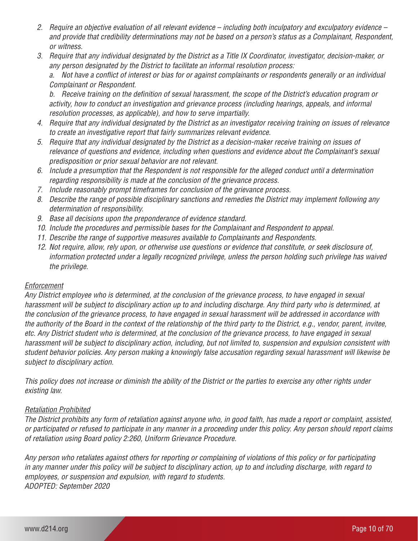- *2. Require an objective evaluation of all relevant evidence including both inculpatory and exculpatory evidence and provide that credibility determinations may not be based on a person's status as a Complainant, Respondent, or witness.*
- *3. Require that any individual designated by the District as a Title IX Coordinator, investigator, decision-maker, or any person designated by the District to facilitate an informal resolution process:*

*a. Not have a conflict of interest or bias for or against complainants or respondents generally or an individual Complainant or Respondent.*

*b. Receive training on the definition of sexual harassment, the scope of the District's education program or activity, how to conduct an investigation and grievance process (including hearings, appeals, and informal resolution processes, as applicable), and how to serve impartially.*

- *4. Require that any individual designated by the District as an investigator receiving training on issues of relevance to create an investigative report that fairly summarizes relevant evidence.*
- *5. Require that any individual designated by the District as a decision-maker receive training on issues of relevance of questions and evidence, including when questions and evidence about the Complainant's sexual predisposition or prior sexual behavior are not relevant.*
- *6. Include a presumption that the Respondent is not responsible for the alleged conduct until a determination regarding responsibility is made at the conclusion of the grievance process.*
- *7. Include reasonably prompt timeframes for conclusion of the grievance process.*
- *8. Describe the range of possible disciplinary sanctions and remedies the District may implement following any determination of responsibility.*
- *9. Base all decisions upon the preponderance of evidence standard.*
- *10. Include the procedures and permissible bases for the Complainant and Respondent to appeal.*
- *11. Describe the range of supportive measures available to Complainants and Respondents.*
- *12. Not require, allow, rely upon, or otherwise use questions or evidence that constitute, or seek disclosure of, information protected under a legally recognized privilege, unless the person holding such privilege has waived the privilege.*

# *Enforcement*

*Any District employee who is determined, at the conclusion of the grievance process, to have engaged in sexual harassment will be subject to disciplinary action up to and including discharge. Any third party who is determined, at the conclusion of the grievance process, to have engaged in sexual harassment will be addressed in accordance with the authority of the Board in the context of the relationship of the third party to the District, e.g., vendor, parent, invitee, etc. Any District student who is determined, at the conclusion of the grievance process, to have engaged in sexual harassment will be subject to disciplinary action, including, but not limited to, suspension and expulsion consistent with student behavior policies. Any person making a knowingly false accusation regarding sexual harassment will likewise be subject to disciplinary action.*

*This policy does not increase or diminish the ability of the District or the parties to exercise any other rights under existing law.* 

# *Retaliation Prohibited*

*The District prohibits any form of retaliation against anyone who, in good faith, has made a report or complaint, assisted, or participated or refused to participate in any manner in a proceeding under this policy. Any person should report claims of retaliation using Board policy 2:260, Uniform Grievance Procedure.*

*Any person who retaliates against others for reporting or complaining of violations of this policy or for participating in any manner under this policy will be subject to disciplinary action, up to and including discharge, with regard to employees, or suspension and expulsion, with regard to students. ADOPTED: September 2020*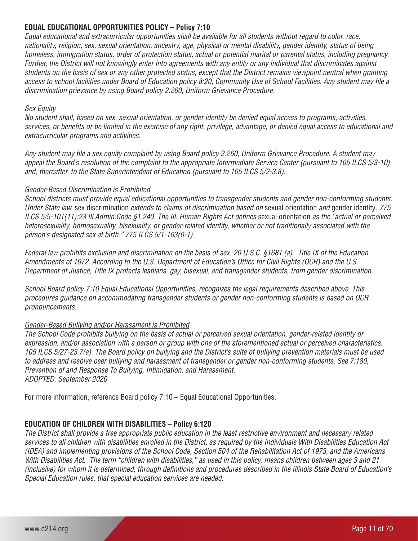# **EQUAL EDUCATIONAL OPPORTUNITIES POLICY – Policy 7:10**

*Equal educational and extracurricular opportunities shall be available for all students without regard to color, race, nationality, religion, sex, sexual orientation, ancestry, age, physical or mental disability, gender identity, status of being homeless, immigration status, order of protection status, actual or potential marital or parental status, including pregnancy. Further, the District will not knowingly enter into agreements with any entity or any individual that discriminates against students on the basis of sex or any other protected status, except that the District remains viewpoint neutral when granting access to school facilities under Board of Education policy 8:20, Community Use of School Facilities. Any student may file a discrimination grievance by using Board policy 2:260, Uniform Grievance Procedure.* 

#### *Sex Equity*

*No student shall, based on sex, sexual orientation, or gender identity be denied equal access to programs, activities, services, or benefits or be limited in the exercise of any right, privilege, advantage, or denied equal access to educational and extracurricular programs and activities.*

*Any student may file a sex equity complaint by using Board policy 2:260, Uniform Grievance Procedure. A student may appeal the Board's resolution of the complaint to the appropriate Intermediate Service Center (pursuant to 105 ILCS 5/3-10) and, thereafter, to the State Superintendent of Education (pursuant to 105 ILCS 5/2-3.8).* 

#### *Gender-Based Discrimination is Prohibited*

*School districts must provide equal educational opportunities to transgender students and gender non-conforming students. Under State law,* sex discrimination *extends to claims of discrimination based on* sexual orientation *and* gender identity*. 775 ILCS 5/5-101(11):23 III.Admin.Code §1.240. The III. Human Rights Act defines sexual orientation as the "actual or perceived heterosexuality, homosexuality, bisexuality, or gender-related identity, whether or not traditionally associated with the person's designated sex at birth." 775 ILCS 5/1-103(0-1).*

*Federal law prohibits exclusion and discrimination on the basis of sex. 20 U.S.C. §1681 (a). Title IX of the Education Amendments of 1972. According to the U.S. Department of Education's Office for Civil Rights (OCR) and the U.S. Department of Justice, Title IX protects lesbians, gay, bisexual, and transgender students, from gender discrimination.*

*School Board policy 7:10 Equal Educational Opportunities, recognizes the legal requirements described above. This procedures guidance on accommodating transgender students or gender non-conforming students is based on OCR pronouncements.* 

# *Gender-Based Bullying and/or Harassment is Prohibited*

*The School Code prohibits bullying on the basis of actual or perceived sexual orientation, gender-related identity or expression, and/or association with a person or group with one of the aforementioned actual or perceived characteristics. 105 ILCS 5/27-23.7(a). The Board policy on bullying and the District's suite of bullying prevention materials must be used to address and resolve peer bullying and harassment of transgender or gender non-conforming students. See 7:180, Prevention of and Response To Bullying, Intimidation, and Harassment. ADOPTED: September 2020* 

For more information, reference Board policy 7:10 **–** Equal Educational Opportunities.

# **EDUCATION OF CHILDREN WITH DISABILITIES – Policy 6:120**

*The District shall provide a free appropriate public education in the least restrictive environment and necessary related services to all children with disabilities enrolled in the District, as required by the Individuals With Disabilities Education Act (IDEA) and implementing provisions of the School Code, Section 504 of the Rehabilitation Act of 1973, and the Americans With Disabilities Act. The term "children with disabilities," as used in this policy, means children between ages 3 and 21 (inclusive) for whom it is determined, through definitions and procedures described in the Illinois State Board of Education's Special Education rules, that special education services are needed.*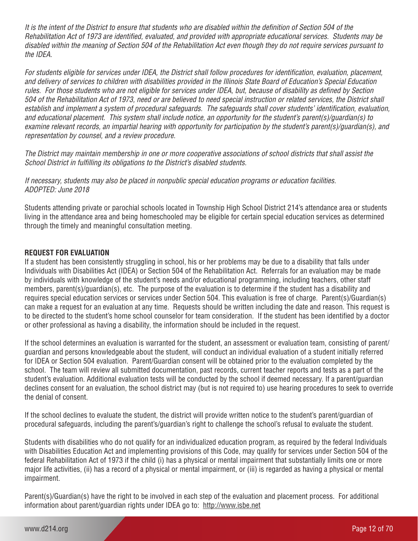*It is the intent of the District to ensure that students who are disabled within the definition of Section 504 of the Rehabilitation Act of 1973 are identified, evaluated, and provided with appropriate educational services. Students may be disabled within the meaning of Section 504 of the Rehabilitation Act even though they do not require services pursuant to the IDEA.*

*For students eligible for services under IDEA, the District shall follow procedures for identification, evaluation, placement, and delivery of services to children with disabilities provided in the Illinois State Board of Education's Special Education rules. For those students who are not eligible for services under IDEA, but, because of disability as defined by Section 504 of the Rehabilitation Act of 1973, need or are believed to need special instruction or related services, the District shall establish and implement a system of procedural safeguards. The safeguards shall cover students' identification, evaluation, and educational placement. This system shall include notice, an opportunity for the student's parent(s)/guardian(s) to examine relevant records, an impartial hearing with opportunity for participation by the student's parent(s)/guardian(s), and representation by counsel, and a review procedure.* 

*The District may maintain membership in one or more cooperative associations of school districts that shall assist the School District in fulfilling its obligations to the District's disabled students.* 

*If necessary, students may also be placed in nonpublic special education programs or education facilities. ADOPTED: June 2018*

Students attending private or parochial schools located in Township High School District 214's attendance area or students living in the attendance area and being homeschooled may be eligible for certain special education services as determined through the timely and meaningful consultation meeting.

# **REQUEST FOR EVALUATION**

If a student has been consistently struggling in school, his or her problems may be due to a disability that falls under Individuals with Disabilities Act (IDEA) or Section 504 of the Rehabilitation Act. Referrals for an evaluation may be made by individuals with knowledge of the student's needs and/or educational programming, including teachers, other staff members, parent(s)/guardian(s), etc. The purpose of the evaluation is to determine if the student has a disability and requires special education services or services under Section 504. This evaluation is free of charge. Parent(s)/Guardian(s) can make a request for an evaluation at any time. Requests should be written including the date and reason. This request is to be directed to the student's home school counselor for team consideration. If the student has been identified by a doctor or other professional as having a disability, the information should be included in the request.

If the school determines an evaluation is warranted for the student, an assessment or evaluation team, consisting of parent/ guardian and persons knowledgeable about the student, will conduct an individual evaluation of a student initially referred for IDEA or Section 504 evaluation. Parent/Guardian consent will be obtained prior to the evaluation completed by the school. The team will review all submitted documentation, past records, current teacher reports and tests as a part of the student's evaluation. Additional evaluation tests will be conducted by the school if deemed necessary. If a parent/guardian declines consent for an evaluation, the school district may (but is not required to) use hearing procedures to seek to override the denial of consent.

If the school declines to evaluate the student, the district will provide written notice to the student's parent/guardian of procedural safeguards, including the parent's/guardian's right to challenge the school's refusal to evaluate the student.

Students with disabilities who do not qualify for an individualized education program, as required by the federal Individuals with Disabilities Education Act and implementing provisions of this Code, may qualify for services under Section 504 of the federal Rehabilitation Act of 1973 if the child (i) has a physical or mental impairment that substantially limits one or more major life activities, (ii) has a record of a physical or mental impairment, or (iii) is regarded as having a physical or mental impairment.

Parent(s)/Guardian(s) have the right to be involved in each step of the evaluation and placement process. For additional information about parent/guardian rights under IDEA go to: http://www.isbe.net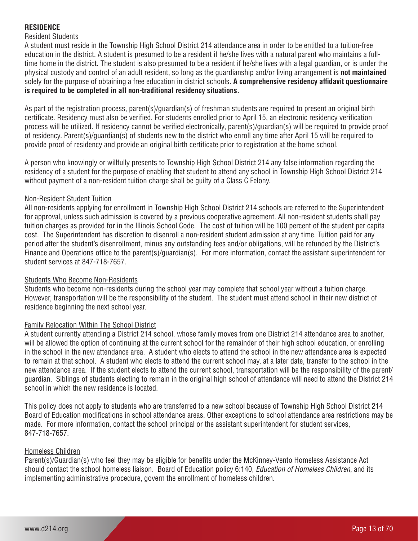# **RESIDENCE**

# Resident Students

A student must reside in the Township High School District 214 attendance area in order to be entitled to a tuition-free education in the district. A student is presumed to be a resident if he/she lives with a natural parent who maintains a fulltime home in the district. The student is also presumed to be a resident if he/she lives with a legal guardian, or is under the physical custody and control of an adult resident, so long as the guardianship and/or living arrangement is **not maintained** solely for the purpose of obtaining a free education in district schools. **A comprehensive residency affidavit questionnaire is required to be completed in all non-traditional residency situations.**

As part of the registration process, parent(s)/guardian(s) of freshman students are required to present an original birth certificate. Residency must also be verified. For students enrolled prior to April 15, an electronic residency verification process will be utilized. If residency cannot be verified electronically, parent(s)/guardian(s) will be required to provide proof of residency. Parent(s)/guardian(s) of students new to the district who enroll any time after April 15 will be required to provide proof of residency and provide an original birth certificate prior to registration at the home school.

A person who knowingly or willfully presents to Township High School District 214 any false information regarding the residency of a student for the purpose of enabling that student to attend any school in Township High School District 214 without payment of a non-resident tuition charge shall be guilty of a Class C Felony.

# Non-Resident Student Tuition

All non-residents applying for enrollment in Township High School District 214 schools are referred to the Superintendent for approval, unless such admission is covered by a previous cooperative agreement. All non-resident students shall pay tuition charges as provided for in the Illinois School Code. The cost of tuition will be 100 percent of the student per capita cost. The Superintendent has discretion to disenroll a non-resident student admission at any time. Tuition paid for any period after the student's disenrollment, minus any outstanding fees and/or obligations, will be refunded by the District's Finance and Operations office to the parent(s)/guardian(s). For more information, contact the assistant superintendent for student services at 847-718-7657.

# Students Who Become Non-Residents

Students who become non-residents during the school year may complete that school year without a tuition charge. However, transportation will be the responsibility of the student. The student must attend school in their new district of residence beginning the next school year.

# Family Relocation Within The School District

A student currently attending a District 214 school, whose family moves from one District 214 attendance area to another, will be allowed the option of continuing at the current school for the remainder of their high school education, or enrolling in the school in the new attendance area. A student who elects to attend the school in the new attendance area is expected to remain at that school. A student who elects to attend the current school may, at a later date, transfer to the school in the new attendance area. If the student elects to attend the current school, transportation will be the responsibility of the parent/ guardian. Siblings of students electing to remain in the original high school of attendance will need to attend the District 214 school in which the new residence is located.

This policy does not apply to students who are transferred to a new school because of Township High School District 214 Board of Education modifications in school attendance areas. Other exceptions to school attendance area restrictions may be made. For more information, contact the school principal or the assistant superintendent for student services, 847-718-7657.

#### Homeless Children

Parent(s)/Guardian(s) who feel they may be eligible for benefits under the McKinney-Vento Homeless Assistance Act should contact the school homeless liaison. Board of Education policy 6:140, *Education of Homeless Children*, and its implementing administrative procedure, govern the enrollment of homeless children.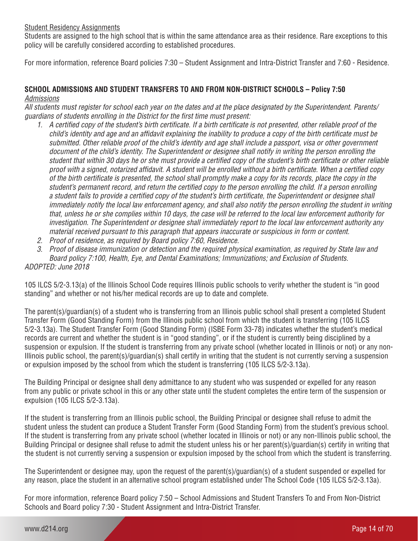#### Student Residency Assignments

Students are assigned to the high school that is within the same attendance area as their residence. Rare exceptions to this policy will be carefully considered according to established procedures.

For more information, reference Board policies 7:30 – Student Assignment and Intra-District Transfer and 7:60 - Residence.

# **SCHOOL ADMISSIONS AND STUDENT TRANSFERS TO AND FROM NON-DISTRICT SCHOOLS – Policy 7:50**  *Admissions*

*All students must register for school each year on the dates and at the place designated by the Superintendent. Parents/ guardians of students enrolling in the District for the first time must present:*

- *1. A certified copy of the student's birth certificate. If a birth certificate is not presented, other reliable proof of the child's identity and age and an affidavit explaining the inability to produce a copy of the birth certificate must be submitted. Other reliable proof of the child's identity and age shall include a passport, visa or other government*  document of the child's identity. The Superintendent or designee shall notify in writing the person enrolling the *student that within 30 days he or she must provide a certified copy of the student's birth certificate or other reliable proof with a signed, notarized affidavit. A student will be enrolled without a birth certificate. When a certified copy of the birth certificate is presented, the school shall promptly make a copy for its records, place the copy in the student's permanent record, and return the certified copy to the person enrolling the child. If a person enrolling a student fails to provide a certified copy of the student's birth certificate, the Superintendent or designee shall immediately notify the local law enforcement agency, and shall also notify the person enrolling the student in writing that, unless he or she complies within 10 days, the case will be referred to the local law enforcement authority for investigation. The Superintendent or designee shall immediately report to the local law enforcement authority any material received pursuant to this paragraph that appears inaccurate or suspicious in form or content.*
- *2. Proof of residence, as required by Board policy 7:60, Residence.*

*3. Proof of disease immunization or detection and the required physical examination, as required by State law and Board policy 7:100, Health, Eye, and Dental Examinations; Immunizations; and Exclusion of Students. ADOPTED: June 2018*

105 ILCS 5/2-3.13(a) of the Illinois School Code requires Illinois public schools to verify whether the student is "in good standing" and whether or not his/her medical records are up to date and complete.

The parent(s)/guardian(s) of a student who is transferring from an Illinois public school shall present a completed Student Transfer Form (Good Standing Form) from the Illinois public school from which the student is transferring (105 ILCS 5/2-3.13a). The Student Transfer Form (Good Standing Form) (ISBE Form 33-78) indicates whether the student's medical records are current and whether the student is in "good standing", or if the student is currently being disciplined by a suspension or expulsion. If the student is transferring from any private school (whether located in Illinois or not) or any non-Illinois public school, the parent(s)/guardian(s) shall certify in writing that the student is not currently serving a suspension or expulsion imposed by the school from which the student is transferring (105 ILCS 5/2-3.13a).

The Building Principal or designee shall deny admittance to any student who was suspended or expelled for any reason from any public or private school in this or any other state until the student completes the entire term of the suspension or expulsion (105 ILCS 5/2-3.13a).

If the student is transferring from an Illinois public school, the Building Principal or designee shall refuse to admit the student unless the student can produce a Student Transfer Form (Good Standing Form) from the student's previous school. If the student is transferring from any private school (whether located in Illinois or not) or any non-Illinois public school, the Building Principal or designee shall refuse to admit the student unless his or her parent(s)/guardian(s) certify in writing that the student is not currently serving a suspension or expulsion imposed by the school from which the student is transferring.

The Superintendent or designee may, upon the request of the parent(s)/guardian(s) of a student suspended or expelled for any reason, place the student in an alternative school program established under The School Code (105 ILCS 5/2-3.13a).

For more information, reference Board policy 7:50 – School Admissions and Student Transfers To and From Non-District Schools and Board policy 7:30 - Student Assignment and Intra-District Transfer.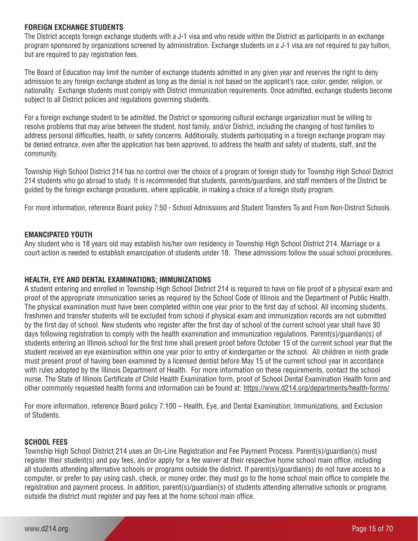# **FOREIGN EXCHANGE STUDENTS**

The District accepts foreign exchange students with a J-1 visa and who reside within the District as participants in an exchange program sponsored by organizations screened by administration. Exchange students on a J-1 visa are not required to pay tuition, but are required to pay registration fees.

The Board of Education may limit the number of exchange students admitted in any given year and reserves the right to deny admission to any foreign exchange student as long as the denial is not based on the applicant's race, color, gender, religion, or nationality. Exchange students must comply with District immunization requirements. Once admitted, exchange students become subject to all District policies and regulations governing students.

For a foreign exchange student to be admitted, the District or sponsoring cultural exchange organization must be willing to resolve problems that may arise between the student, host family, and/or District, including the changing of host families to address personal difficulties, health, or safety concerns. Additionally, students participating in a foreign exchange program may be denied entrance, even after the application has been approved, to address the health and safety of students, staff, and the community.

Township High School District 214 has no control over the choice of a program of foreign study for Township High School District 214 students who go abroad to study. It is recommended that students, parents/guardians, and staff members of the District be guided by the foreign exchange procedures, where applicable, in making a choice of a foreign study program.

For more information, reference Board policy 7:50 - School Admissions and Student Transfers To and From Non-District Schools.

#### **EMANCIPATED YOUTH**

Any student who is 18 years old may establish his/her own residency in Township High School District 214. Marriage or a court action is needed to establish emancipation of students under 18. These admissions follow the usual school procedures.

# **HEALTH, EYE AND DENTAL EXAMINATIONS; IMMUNIZATIONS**

A student entering and enrolled in Township High School District 214 is required to have on file proof of a physical exam and proof of the appropriate immunization series as required by the School Code of Illinois and the Department of Public Health. The physical examination must have been completed within one year prior to the first day of school. All incoming students, freshmen and transfer students will be excluded from school if physical exam and immunization records are not submitted by the first day of school. New students who register after the first day of school of the current school year shall have 30 days following registration to comply with the health examination and immunization regulations. Parent(s)/guardian(s) of students entering an Illinois school for the first time shall present proof before October 15 of the current school year that the student received an eye examination within one year prior to entry of kindergarten or the school. All children in ninth grade must present proof of having been examined by a licensed dentist before May 15 of the current school year in accordance with rules adopted by the Illinois Department of Health. For more information on these requirements, contact the school nurse. The State of Illinois Certificate of Child Health Examination form, proof of School Dental Examination Health form and other commonly requested health forms and information can be found at: https://www.d214.org/departments/health-forms/

For more information, reference Board policy 7:100 – Health, Eye, and Dental Examination; Immunizations, and Exclusion of Students.

#### **SCHOOL FEES**

Township High School District 214 uses an On-Line Registration and Fee Payment Process. Parent(s)/guardian(s) must register their student(s) and pay fees, and/or apply for a fee waiver at their respective home school main office, including all students attending alternative schools or programs outside the district. If parent(s)/guardian(s) do not have access to a computer, or prefer to pay using cash, check, or money order, they must go to the home school main office to complete the registration and payment process. In addition, parent(s)/guardian(s) of students attending alternative schools or programs outside the district must register and pay fees at the home school main office.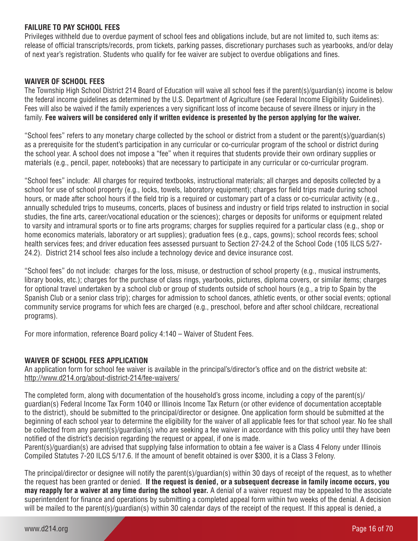# **FAILURE TO PAY SCHOOL FEES**

Privileges withheld due to overdue payment of school fees and obligations include, but are not limited to, such items as: release of official transcripts/records, prom tickets, parking passes, discretionary purchases such as yearbooks, and/or delay of next year's registration. Students who qualify for fee waiver are subject to overdue obligations and fines.

#### **WAIVER OF SCHOOL FEES**

The Township High School District 214 Board of Education will waive all school fees if the parent(s)/guardian(s) income is below the federal income guidelines as determined by the U.S. Department of Agriculture (see Federal Income Eligibility Guidelines). Fees will also be waived if the family experiences a very significant loss of income because of severe illness or injury in the family. **Fee waivers will be considered only if written evidence is presented by the person applying for the waiver.**

"School fees" refers to any monetary charge collected by the school or district from a student or the parent(s)/guardian(s) as a prerequisite for the student's participation in any curricular or co-curricular program of the school or district during the school year. A school does not impose a "fee" when it requires that students provide their own ordinary supplies or materials (e.g., pencil, paper, notebooks) that are necessary to participate in any curricular or co-curricular program.

"School fees" include: All charges for required textbooks, instructional materials; all charges and deposits collected by a school for use of school property (e.g., locks, towels, laboratory equipment); charges for field trips made during school hours, or made after school hours if the field trip is a required or customary part of a class or co-curricular activity (e.g., annually scheduled trips to museums, concerts, places of business and industry or field trips related to instruction in social studies, the fine arts, career/vocational education or the sciences); charges or deposits for uniforms or equipment related to varsity and intramural sports or to fine arts programs; charges for supplies required for a particular class (e.g., shop or home economics materials, laboratory or art supplies); graduation fees (e.g., caps, gowns); school records fees; school health services fees; and driver education fees assessed pursuant to Section 27-24.2 of the School Code (105 ILCS 5/27- 24.2). District 214 school fees also include a technology device and device insurance cost.

"School fees" do not include: charges for the loss, misuse, or destruction of school property (e.g., musical instruments, library books, etc.); charges for the purchase of class rings, yearbooks, pictures, diploma covers, or similar items; charges for optional travel undertaken by a school club or group of students outside of school hours (e.g., a trip to Spain by the Spanish Club or a senior class trip); charges for admission to school dances, athletic events, or other social events; optional community service programs for which fees are charged (e.g., preschool, before and after school childcare, recreational programs).

For more information, reference Board policy 4:140 – Waiver of Student Fees.

# **WAIVER OF SCHOOL FEES APPLICATION**

An application form for school fee waiver is available in the principal's/director's office and on the district website at: http://www.d214.org/about-district-214/fee-waivers/

The completed form, along with documentation of the household's gross income, including a copy of the parent(s)/ guardian(s) Federal Income Tax Form 1040 or Illinois Income Tax Return (or other evidence of documentation acceptable to the district), should be submitted to the principal/director or designee. One application form should be submitted at the beginning of each school year to determine the eligibility for the waiver of all applicable fees for that school year. No fee shall be collected from any parent(s)/guardian(s) who are seeking a fee waiver in accordance with this policy until they have been notified of the district's decision regarding the request or appeal, if one is made.

Parent(s)/guardian(s) are advised that supplying false information to obtain a fee waiver is a Class 4 Felony under Illinois Compiled Statutes 7-20 ILCS 5/17.6. If the amount of benefit obtained is over \$300, it is a Class 3 Felony.

The principal/director or designee will notify the parent(s)/guardian(s) within 30 days of receipt of the request, as to whether the request has been granted or denied. **If the request is denied, or a subsequent decrease in family income occurs, you may reapply for a waiver at any time during the school year.** A denial of a waiver request may be appealed to the associate superintendent for finance and operations by submitting a completed appeal form within two weeks of the denial. A decision will be mailed to the parent(s)/guardian(s) within 30 calendar days of the receipt of the request. If this appeal is denied, a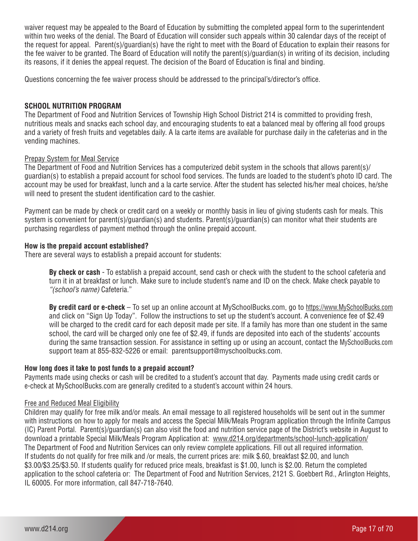waiver request may be appealed to the Board of Education by submitting the completed appeal form to the superintendent within two weeks of the denial. The Board of Education will consider such appeals within 30 calendar days of the receipt of the request for appeal. Parent(s)/guardian(s) have the right to meet with the Board of Education to explain their reasons for the fee waiver to be granted. The Board of Education will notify the parent(s)/guardian(s) in writing of its decision, including its reasons, if it denies the appeal request. The decision of the Board of Education is final and binding.

Questions concerning the fee waiver process should be addressed to the principal's/director's office.

#### **SCHOOL NUTRITION PROGRAM**

The Department of Food and Nutrition Services of Township High School District 214 is committed to providing fresh, nutritious meals and snacks each school day, and encouraging students to eat a balanced meal by offering all food groups and a variety of fresh fruits and vegetables daily. A la carte items are available for purchase daily in the cafeterias and in the vending machines.

#### Prepay System for Meal Service

The Department of Food and Nutrition Services has a computerized debit system in the schools that allows parent(s)/ guardian(s) to establish a prepaid account for school food services. The funds are loaded to the student's photo ID card. The account may be used for breakfast, lunch and a la carte service. After the student has selected his/her meal choices, he/she will need to present the student identification card to the cashier.

Payment can be made by check or credit card on a weekly or monthly basis in lieu of giving students cash for meals. This system is convenient for parent(s)/guardian(s) and students. Parent(s)/guardian(s) can monitor what their students are purchasing regardless of payment method through the online prepaid account.

#### **How is the prepaid account established?**

There are several ways to establish a prepaid account for students:

**By check or cash** - To establish a prepaid account, send cash or check with the student to the school cafeteria and turn it in at breakfast or lunch. Make sure to include student's name and ID on the check. Make check payable to *"(school's name)* Cafeteria."

**By credit card or e-check** – To set up an online account at MySchoolBucks.com, go to https://www.MySchoolBucks.com and click on "Sign Up Today". Follow the instructions to set up the student's account. A convenience fee of \$2.49 will be charged to the credit card for each deposit made per site. If a family has more than one student in the same school, the card will be charged only one fee of \$2.49, if funds are deposited into each of the students' accounts during the same transaction session. For assistance in setting up or using an account, contact the MySchoolBucks.com support team at 855-832-5226 or email: parentsupport@myschoolbucks.com.

#### **How long does it take to post funds to a prepaid account?**

Payments made using checks or cash will be credited to a student's account that day. Payments made using credit cards or e-check at MySchoolBucks.com are generally credited to a student's account within 24 hours.

#### Free and Reduced Meal Eligibility

Children may qualify for free milk and/or meals. An email message to all registered households will be sent out in the summer with instructions on how to apply for meals and access the Special Milk/Meals Program application through the Infinite Campus (IC) Parent Portal. Parent(s)/guardian(s) can also visit the food and nutrition service page of the District's website in August to download a printable Special Milk/Meals Program Application at: www.d214.org/departments/school-lunch-application/ The Department of Food and Nutrition Services can only review complete applications. Fill out all required information. If students do not qualify for free milk and /or meals, the current prices are: milk \$.60, breakfast \$2.00, and lunch \$3.00/\$3.25/\$3.50. If students qualify for reduced price meals, breakfast is \$1.00, lunch is \$2.00. Return the completed application to the school cafeteria or: The Department of Food and Nutrition Services, 2121 S. Goebbert Rd., Arlington Heights, IL 60005. For more information, call 847-718-7640.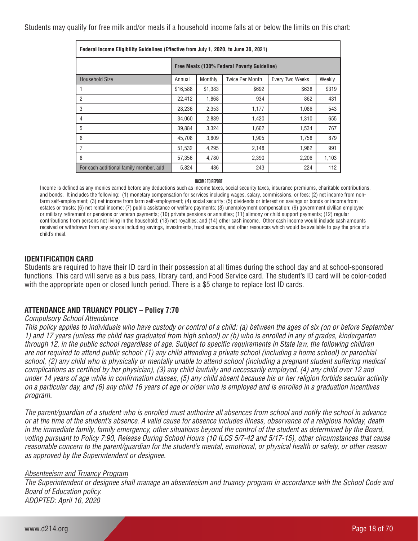Students may qualify for free milk and/or meals if a household income falls at or below the limits on this chart:

| Federal Income Eligibility Guidelines (Effective from July 1, 2020, to June 30, 2021) |                                             |         |                 |                        |        |
|---------------------------------------------------------------------------------------|---------------------------------------------|---------|-----------------|------------------------|--------|
|                                                                                       | Free Meals (130% Federal Poverty Guideline) |         |                 |                        |        |
| <b>Household Size</b>                                                                 | Annual                                      | Monthly | Twice Per Month | <b>Every Two Weeks</b> | Weekly |
|                                                                                       | \$16,588                                    | \$1,383 | \$692           | \$638                  | \$319  |
| 2                                                                                     | 22,412                                      | 1,868   | 934             | 862                    | 431    |
| 3                                                                                     | 28.236                                      | 2,353   | 1,177           | 1.086                  | 543    |
| 4                                                                                     | 34.060                                      | 2,839   | 1,420           | 1,310                  | 655    |
| 5                                                                                     | 39,884                                      | 3,324   | 1,662           | 1,534                  | 767    |
| 6                                                                                     | 45.708                                      | 3,809   | 1,905           | 1,758                  | 879    |
| 7                                                                                     | 51,532                                      | 4,295   | 2,148           | 1,982                  | 991    |
| 8                                                                                     | 57,356                                      | 4,780   | 2,390           | 2,206                  | 1,103  |
| For each additional family member, add                                                | 5,824                                       | 486     | 243             | 224                    | 112    |

#### **INCOME TO REPORT**

Income is defined as any monies earned before any deductions such as income taxes, social security taxes, insurance premiums, charitable contributions, and bonds. It includes the following: (1) monetary compensation for services including wages, salary, commissions, or fees; (2) net income from nonfarm self-employment; (3) net income from farm self-employment; (4) social security; (5) dividends or interest on savings or bonds or income from estates or trusts; (6) net rental income; (7) public assistance or welfare payments; (8) unemployment compensation; (9) government civilian employee or military retirement or pensions or veteran payments; (10) private pensions or annuities; (11) alimony or child support payments; (12) regular contributions from persons not living in the household; (13) net royalties; and (14) other cash income. Other cash income would include cash amounts received or withdrawn from any source including savings, investments, trust accounts, and other resources which would be available to pay the price of a child's meal.

#### **IDENTIFICATION CARD**

Students are required to have their ID card in their possession at all times during the school day and at school-sponsored functions. This card will serve as a bus pass, library card, and Food Service card. The student's ID card will be color-coded with the appropriate open or closed lunch period. There is a \$5 charge to replace lost ID cards.

# **ATTENDANCE AND TRUANCY POLICY – Policy 7:70**

#### *Compulsory School Attendance*

*This policy applies to individuals who have custody or control of a child: (a) between the ages of six (on or before September 1) and 17 years (unless the child has graduated from high school) or (b) who is enrolled in any of grades, kindergarten through 12, in the public school regardless of age. Subject to specific requirements in State law, the following children are not required to attend public school: (1) any child attending a private school (including a home school) or parochial school, (2) any child who is physically or mentally unable to attend school (including a pregnant student suffering medical complications as certified by her physician), (3) any child lawfully and necessarily employed, (4) any child over 12 and under 14 years of age while in confirmation classes, (5) any child absent because his or her religion forbids secular activity on a particular day, and (6) any child 16 years of age or older who is employed and is enrolled in a graduation incentives program.*

*The parent/guardian of a student who is enrolled must authorize all absences from school and notify the school in advance or at the time of the student's absence. A valid cause for absence includes illness, observance of a religious holiday, death in the immediate family, family emergency, other situations beyond the control of the student as determined by the Board, voting pursuant to Policy 7:90, Release During School Hours (10 ILCS 5/7-42 and 5/17-15), other circumstances that cause reasonable concern to the parent/guardian for the student's mental, emotional, or physical health or safety, or other reason as approved by the Superintendent or designee.* 

#### *Absenteeism and Truancy Program*

*The Superintendent or designee shall manage an absenteeism and truancy program in accordance with the School Code and Board of Education policy. ADOPTED: April 16, 2020*

www.d214.org Page 18 of 70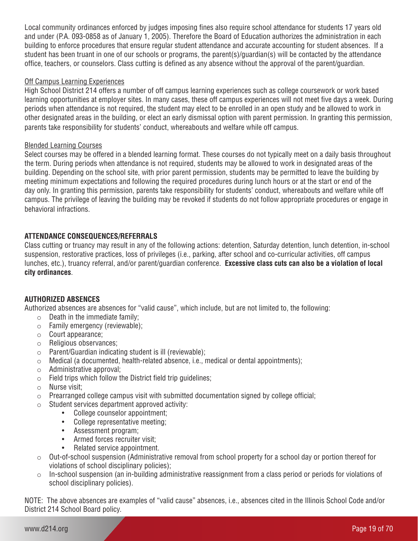Local community ordinances enforced by judges imposing fines also require school attendance for students 17 years old and under (P.A. 093-0858 as of January 1, 2005). Therefore the Board of Education authorizes the administration in each building to enforce procedures that ensure regular student attendance and accurate accounting for student absences. If a student has been truant in one of our schools or programs, the parent(s)/guardian(s) will be contacted by the attendance office, teachers, or counselors. Class cutting is defined as any absence without the approval of the parent/guardian.

# Off Campus Learning Experiences

High School District 214 offers a number of off campus learning experiences such as college coursework or work based learning opportunities at employer sites. In many cases, these off campus experiences will not meet five days a week. During periods when attendance is not required, the student may elect to be enrolled in an open study and be allowed to work in other designated areas in the building, or elect an early dismissal option with parent permission. In granting this permission, parents take responsibility for students' conduct, whereabouts and welfare while off campus.

# Blended Learning Courses

Select courses may be offered in a blended learning format. These courses do not typically meet on a daily basis throughout the term. During periods when attendance is not required, students may be allowed to work in designated areas of the building. Depending on the school site, with prior parent permission, students may be permitted to leave the building by meeting minimum expectations and following the required procedures during lunch hours or at the start or end of the day only. In granting this permission, parents take responsibility for students' conduct, whereabouts and welfare while off campus. The privilege of leaving the building may be revoked if students do not follow appropriate procedures or engage in behavioral infractions.

# **ATTENDANCE CONSEQUENCES/REFERRALS**

Class cutting or truancy may result in any of the following actions: detention, Saturday detention, lunch detention, in-school suspension, restorative practices, loss of privileges (i.e., parking, after school and co-curricular activities, off campus lunches, etc.), truancy referral, and/or parent/guardian conference. **Excessive class cuts can also be a violation of local city ordinances**.

# **AUTHORIZED ABSENCES**

Authorized absences are absences for "valid cause", which include, but are not limited to, the following:

- $\circ$  Death in the immediate family:
- o Family emergency (reviewable);
- o Court appearance;
- o Religious observances;
- o Parent/Guardian indicating student is ill (reviewable);
- o Medical (a documented, health-related absence, i.e., medical or dental appointments);
- $\circ$  Administrative approval;<br> $\circ$  Field trips which follow the
- Field trips which follow the District field trip guidelines;
- o Nurse visit;
- $\circ$  Prearranged college campus visit with submitted documentation signed by college official;
- o Student services department approved activity:
	- College counselor appointment;
	- College representative meeting;
	- Assessment program;
	- Armed forces recruiter visit;
	- Related service appointment.
- $\circ$  Out-of-school suspension (Administrative removal from school property for a school day or portion thereof for violations of school disciplinary policies);
- o In-school suspension (an in-building administrative reassignment from a class period or periods for violations of school disciplinary policies).

NOTE: The above absences are examples of "valid cause" absences, i.e., absences cited in the Illinois School Code and/or District 214 School Board policy.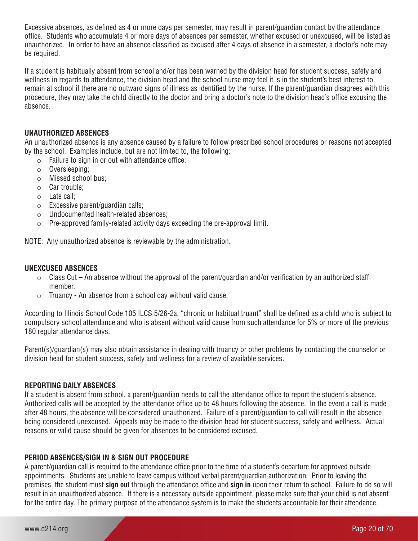Excessive absences, as defined as 4 or more days per semester, may result in parent/guardian contact by the attendance office. Students who accumulate 4 or more days of absences per semester, whether excused or unexcused, will be listed as unauthorized. In order to have an absence classified as excused after 4 days of absence in a semester, a doctor's note may be required.

If a student is habitually absent from school and/or has been warned by the division head for student success, safety and wellness in regards to attendance, the division head and the school nurse may feel it is in the student's best interest to remain at school if there are no outward signs of illness as identified by the nurse. If the parent/guardian disagrees with this procedure, they may take the child directly to the doctor and bring a doctor's note to the division head's office excusing the absence.

#### **UNAUTHORIZED ABSENCES**

An unauthorized absence is any absence caused by a failure to follow prescribed school procedures or reasons not accepted by the school. Examples include, but are not limited to, the following:

- $\circ$  Failure to sign in or out with attendance office;
- o Oversleeping;
- o Missed school bus;
- o Car trouble;
- o Late call;
- o Excessive parent/guardian calls;
- o Undocumented health-related absences;
- o Pre-approved family-related activity days exceeding the pre-approval limit.

NOTE: Any unauthorized absence is reviewable by the administration.

#### **UNEXCUSED ABSENCES**

- $\circ$  Class Cut An absence without the approval of the parent/guardian and/or verification by an authorized staff member.
- o Truancy An absence from a school day without valid cause.

According to Illinois School Code 105 ILCS 5/26-2a, "chronic or habitual truant" shall be defined as a child who is subject to compulsory school attendance and who is absent without valid cause from such attendance for 5% or more of the previous 180 regular attendance days.

Parent(s)/guardian(s) may also obtain assistance in dealing with truancy or other problems by contacting the counselor or division head for student success, safety and wellness for a review of available services.

#### **REPORTING DAILY ABSENCES**

If a student is absent from school, a parent/guardian needs to call the attendance office to report the student's absence. Authorized calls will be accepted by the attendance office up to 48 hours following the absence. In the event a call is made after 48 hours, the absence will be considered unauthorized. Failure of a parent/guardian to call will result in the absence being considered unexcused. Appeals may be made to the division head for student success, safety and wellness. Actual reasons or valid cause should be given for absences to be considered excused.

#### **PERIOD ABSENCES/SIGN IN & SIGN OUT PROCEDURE**

A parent/guardian call is required to the attendance office prior to the time of a student's departure for approved outside appointments. Students are unable to leave campus without verbal parent/guardian authorization. Prior to leaving the premises, the student must **sign out** through the attendance office and **sign in** upon their return to school. Failure to do so will result in an unauthorized absence. If there is a necessary outside appointment, please make sure that your child is not absent for the entire day. The primary purpose of the attendance system is to make the students accountable for their attendance.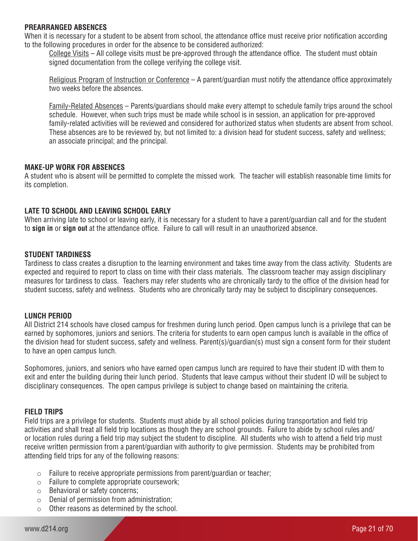#### **PREARRANGED ABSENCES**

When it is necessary for a student to be absent from school, the attendance office must receive prior notification according to the following procedures in order for the absence to be considered authorized:

College Visits – All college visits must be pre-approved through the attendance office. The student must obtain signed documentation from the college verifying the college visit.

Religious Program of Instruction or Conference – A parent/guardian must notify the attendance office approximately two weeks before the absences.

Family-Related Absences – Parents/guardians should make every attempt to schedule family trips around the school schedule. However, when such trips must be made while school is in session, an application for pre-approved family-related activities will be reviewed and considered for authorized status when students are absent from school. These absences are to be reviewed by, but not limited to: a division head for student success, safety and wellness; an associate principal; and the principal.

#### **MAKE-UP WORK FOR ABSENCES**

A student who is absent will be permitted to complete the missed work. The teacher will establish reasonable time limits for its completion.

#### **LATE TO SCHOOL AND LEAVING SCHOOL EARLY**

When arriving late to school or leaving early, it is necessary for a student to have a parent/guardian call and for the student to **sign in** or **sign out** at the attendance office. Failure to call will result in an unauthorized absence.

#### **STUDENT TARDINESS**

Tardiness to class creates a disruption to the learning environment and takes time away from the class activity. Students are expected and required to report to class on time with their class materials. The classroom teacher may assign disciplinary measures for tardiness to class. Teachers may refer students who are chronically tardy to the office of the division head for student success, safety and wellness. Students who are chronically tardy may be subject to disciplinary consequences.

#### **LUNCH PERIOD**

All District 214 schools have closed campus for freshmen during lunch period. Open campus lunch is a privilege that can be earned by sophomores, juniors and seniors. The criteria for students to earn open campus lunch is available in the office of the division head for student success, safety and wellness. Parent(s)/guardian(s) must sign a consent form for their student to have an open campus lunch.

Sophomores, juniors, and seniors who have earned open campus lunch are required to have their student ID with them to exit and enter the building during their lunch period. Students that leave campus without their student ID will be subject to disciplinary consequences. The open campus privilege is subject to change based on maintaining the criteria.

#### **FIELD TRIPS**

Field trips are a privilege for students. Students must abide by all school policies during transportation and field trip activities and shall treat all field trip locations as though they are school grounds. Failure to abide by school rules and/ or location rules during a field trip may subject the student to discipline. All students who wish to attend a field trip must receive written permission from a parent/guardian with authority to give permission. Students may be prohibited from attending field trips for any of the following reasons:

- o Failure to receive appropriate permissions from parent/guardian or teacher;
- o Failure to complete appropriate coursework;
- o Behavioral or safety concerns;
- $\circ$  Denial of permission from administration;
- o Other reasons as determined by the school.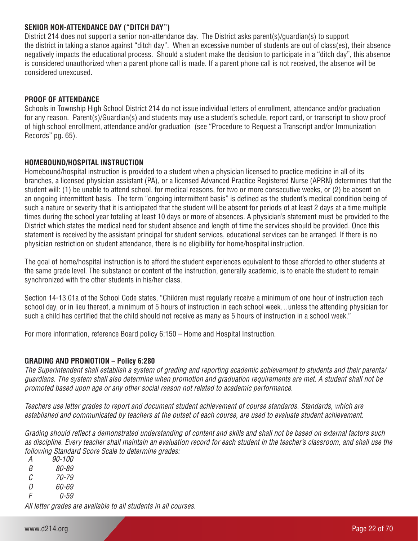# **SENIOR NON-ATTENDANCE DAY ("DITCH DAY")**

District 214 does not support a senior non-attendance day. The District asks parent(s)/guardian(s) to support the district in taking a stance against "ditch day". When an excessive number of students are out of class(es), their absence negatively impacts the educational process. Should a student make the decision to participate in a "ditch day", this absence is considered unauthorized when a parent phone call is made. If a parent phone call is not received, the absence will be considered unexcused.

#### **PROOF OF ATTENDANCE**

Schools in Township High School District 214 do not issue individual letters of enrollment, attendance and/or graduation for any reason. Parent(s)/Guardian(s) and students may use a student's schedule, report card, or transcript to show proof of high school enrollment, attendance and/or graduation (see "Procedure to Request a Transcript and/or Immunization Records" pg. 65).

#### **HOMEBOUND/HOSPITAL INSTRUCTION**

Homebound/hospital instruction is provided to a student when a physician licensed to practice medicine in all of its branches, a licensed physician assistant (PA), or a licensed Advanced Practice Registered Nurse (APRN) determines that the student will: (1) be unable to attend school, for medical reasons, for two or more consecutive weeks, or (2) be absent on an ongoing intermittent basis. The term "ongoing intermittent basis" is defined as the student's medical condition being of such a nature or severity that it is anticipated that the student will be absent for periods of at least 2 days at a time multiple times during the school year totaling at least 10 days or more of absences. A physician's statement must be provided to the District which states the medical need for student absence and length of time the services should be provided. Once this statement is received by the assistant principal for student services, educational services can be arranged. If there is no physician restriction on student attendance, there is no eligibility for home/hospital instruction.

The goal of home/hospital instruction is to afford the student experiences equivalent to those afforded to other students at the same grade level. The substance or content of the instruction, generally academic, is to enable the student to remain synchronized with the other students in his/her class.

Section 14-13.01a of the School Code states, "Children must regularly receive a minimum of one hour of instruction each school day, or in lieu thereof, a minimum of 5 hours of instruction in each school week…unless the attending physician for such a child has certified that the child should not receive as many as 5 hours of instruction in a school week."

For more information, reference Board policy 6:150 – Home and Hospital Instruction.

#### **GRADING AND PROMOTION – Policy 6:280**

*The Superintendent shall establish a system of grading and reporting academic achievement to students and their parents/ guardians. The system shall also determine when promotion and graduation requirements are met. A student shall not be promoted based upon age or any other social reason not related to academic performance.*

*Teachers use letter grades to report and document student achievement of course standards. Standards, which are established and communicated by teachers at the outset of each course, are used to evaluate student achievement.*

*Grading should reflect a demonstrated understanding of content and skills and shall not be based on external factors such as discipline. Every teacher shall maintain an evaluation record for each student in the teacher's classroom, and shall use the following Standard Score Scale to determine grades:*

*A 90-100 B 80-89 C 70-79*

*D 60-69*

*F 0-59*

*All letter grades are available to all students in all courses.*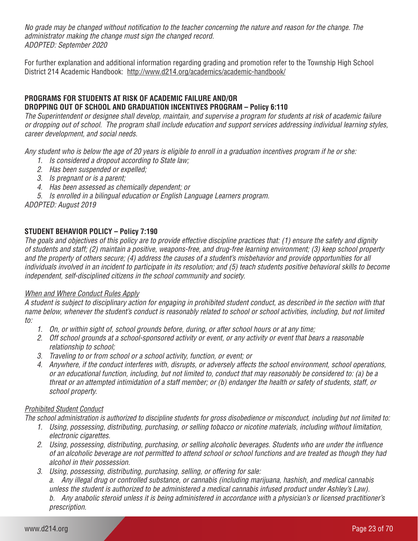*No grade may be changed without notification to the teacher concerning the nature and reason for the change. The administrator making the change must sign the changed record. ADOPTED: September 2020* 

For further explanation and additional information regarding grading and promotion refer to the Township High School District 214 Academic Handbook: http://www.d214.org/academics/academic-handbook/

# **PROGRAMS FOR STUDENTS AT RISK OF ACADEMIC FAILURE AND/OR DROPPING OUT OF SCHOOL AND GRADUATION INCENTIVES PROGRAM – Policy 6:110**

*The Superintendent or designee shall develop, maintain, and supervise a program for students at risk of academic failure or dropping out of school. The program shall include education and support services addressing individual learning styles, career development, and social needs.*

*Any student who is below the age of 20 years is eligible to enroll in a graduation incentives program if he or she:* 

- *1. Is considered a dropout according to State law;*
- *2. Has been suspended or expelled;*
- *3. Is pregnant or is a parent;*
- *4. Has been assessed as chemically dependent; or*
- *5. Is enrolled in a bilingual education or English Language Learners program.*

*ADOPTED: August 2019*

# **STUDENT BEHAVIOR POLICY – Policy 7:190**

*The goals and objectives of this policy are to provide effective discipline practices that: (1) ensure the safety and dignity of students and staff; (2) maintain a positive, weapons-free, and drug-free learning environment; (3) keep school property and the property of others secure; (4) address the causes of a student's misbehavior and provide opportunities for all individuals involved in an incident to participate in its resolution; and (5) teach students positive behavioral skills to become independent, self-disciplined citizens in the school community and society.* 

#### *When and Where Conduct Rules Apply*

*A student is subject to disciplinary action for engaging in prohibited student conduct, as described in the section with that name below, whenever the student's conduct is reasonably related to school or school activities, including, but not limited to:*

- *1. On, or within sight of, school grounds before, during, or after school hours or at any time;*
- *2. Off school grounds at a school-sponsored activity or event, or any activity or event that bears a reasonable relationship to school;*
- *3. Traveling to or from school or a school activity, function, or event; or*
- *4. Anywhere, if the conduct interferes with, disrupts, or adversely affects the school environment, school operations, or an educational function, including, but not limited to, conduct that may reasonably be considered to: (a) be a threat or an attempted intimidation of a staff member; or (b) endanger the health or safety of students, staff, or school property.*

#### *Prohibited Student Conduct*

*The school administration is authorized to discipline students for gross disobedience or misconduct, including but not limited to:*

- *1. Using, possessing, distributing, purchasing, or selling tobacco or nicotine materials, including without limitation, electronic cigarettes.*
- *2. Using, possessing, distributing, purchasing, or selling alcoholic beverages. Students who are under the influence of an alcoholic beverage are not permitted to attend school or school functions and are treated as though they had alcohol in their possession.*
- *3. Using, possessing, distributing, purchasing, selling, or offering for sale:*

*a. Any illegal drug or controlled substance, or cannabis (including marijuana, hashish, and medical cannabis unless the student is authorized to be administered a medical cannabis infused product under Ashley's Law). b. Any anabolic steroid unless it is being administered in accordance with a physician's or licensed practitioner's prescription.*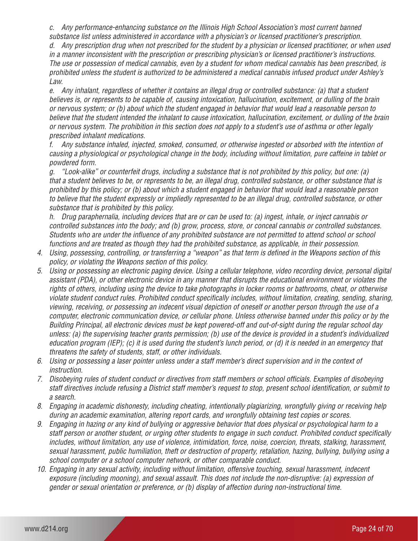*c. Any performance-enhancing substance on the Illinois High School Association's most current banned substance list unless administered in accordance with a physician's or licensed practitioner's prescription.* 

*d. Any prescription drug when not prescribed for the student by a physician or licensed practitioner, or when used in a manner inconsistent with the prescription or prescribing physician's or licensed practitioner's instructions. The use or possession of medical cannabis, even by a student for whom medical cannabis has been prescribed, is prohibited unless the student is authorized to be administered a medical cannabis infused product under Ashley's Law.* 

*e. Any inhalant, regardless of whether it contains an illegal drug or controlled substance: (a) that a student believes is, or represents to be capable of, causing intoxication, hallucination, excitement, or dulling of the brain or nervous system; or (b) about which the student engaged in behavior that would lead a reasonable person to believe that the student intended the inhalant to cause intoxication, hallucination, excitement, or dulling of the brain or nervous system. The prohibition in this section does not apply to a student's use of asthma or other legally prescribed inhalant medications.* 

*f. Any substance inhaled, injected, smoked, consumed, or otherwise ingested or absorbed with the intention of causing a physiological or psychological change in the body, including without limitation, pure caffeine in tablet or powdered form.* 

*g. "Look-alike" or counterfeit drugs, including a substance that is not prohibited by this policy, but one: (a) that a student believes to be, or represents to be, an illegal drug, controlled substance, or other substance that is prohibited by this policy; or (b) about which a student engaged in behavior that would lead a reasonable person to believe that the student expressly or impliedly represented to be an illegal drug, controlled substance, or other substance that is prohibited by this policy.* 

*h. Drug paraphernalia, including devices that are or can be used to: (a) ingest, inhale, or inject cannabis or controlled substances into the body; and (b) grow, process, store, or conceal cannabis or controlled substances. Students who are under the influence of any prohibited substance are not permitted to attend school or school functions and are treated as though they had the prohibited substance, as applicable, in their possession.*

- *4. Using, possessing, controlling, or transferring a "weapon" as that term is defined in the Weapons section of this policy, or violating the Weapons section of this policy.*
- *5. Using or possessing an electronic paging device. Using a cellular telephone, video recording device, personal digital assistant (PDA), or other electronic device in any manner that disrupts the educational environment or violates the rights of others, including using the device to take photographs in locker rooms or bathrooms, cheat, or otherwise violate student conduct rules. Prohibited conduct specifically includes, without limitation, creating, sending, sharing, viewing, receiving, or possessing an indecent visual depiction of oneself or another person through the use of a computer, electronic communication device, or cellular phone. Unless otherwise banned under this policy or by the Building Principal, all electronic devices must be kept powered-off and out-of-sight during the regular school day unless: (a) the supervising teacher grants permission; (b) use of the device is provided in a student's individualized education program (IEP); (c) it is used during the student's lunch period, or (d) it is needed in an emergency that threatens the safety of students, staff, or other individuals.*
- *6. Using or possessing a laser pointer unless under a staff member's direct supervision and in the context of instruction.*
- *7. Disobeying rules of student conduct or directives from staff members or school officials. Examples of disobeying staff directives include refusing a District staff member's request to stop, present school identification, or submit to a search.*
- *8. Engaging in academic dishonesty, including cheating, intentionally plagiarizing, wrongfully giving or receiving help during an academic examination, altering report cards, and wrongfully obtaining test copies or scores.*
- *9. Engaging in hazing or any kind of bullying or aggressive behavior that does physical or psychological harm to a staff person or another student, or urging other students to engage in such conduct. Prohibited conduct specifically includes, without limitation, any use of violence, intimidation, force, noise, coercion, threats, stalking, harassment, sexual harassment, public humiliation, theft or destruction of property, retaliation, hazing, bullying, bullying using a school computer or a school computer network, or other comparable conduct.*
- *10. Engaging in any sexual activity, including without limitation, offensive touching, sexual harassment, indecent exposure (including mooning), and sexual assault. This does not include the non-disruptive: (a) expression of gender or sexual orientation or preference, or (b) display of affection during non-instructional time.*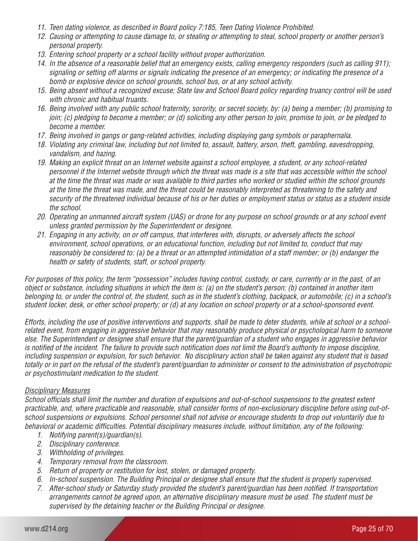- *11. Teen dating violence, as described in Board policy 7:185, Teen Dating Violence Prohibited.*
- *12. Causing or attempting to cause damage to, or stealing or attempting to steal, school property or another person's personal property.*
- *13. Entering school property or a school facility without proper authorization.*
- *14. In the absence of a reasonable belief that an emergency exists, calling emergency responders (such as calling 911); signaling or setting off alarms or signals indicating the presence of an emergency; or indicating the presence of a bomb or explosive device on school grounds, school bus, or at any school activity.*
- *15. Being absent without a recognized excuse; State law and School Board policy regarding truancy control will be used with chronic and habitual truants.*
- *16. Being involved with any public school fraternity, sorority, or secret society, by: (a) being a member; (b) promising to join; (c) pledging to become a member; or (d) soliciting any other person to join, promise to join, or be pledged to become a member.*
- *17. Being involved in gangs or gang-related activities, including displaying gang symbols or paraphernalia.*
- *18. Violating any criminal law, including but not limited to, assault, battery, arson, theft, gambling, eavesdropping, vandalism, and hazing.*
- *19. Making an explicit threat on an Internet website against a school employee, a student, or any school-related personnel if the Internet website through which the threat was made is a site that was accessible within the school at the time the threat was made or was available to third parties who worked or studied within the school grounds at the time the threat was made, and the threat could be reasonably interpreted as threatening to the safety and security of the threatened individual because of his or her duties or employment status or status as a student inside the school.*
- *20. Operating an unmanned aircraft system (UAS) or drone for any purpose on school grounds or at any school event unless granted permission by the Superintendent or designee.*
- *21. Engaging in any activity, on or off campus, that interferes with, disrupts, or adversely affects the school environment, school operations, or an educational function, including but not limited to, conduct that may reasonably be considered to: (a) be a threat or an attempted intimidation of a staff member; or (b) endanger the health or safety of students, staff, or school property.*

*For purposes of this policy, the term "possession" includes having control, custody, or care, currently or in the past, of an object or substance, including situations in which the item is: (a) on the student's person; (b) contained in another item belonging to, or under the control of, the student, such as in the student's clothing, backpack, or automobile; (c) in a school's student locker, desk, or other school property; or (d) at any location on school property or at a school-sponsored event.* 

*Efforts, including the use of positive interventions and supports, shall be made to deter students, while at school or a schoolrelated event, from engaging in aggressive behavior that may reasonably produce physical or psychological harm to someone else. The Superintendent or designee shall ensure that the parent/guardian of a student who engages in aggressive behavior is notified of the incident. The failure to provide such notification does not limit the Board's authority to impose discipline, including suspension or expulsion, for such behavior. No disciplinary action shall be taken against any student that is based totally or in part on the refusal of the student's parent/guardian to administer or consent to the administration of psychotropic or psychostimulant medication to the student.* 

# *Disciplinary Measures*

*School officials shall limit the number and duration of expulsions and out-of-school suspensions to the greatest extent practicable, and, where practicable and reasonable, shall consider forms of non-exclusionary discipline before using out-ofschool suspensions or expulsions. School personnel shall not advise or encourage students to drop out voluntarily due to behavioral or academic difficulties. Potential disciplinary measures include, without limitation, any of the following:* 

- *1. Notifying parent(s)/guardian(s).*
- *2. Disciplinary conference.*
- *3. Withholding of privileges.*
- *4. Temporary removal from the classroom.*
- *5. Return of property or restitution for lost, stolen, or damaged property.*
- *6. In-school suspension. The Building Principal or designee shall ensure that the student is properly supervised.*
- *7. After-school study or Saturday study provided the student's parent/guardian has been notified. If transportation arrangements cannot be agreed upon, an alternative disciplinary measure must be used. The student must be supervised by the detaining teacher or the Building Principal or designee.*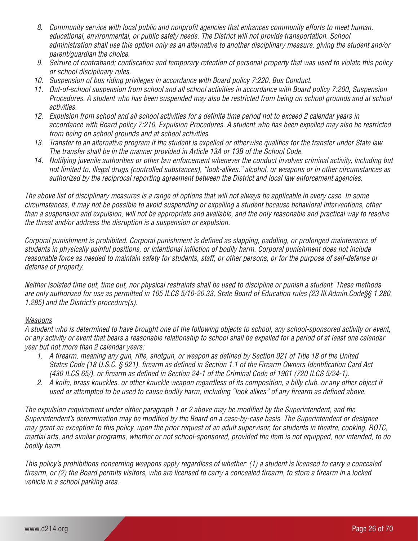- *8. Community service with local public and nonprofit agencies that enhances community efforts to meet human, educational, environmental, or public safety needs. The District will not provide transportation. School administration shall use this option only as an alternative to another disciplinary measure, giving the student and/or parent/guardian the choice.*
- *9. Seizure of contraband; confiscation and temporary retention of personal property that was used to violate this policy or school disciplinary rules.*
- *10. Suspension of bus riding privileges in accordance with Board policy 7:220, Bus Conduct.*
- *11. Out-of-school suspension from school and all school activities in accordance with Board policy 7:200, Suspension Procedures. A student who has been suspended may also be restricted from being on school grounds and at school activities.*
- *12. Expulsion from school and all school activities for a definite time period not to exceed 2 calendar years in accordance with Board policy 7:210, Expulsion Procedures. A student who has been expelled may also be restricted from being on school grounds and at school activities.*
- *13. Transfer to an alternative program if the student is expelled or otherwise qualifies for the transfer under State law. The transfer shall be in the manner provided in Article 13A or 13B of the School Code.*
- *14. Notifying juvenile authorities or other law enforcement whenever the conduct involves criminal activity, including but not limited to, illegal drugs (controlled substances), "look-alikes," alcohol, or weapons or in other circumstances as authorized by the reciprocal reporting agreement between the District and local law enforcement agencies.*

*The above list of disciplinary measures is a range of options that will not always be applicable in every case. In some circumstances, it may not be possible to avoid suspending or expelling a student because behavioral interventions, other than a suspension and expulsion, will not be appropriate and available, and the only reasonable and practical way to resolve the threat and/or address the disruption is a suspension or expulsion.*

*Corporal punishment is prohibited. Corporal punishment is defined as slapping, paddling, or prolonged maintenance of students in physically painful positions, or intentional infliction of bodily harm. Corporal punishment does not include reasonable force as needed to maintain safety for students, staff, or other persons, or for the purpose of self-defense or defense of property.* 

*Neither isolated time out, time out, nor physical restraints shall be used to discipline or punish a student. These methods are only authorized for use as permitted in 105 ILCS 5/10-20.33, State Board of Education rules (23 Ill.Admin.Code§§ 1.280, 1.285) and the District's procedure(s).*

#### *Weapons*

*A student who is determined to have brought one of the following objects to school, any school-sponsored activity or event, or any activity or event that bears a reasonable relationship to school shall be expelled for a period of at least one calendar year but not more than 2 calendar years:* 

- *1. A firearm, meaning any gun, rifle, shotgun, or weapon as defined by Section 921 of Title 18 of the United States Code (18 U.S.C. § 921), firearm as defined in Section 1.1 of the Firearm Owners Identification Card Act (430 ILCS 65/), or firearm as defined in Section 24-1 of the Criminal Code of 1961 (720 ILCS 5/24-1).*
- *2. A knife, brass knuckles, or other knuckle weapon regardless of its composition, a billy club, or any other object if used or attempted to be used to cause bodily harm, including "look alikes" of any firearm as defined above.*

*The expulsion requirement under either paragraph 1 or 2 above may be modified by the Superintendent, and the Superintendent's determination may be modified by the Board on a case-by-case basis. The Superintendent or designee may grant an exception to this policy, upon the prior request of an adult supervisor, for students in theatre, cooking, ROTC, martial arts, and similar programs, whether or not school-sponsored, provided the item is not equipped, nor intended, to do bodily harm.* 

*This policy's prohibitions concerning weapons apply regardless of whether: (1) a student is licensed to carry a concealed firearm, or (2) the Board permits visitors, who are licensed to carry a concealed firearm, to store a firearm in a locked vehicle in a school parking area.*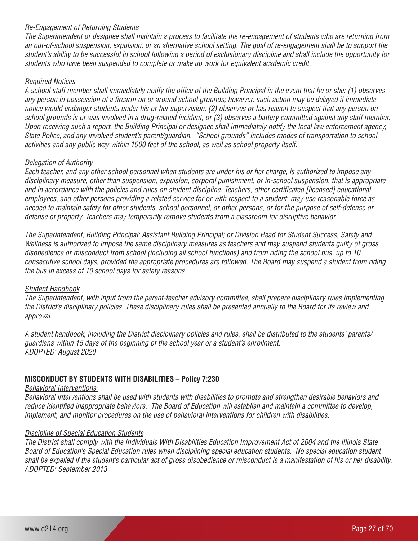# *Re-Engagement of Returning Students*

*The Superintendent or designee shall maintain a process to facilitate the re-engagement of students who are returning from an out-of-school suspension, expulsion, or an alternative school setting. The goal of re-engagement shall be to support the student's ability to be successful in school following a period of exclusionary discipline and shall include the opportunity for students who have been suspended to complete or make up work for equivalent academic credit.* 

#### *Required Notices*

*A school staff member shall immediately notify the office of the Building Principal in the event that he or she: (1) observes any person in possession of a firearm on or around school grounds; however, such action may be delayed if immediate notice would endanger students under his or her supervision, (2) observes or has reason to suspect that any person on school grounds is or was involved in a drug-related incident, or (3) observes a battery committed against any staff member. Upon receiving such a report, the Building Principal or designee shall immediately notify the local law enforcement agency, State Police, and any involved student's parent/guardian. "School grounds" includes modes of transportation to school activities and any public way within 1000 feet of the school, as well as school property itself.*

#### *Delegation of Authority*

*Each teacher, and any other school personnel when students are under his or her charge, is authorized to impose any disciplinary measure, other than suspension, expulsion, corporal punishment, or in-school suspension, that is appropriate and in accordance with the policies and rules on student discipline. Teachers, other certificated [licensed] educational employees, and other persons providing a related service for or with respect to a student, may use reasonable force as needed to maintain safety for other students, school personnel, or other persons, or for the purpose of self-defense or defense of property. Teachers may temporarily remove students from a classroom for disruptive behavior.* 

*The Superintendent; Building Principal; Assistant Building Principal; or Division Head for Student Success, Safety and Wellness is authorized to impose the same disciplinary measures as teachers and may suspend students guilty of gross disobedience or misconduct from school (including all school functions) and from riding the school bus, up to 10 consecutive school days, provided the appropriate procedures are followed. The Board may suspend a student from riding the bus in excess of 10 school days for safety reasons.* 

#### *Student Handbook*

*The Superintendent, with input from the parent-teacher advisory committee, shall prepare disciplinary rules implementing the District's disciplinary policies. These disciplinary rules shall be presented annually to the Board for its review and approval.*

*A student handbook, including the District disciplinary policies and rules, shall be distributed to the students' parents/ guardians within 15 days of the beginning of the school year or a student's enrollment. ADOPTED: August 2020* 

# **MISCONDUCT BY STUDENTS WITH DISABILITIES – Policy 7:230**

#### *Behavioral Interventions*

*Behavioral interventions shall be used with students with disabilities to promote and strengthen desirable behaviors and reduce identified inappropriate behaviors. The Board of Education will establish and maintain a committee to develop, implement, and monitor procedures on the use of behavioral interventions for children with disabilities.*

#### *Discipline of Special Education Students*

*The District shall comply with the Individuals With Disabilities Education Improvement Act of 2004 and the Illinois State Board of Education's Special Education rules when disciplining special education students. No special education student shall be expelled if the student's particular act of gross disobedience or misconduct is a manifestation of his or her disability. ADOPTED: September 2013*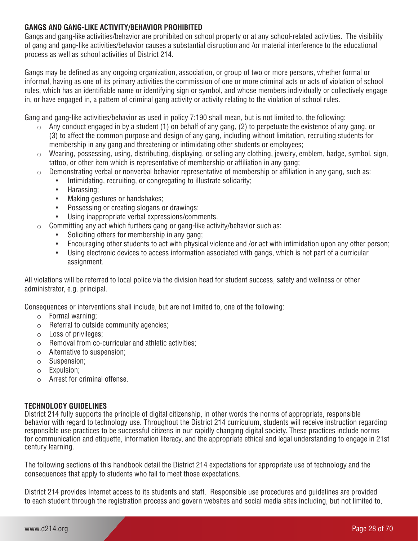# **GANGS AND GANG-LIKE ACTIVITY/BEHAVIOR PROHIBITED**

Gangs and gang-like activities/behavior are prohibited on school property or at any school-related activities. The visibility of gang and gang-like activities/behavior causes a substantial disruption and /or material interference to the educational process as well as school activities of District 214.

Gangs may be defined as any ongoing organization, association, or group of two or more persons, whether formal or informal, having as one of its primary activities the commission of one or more criminal acts or acts of violation of school rules, which has an identifiable name or identifying sign or symbol, and whose members individually or collectively engage in, or have engaged in, a pattern of criminal gang activity or activity relating to the violation of school rules.

Gang and gang-like activities/behavior as used in policy 7:190 shall mean, but is not limited to, the following:

- o Any conduct engaged in by a student (1) on behalf of any gang, (2) to perpetuate the existence of any gang, or (3) to affect the common purpose and design of any gang, including without limitation, recruiting students for membership in any gang and threatening or intimidating other students or employees;
- o Wearing, possessing, using, distributing, displaying, or selling any clothing, jewelry, emblem, badge, symbol, sign, tattoo, or other item which is representative of membership or affiliation in any gang;
- $\circ$  Demonstrating verbal or nonverbal behavior representative of membership or affiliation in any gang, such as:
	- Intimidating, recruiting, or congregating to illustrate solidarity;
	- Harassing:
	- Making gestures or handshakes;
	- Possessing or creating slogans or drawings;
	- Using inappropriate verbal expressions/comments.
- $\circ$  Committing any act which furthers gang or gang-like activity/behavior such as:
	- Soliciting others for membership in any gang;
	- Encouraging other students to act with physical violence and /or act with intimidation upon any other person;
	- Using electronic devices to access information associated with gangs, which is not part of a curricular assignment.

All violations will be referred to local police via the division head for student success, safety and wellness or other administrator, e.g. principal.

Consequences or interventions shall include, but are not limited to, one of the following:

- $\circ$  Formal warning;
- $\circ$  Referral to outside community agencies:
- o Loss of privileges;
- o Removal from co-curricular and athletic activities;
- o Alternative to suspension;
- o Suspension;
- o Expulsion;
- $\circ$  Arrest for criminal offense.

# **TECHNOLOGY GUIDELINES**

District 214 fully supports the principle of digital citizenship, in other words the norms of appropriate, responsible behavior with regard to technology use. Throughout the District 214 curriculum, students will receive instruction regarding responsible use practices to be successful citizens in our rapidly changing digital society. These practices include norms for communication and etiquette, information literacy, and the appropriate ethical and legal understanding to engage in 21st century learning.

The following sections of this handbook detail the District 214 expectations for appropriate use of technology and the consequences that apply to students who fail to meet those expectations.

District 214 provides Internet access to its students and staff. Responsible use procedures and guidelines are provided to each student through the registration process and govern websites and social media sites including, but not limited to,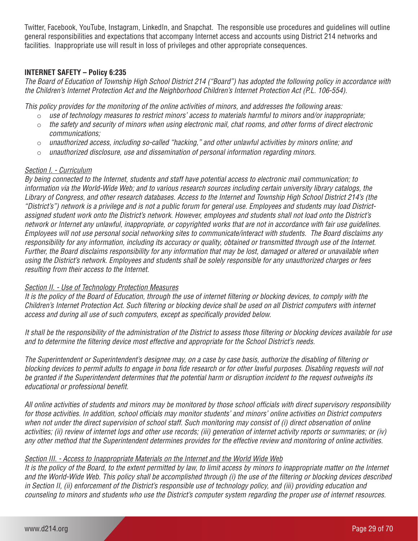Twitter, Facebook, YouTube, Instagram, LinkedIn, and Snapchat. The responsible use procedures and guidelines will outline general responsibilities and expectations that accompany Internet access and accounts using District 214 networks and facilities. Inappropriate use will result in loss of privileges and other appropriate consequences.

# **INTERNET SAFETY – Policy 6:235**

*The Board of Education of Township High School District 214 ("Board") has adopted the following policy in accordance with the Children's Internet Protection Act and the Neighborhood Children's Internet Protection Act (P.L. 106-554).*

*This policy provides for the monitoring of the online activities of minors, and addresses the following areas:*

- o *use of technology measures to restrict minors' access to materials harmful to minors and/or inappropriate;*
- o *the safety and security of minors when using electronic mail, chat rooms, and other forms of direct electronic communications;*
- o *unauthorized access, including so-called "hacking," and other unlawful activities by minors online; and*
- o *unauthorized disclosure, use and dissemination of personal information regarding minors.*

#### *Section I. - Curriculum*

*By being connected to the Internet, students and staff have potential access to electronic mail communication; to information via the World-Wide Web; and to various research sources including certain university library catalogs, the Library of Congress, and other research databases. Access to the Internet and Township High School District 214's (the "District's") network is a privilege and is not a public forum for general use. Employees and students may load Districtassigned student work onto the District's network. However, employees and students shall not load onto the District's network or Internet any unlawful, inappropriate, or copyrighted works that are not in accordance with fair use guidelines. Employees will not use personal social networking sites to communicate/interact with students. The Board disclaims any responsibility for any information, including its accuracy or quality, obtained or transmitted through use of the Internet. Further, the Board disclaims responsibility for any information that may be lost, damaged or altered or unavailable when using the District's network. Employees and students shall be solely responsible for any unauthorized charges or fees resulting from their access to the Internet.*

#### *Section II. - Use of Technology Protection Measures*

*It is the policy of the Board of Education, through the use of internet filtering or blocking devices, to comply with the Children's Internet Protection Act. Such filtering or blocking device shall be used on all District computers with internet access and during all use of such computers, except as specifically provided below.*

*It shall be the responsibility of the administration of the District to assess those filtering or blocking devices available for use and to determine the filtering device most effective and appropriate for the School District's needs.*

*The Superintendent or Superintendent's designee may, on a case by case basis, authorize the disabling of filtering or blocking devices to permit adults to engage in bona fide research or for other lawful purposes. Disabling requests will not be granted if the Superintendent determines that the potential harm or disruption incident to the request outweighs its educational or professional benefit.*

*All online activities of students and minors may be monitored by those school officials with direct supervisory responsibility for those activities. In addition, school officials may monitor students' and minors' online activities on District computers when not under the direct supervision of school staff. Such monitoring may consist of (i) direct observation of online activities; (ii) review of internet logs and other use records; (iii) generation of internet activity reports or summaries; or (iv) any other method that the Superintendent determines provides for the effective review and monitoring of online activities.*

# *Section III. - Access to Inappropriate Materials on the Internet and the World Wide Web*

*It is the policy of the Board, to the extent permitted by law, to limit access by minors to inappropriate matter on the Internet and the World-Wide Web. This policy shall be accomplished through (i) the use of the filtering or blocking devices described in Section II, (ii) enforcement of the District's responsible use of technology policy, and (iii) providing education and counseling to minors and students who use the District's computer system regarding the proper use of internet resources.*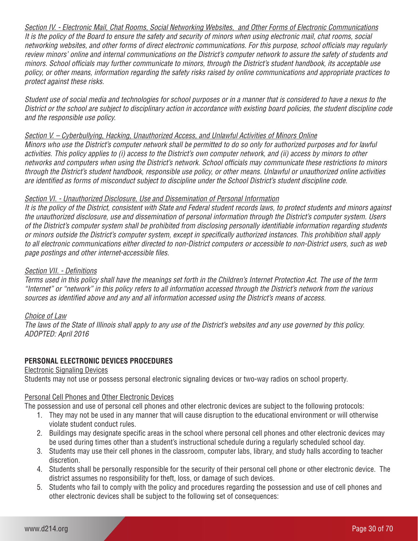*Section IV. - Electronic Mail, Chat Rooms, Social Networking Websites, and Other Forms of Electronic Communications It is the policy of the Board to ensure the safety and security of minors when using electronic mail, chat rooms, social networking websites, and other forms of direct electronic communications. For this purpose, school officials may regularly review minors' online and internal communications on the District's computer network to assure the safety of students and minors. School officials may further communicate to minors, through the District's student handbook, its acceptable use policy, or other means, information regarding the safety risks raised by online communications and appropriate practices to protect against these risks.*

*Student use of social media and technologies for school purposes or in a manner that is considered to have a nexus to the District or the school are subject to disciplinary action in accordance with existing board policies, the student discipline code and the responsible use policy.*

#### *Section V. – Cyberbullying, Hacking, Unauthorized Access, and Unlawful Activities of Minors Online*

*Minors who use the District's computer network shall be permitted to do so only for authorized purposes and for lawful activities. This policy applies to (i) access to the District's own computer network, and (ii) access by minors to other networks and computers when using the District's network. School officials may communicate these restrictions to minors through the District's student handbook, responsible use policy, or other means. Unlawful or unauthorized online activities are identified as forms of misconduct subject to discipline under the School District's student discipline code.*

#### *Section VI. - Unauthorized Disclosure, Use and Dissemination of Personal Information*

*It is the policy of the District, consistent with State and Federal student records laws, to protect students and minors against the unauthorized disclosure, use and dissemination of personal information through the District's computer system. Users of the District's computer system shall be prohibited from disclosing personally identifiable information regarding students or minors outside the District's computer system, except in specifically authorized instances. This prohibition shall apply to all electronic communications either directed to non-District computers or accessible to non-District users, such as web page postings and other internet-accessible files.*

#### *Section VII. - Definitions*

*Terms used in this policy shall have the meanings set forth in the Children's Internet Protection Act. The use of the term "Internet" or "network" in this policy refers to all information accessed through the District's network from the various sources as identified above and any and all information accessed using the District's means of access.*

# *Choice of Law*

*The laws of the State of Illinois shall apply to any use of the District's websites and any use governed by this policy. ADOPTED: April 2016*

# **PERSONAL ELECTRONIC DEVICES PROCEDURES**

#### Electronic Signaling Devices

Students may not use or possess personal electronic signaling devices or two-way radios on school property.

#### Personal Cell Phones and Other Electronic Devices

The possession and use of personal cell phones and other electronic devices are subject to the following protocols:

- 1. They may not be used in any manner that will cause disruption to the educational environment or will otherwise violate student conduct rules.
- 2. Buildings may designate specific areas in the school where personal cell phones and other electronic devices may be used during times other than a student's instructional schedule during a regularly scheduled school day.
- 3. Students may use their cell phones in the classroom, computer labs, library, and study halls according to teacher discretion.
- 4. Students shall be personally responsible for the security of their personal cell phone or other electronic device. The district assumes no responsibility for theft, loss, or damage of such devices.
- 5. Students who fail to comply with the policy and procedures regarding the possession and use of cell phones and other electronic devices shall be subject to the following set of consequences: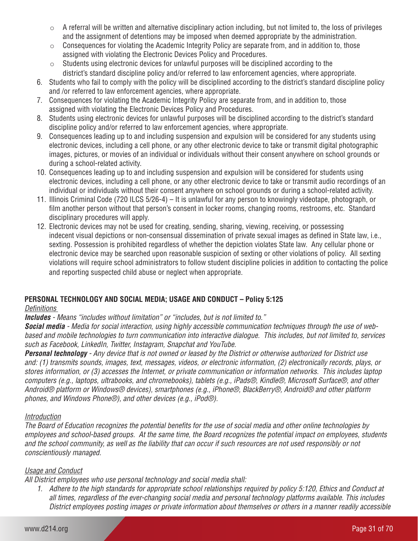- $\circ$  A referral will be written and alternative disciplinary action including, but not limited to, the loss of privileges and the assignment of detentions may be imposed when deemed appropriate by the administration.
- $\circ$  Consequences for violating the Academic Integrity Policy are separate from, and in addition to, those assigned with violating the Electronic Devices Policy and Procedures.
- $\circ$  Students using electronic devices for unlawful purposes will be disciplined according to the district's standard discipline policy and/or referred to law enforcement agencies, where appropriate.
- 6. Students who fail to comply with the policy will be disciplined according to the district's standard discipline policy and /or referred to law enforcement agencies, where appropriate.
- 7. Consequences for violating the Academic Integrity Policy are separate from, and in addition to, those assigned with violating the Electronic Devices Policy and Procedures.
- 8. Students using electronic devices for unlawful purposes will be disciplined according to the district's standard discipline policy and/or referred to law enforcement agencies, where appropriate.
- 9. Consequences leading up to and including suspension and expulsion will be considered for any students using electronic devices, including a cell phone, or any other electronic device to take or transmit digital photographic images, pictures, or movies of an individual or individuals without their consent anywhere on school grounds or during a school-related activity.
- 10. Consequences leading up to and including suspension and expulsion will be considered for students using electronic devices, including a cell phone, or any other electronic device to take or transmit audio recordings of an individual or individuals without their consent anywhere on school grounds or during a school-related activity.
- 11. Illinois Criminal Code (720 ILCS 5/26-4) It is unlawful for any person to knowingly videotape, photograph, or film another person without that person's consent in locker rooms, changing rooms, restrooms, etc. Standard disciplinary procedures will apply.
- 12. Electronic devices may not be used for creating, sending, sharing, viewing, receiving, or possessing indecent visual depictions or non-consensual dissemination of private sexual images as defined in State law, i.e., sexting. Possession is prohibited regardless of whether the depiction violates State law. Any cellular phone or electronic device may be searched upon reasonable suspicion of sexting or other violations of policy. All sexting violations will require school administrators to follow student discipline policies in addition to contacting the police and reporting suspected child abuse or neglect when appropriate.

# **PERSONAL TECHNOLOGY AND SOCIAL MEDIA; USAGE AND CONDUCT – Policy 5:125**

# *Definitions*

*Includes - Means "includes without limitation" or "includes, but is not limited to."*

*Social media - Media for social interaction, using highly accessible communication techniques through the use of webbased and mobile technologies to turn communication into interactive dialogue. This includes, but not limited to, services such as Facebook, LinkedIn, Twitter, Instagram, Snapchat and YouTube.* 

*Personal technology - Any device that is not owned or leased by the District or otherwise authorized for District use and: (1) transmits sounds, images, text, messages, videos, or electronic information, (2) electronically records, plays, or stores information, or (3) accesses the Internet, or private communication or information networks. This includes laptop computers (e.g., laptops, ultrabooks, and chromebooks), tablets (e.g., iPads®, Kindle®, Microsoft Surface®, and other Android® platform or Windows® devices), smartphones (e.g., iPhone®, BlackBerry®, Android® and other platform phones, and Windows Phone®), and other devices (e.g., iPod®).* 

# *Introduction*

*The Board of Education recognizes the potential benefits for the use of social media and other online technologies by employees and school-based groups. At the same time, the Board recognizes the potential impact on employees, students and the school community, as well as the liability that can occur if such resources are not used responsibly or not conscientiously managed.*

# *Usage and Conduct*

*All District employees who use personal technology and social media shall:* 

*1. Adhere to the high standards for appropriate school relationships required by policy 5:120, Ethics and Conduct at all times, regardless of the ever-changing social media and personal technology platforms available. This includes District employees posting images or private information about themselves or others in a manner readily accessible*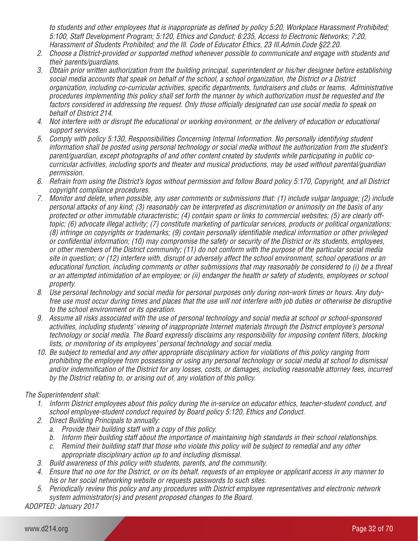*to students and other employees that is inappropriate as defined by policy 5:20, Workplace Harassment Prohibited; 5:100, Staff Development Program; 5:120, Ethics and Conduct; 6:235, Access to Electronic Networks; 7:20, Harassment of Students Prohibited; and the Ill. Code of Educator Ethics, 23 Ill.Admin.Code §22.20.*

- *2. Choose a District-provided or supported method whenever possible to communicate and engage with students and their parents/guardians.*
- *3. Obtain prior written authorization from the building principal, superintendent or his/her designee before establishing social media accounts that speak on behalf of the school, a school organization, the District or a District organization, including co-curricular activities, specific departments, fundraisers and clubs or teams. Administrative procedures implementing this policy shall set forth the manner by which authorization must be requested and the*  factors considered in addressing the request. Only those officially designated can use social media to speak on *behalf of District 214.*
- *4. Not interfere with or disrupt the educational or working environment, or the delivery of education or educational support services.*
- *5. Comply with policy 5:130, Responsibilities Concerning Internal Information. No personally identifying student information shall be posted using personal technology or social media without the authorization from the student's parent/guardian, except photographs of and other content created by students while participating in public cocurricular activities, including sports and theater and musical productions, may be used without parental/guardian permission.*
- *6. Refrain from using the District's logos without permission and follow Board policy 5:170, Copyright, and all District copyright compliance procedures.*
- *7. Monitor and delete, when possible, any user comments or submissions that: (1) include vulgar language; (2) include personal attacks of any kind; (3) reasonably can be interpreted as discrimination or animosity on the basis of any protected or other immutable characteristic; (4) contain spam or links to commercial websites; (5) are clearly offtopic; (6) advocate illegal activity; (7) constitute marketing of particular services, products or political organizations; (8) infringe on copyrights or trademarks; (9) contain personally identifiable medical information or other privileged or confidential information; (10) may compromise the safety or security of the District or its students, employees, or other members of the District community; (11) do not conform with the purpose of the particular social media site in question; or (12) interfere with, disrupt or adversely affect the school environment, school operations or an educational function, including comments or other submissions that may reasonably be considered to (i) be a threat or an attempted intimidation of an employee; or (ii) endanger the health or safety of students, employees or school property.*
- *8. Use personal technology and social media for personal purposes only during non-work times or hours. Any dutyfree use must occur during times and places that the use will not interfere with job duties or otherwise be disruptive to the school environment or its operation.*
- *9. Assume all risks associated with the use of personal technology and social media at school or school-sponsored activities, including students' viewing of inappropriate Internet materials through the District employee's personal technology or social media. The Board expressly disclaims any responsibility for imposing content filters, blocking lists, or monitoring of its employees' personal technology and social media.*
- *10. Be subject to remedial and any other appropriate disciplinary action for violations of this policy ranging from prohibiting the employee from possessing or using any personal technology or social media at school to dismissal and/or indemnification of the District for any losses, costs, or damages, including reasonable attorney fees, incurred by the District relating to, or arising out of, any violation of this policy.*

# *The Superintendent shall:*

- *1. Inform District employees about this policy during the in-service on educator ethics, teacher-student conduct, and school employee-student conduct required by Board policy 5:120, Ethics and Conduct.*
- *2. Direct Building Principals to annually:* 
	- *a. Provide their building staff with a copy of this policy.*
	- *b. Inform their building staff about the importance of maintaining high standards in their school relationships.*
	- *c. Remind their building staff that those who violate this policy will be subject to remedial and any other appropriate disciplinary action up to and including dismissal.*
- *3. Build awareness of this policy with students, parents, and the community.*
- *4. Ensure that no one for the District, or on its behalf, requests of an employee or applicant access in any manner to his or her social networking website or requests passwords to such sites.*
- *5. Periodically review this policy and any procedures with District employee representatives and electronic network system administrator(s) and present proposed changes to the Board.*

*ADOPTED: January 2017*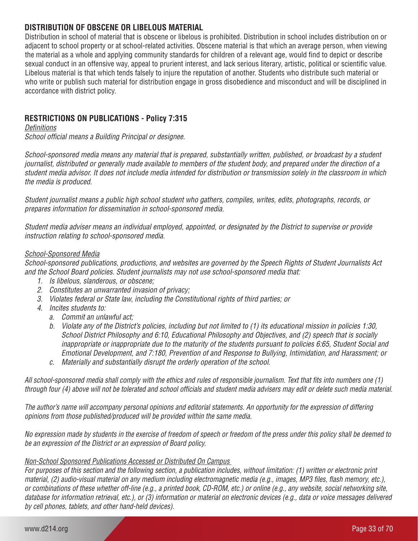# **DISTRIBUTION OF OBSCENE OR LIBELOUS MATERIAL**

Distribution in school of material that is obscene or libelous is prohibited. Distribution in school includes distribution on or adjacent to school property or at school-related activities. Obscene material is that which an average person, when viewing the material as a whole and applying community standards for children of a relevant age, would find to depict or describe sexual conduct in an offensive way, appeal to prurient interest, and lack serious literary, artistic, political or scientific value. Libelous material is that which tends falsely to injure the reputation of another. Students who distribute such material or who write or publish such material for distribution engage in gross disobedience and misconduct and will be disciplined in accordance with district policy.

# **RESTRICTIONS ON PUBLICATIONS - Policy 7:315**

*Definitions*

*School official means a Building Principal or designee.* 

*School-sponsored media means any material that is prepared, substantially written, published, or broadcast by a student journalist, distributed or generally made available to members of the student body, and prepared under the direction of a student media advisor. It does not include media intended for distribution or transmission solely in the classroom in which the media is produced.*

*Student journalist means a public high school student who gathers, compiles, writes, edits, photographs, records, or prepares information for dissemination in school-sponsored media.*

*Student media adviser means an individual employed, appointed, or designated by the District to supervise or provide instruction relating to school-sponsored media.*

# *School-Sponsored Media*

*School-sponsored publications, productions, and websites are governed by the Speech Rights of Student Journalists Act and the School Board policies. Student journalists may not use school-sponsored media that:* 

- *1. Is libelous, slanderous, or obscene;*
- *2. Constitutes an unwarranted invasion of privacy;*
- *3. Violates federal or State law, including the Constitutional rights of third parties; or*
- *4. Incites students to:* 
	- *a. Commit an unlawful act;*
	- *b. Violate any of the District's policies, including but not limited to (1) its educational mission in policies 1:30, School District Philosophy and 6:10, Educational Philosophy and Objectives, and (2) speech that is socially inappropriate or inappropriate due to the maturity of the students pursuant to policies 6:65, Student Social and Emotional Development, and 7:180, Prevention of and Response to Bullying, Intimidation, and Harassment; or*
	- *c. Materially and substantially disrupt the orderly operation of the school.*

*All school-sponsored media shall comply with the ethics and rules of responsible journalism. Text that fits into numbers one (1) through four (4) above will not be tolerated and school officials and student media advisers may edit or delete such media material.*

*The author's name will accompany personal opinions and editorial statements. An opportunity for the expression of differing opinions from those published/produced will be provided within the same media.*

*No expression made by students in the exercise of freedom of speech or freedom of the press under this policy shall be deemed to be an expression of the District or an expression of Board policy.*

# *Non-School Sponsored Publications Accessed or Distributed On Campus*

*For purposes of this section and the following section, a publication includes, without limitation: (1) written or electronic print material, (2) audio-visual material on any medium including electromagnetic media (e.g., images, MP3 files, flash memory, etc.), or combinations of these whether off-line (e.g., a printed book, CD-ROM, etc.) or online (e.g., any website, social networking site, database for information retrieval, etc.), or (3) information or material on electronic devices (e.g., data or voice messages delivered by cell phones, tablets, and other hand-held devices).*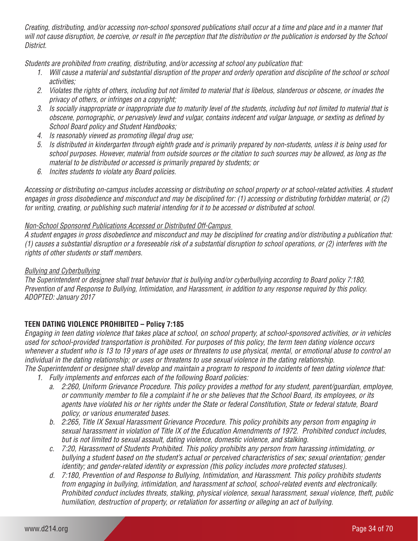*Creating, distributing, and/or accessing non-school sponsored publications shall occur at a time and place and in a manner that will not cause disruption, be coercive, or result in the perception that the distribution or the publication is endorsed by the School District.* 

*Students are prohibited from creating, distributing, and/or accessing at school any publication that:*

- *1. Will cause a material and substantial disruption of the proper and orderly operation and discipline of the school or school activities;*
- *2. Violates the rights of others, including but not limited to material that is libelous, slanderous or obscene, or invades the privacy of others, or infringes on a copyright;*
- *3. Is socially inappropriate or inappropriate due to maturity level of the students, including but not limited to material that is obscene, pornographic, or pervasively lewd and vulgar, contains indecent and vulgar language, or sexting as defined by School Board policy and Student Handbooks;*
- *4. Is reasonably viewed as promoting illegal drug use;*
- *5. Is distributed in kindergarten through eighth grade and is primarily prepared by non-students, unless it is being used for school purposes. However, material from outside sources or the citation to such sources may be allowed, as long as the material to be distributed or accessed is primarily prepared by students; or*
- *6. Incites students to violate any Board policies.*

*Accessing or distributing on-campus includes accessing or distributing on school property or at school-related activities. A student engages in gross disobedience and misconduct and may be disciplined for: (1) accessing or distributing forbidden material, or (2) for writing, creating, or publishing such material intending for it to be accessed or distributed at school.* 

#### *Non-School Sponsored Publications Accessed or Distributed Off-Campus*

*A student engages in gross disobedience and misconduct and may be disciplined for creating and/or distributing a publication that: (1) causes a substantial disruption or a foreseeable risk of a substantial disruption to school operations, or (2) interferes with the rights of other students or staff members.* 

#### *Bullying and Cyberbullying*

*The Superintendent or designee shall treat behavior that is bullying and/or cyberbullying according to Board policy 7:180, Prevention of and Response to Bullying, Intimidation, and Harassment, in addition to any response required by this policy. ADOPTED: January 2017*

# **TEEN DATING VIOLENCE PROHIBITED – Policy 7:185**

*Engaging in teen dating violence that takes place at school, on school property, at school-sponsored activities, or in vehicles used for school-provided transportation is prohibited. For purposes of this policy, the term teen dating violence occurs whenever a student who is 13 to 19 years of age uses or threatens to use physical, mental, or emotional abuse to control an individual in the dating relationship; or uses or threatens to use sexual violence in the dating relationship. The Superintendent or designee shall develop and maintain a program to respond to incidents of teen dating violence that:* 

*1. Fully implements and enforces each of the following Board policies:*

- *a. 2:260, Uniform Grievance Procedure. This policy provides a method for any student, parent/guardian, employee, or community member to file a complaint if he or she believes that the School Board, its employees, or its agents have violated his or her rights under the State or federal Constitution, State or federal statute, Board policy, or various enumerated bases.*
- *b. 2:265, Title IX Sexual Harassment Grievance Procedure. This policy prohibits any person from engaging in sexual harassment in violation of Title IX of the Education Amendments of 1972. Prohibited conduct includes, but is not limited to sexual assault, dating violence, domestic violence, and stalking.*
- *c. 7:20, Harassment of Students Prohibited. This policy prohibits any person from harassing intimidating, or bullying a student based on the student's actual or perceived characteristics of sex; sexual orientation; gender identity; and gender-related identity or expression (this policy includes more protected statuses).*
- *d. 7:180, Prevention of and Response to Bullying, Intimidation, and Harassment. This policy prohibits students from engaging in bullying, intimidation, and harassment at school, school-related events and electronically. Prohibited conduct includes threats, stalking, physical violence, sexual harassment, sexual violence, theft, public humiliation, destruction of property, or retaliation for asserting or alleging an act of bullying.*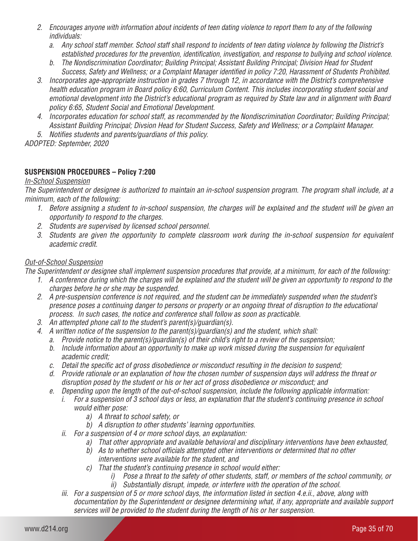- *2. Encourages anyone with information about incidents of teen dating violence to report them to any of the following individuals:* 
	- *a. Any school staff member. School staff shall respond to incidents of teen dating violence by following the District's established procedures for the prevention, identification, investigation, and response to bullying and school violence.*
	- *b. The Nondiscrimination Coordinator; Building Principal; Assistant Building Principal; Division Head for Student Success, Safety and Wellness; or a Complaint Manager identified in policy 7:20, Harassment of Students Prohibited.*
- *3. Incorporates age-appropriate instruction in grades 7 through 12, in accordance with the District's comprehensive health education program in Board policy 6:60, Curriculum Content. This includes incorporating student social and emotional development into the District's educational program as required by State law and in alignment with Board policy 6:65, Student Social and Emotional Development.*
- *4. Incorporates education for school staff, as recommended by the Nondiscrimination Coordinator; Building Principal; Assistant Building Principal; Divsion Head for Student Success, Safety and Wellness; or a Complaint Manager.*

*5. Notifies students and parents/guardians of this policy.* 

*ADOPTED: September, 2020*

# **SUSPENSION PROCEDURES – Policy 7:200**

# *In-School Suspension*

*The Superintendent or designee is authorized to maintain an in-school suspension program. The program shall include, at a minimum, each of the following:*

- *1. Before assigning a student to in-school suspension, the charges will be explained and the student will be given an opportunity to respond to the charges.*
- *2. Students are supervised by licensed school personnel.*
- *3. Students are given the opportunity to complete classroom work during the in-school suspension for equivalent academic credit.*

# *Out-of-School Suspension*

*The Superintendent or designee shall implement suspension procedures that provide, at a minimum, for each of the following:* 

- *1. A conference during which the charges will be explained and the student will be given an opportunity to respond to the charges before he or she may be suspended.*
- *2. A pre-suspension conference is not required, and the student can be immediately suspended when the student's presence poses a continuing danger to persons or property or an ongoing threat of disruption to the educational process. In such cases, the notice and conference shall follow as soon as practicable.*
- *3. An attempted phone call to the student's parent(s)/guardian(s).*
- *4. A written notice of the suspension to the parent(s)/guardian(s) and the student, which shall:*
	- *a. Provide notice to the parent(s)/guardian(s) of their child's right to a review of the suspension;*
	- *b. Include information about an opportunity to make up work missed during the suspension for equivalent academic credit;*
	- *c. Detail the specific act of gross disobedience or misconduct resulting in the decision to suspend;*
	- *d. Provide rationale or an explanation of how the chosen number of suspension days will address the threat or disruption posed by the student or his or her act of gross disobedience or misconduct; and*
	- *e. Depending upon the length of the out-of-school suspension, include the following applicable information:*
		- *i. For a suspension of 3 school days or less, an explanation that the student's continuing presence in school would either pose:* 
			- *a) A threat to school safety, or*
			- *b) A disruption to other students' learning opportunities.*
		- *ii. For a suspension of 4 or more school days, an explanation:* 
			- *a) That other appropriate and available behavioral and disciplinary interventions have been exhausted,*
			- *b) As to whether school officials attempted other interventions or determined that no other interventions were available for the student, and*
			- *c) That the student's continuing presence in school would either:* 
				- *i) Pose a threat to the safety of other students, staff, or members of the school community, or*
				- *ii) Substantially disrupt, impede, or interfere with the operation of the school.*
		- *iii. For a suspension of 5 or more school days, the information listed in section 4.e.ii., above, along with documentation by the Superintendent or designee determining what, if any, appropriate and available support services will be provided to the student during the length of his or her suspension.*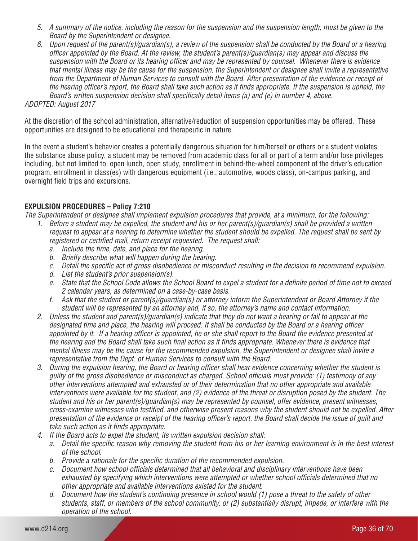- *5. A summary of the notice, including the reason for the suspension and the suspension length, must be given to the Board by the Superintendent or designee.*
- *6. Upon request of the parent(s)/guardian(s), a review of the suspension shall be conducted by the Board or a hearing officer appointed by the Board. At the review, the student's parent(s)/guardian(s) may appear and discuss the suspension with the Board or its hearing officer and may be represented by counsel. Whenever there is evidence that mental illness may be the cause for the suspension, the Superintendent or designee shall invite a representative from the Department of Human Services to consult with the Board. After presentation of the evidence or receipt of the hearing officer's report, the Board shall take such action as it finds appropriate. If the suspension is upheld, the Board's written suspension decision shall specifically detail items (a) and (e) in number 4, above.*

#### *ADOPTED: August 2017*

At the discretion of the school administration, alternative/reduction of suspension opportunities may be offered. These opportunities are designed to be educational and therapeutic in nature.

In the event a student's behavior creates a potentially dangerous situation for him/herself or others or a student violates the substance abuse policy, a student may be removed from academic class for all or part of a term and/or lose privileges including, but not limited to, open lunch, open study, enrollment in behind-the-wheel component of the driver's education program, enrollment in class(es) with dangerous equipment (i.e., automotive, woods class), on-campus parking, and overnight field trips and excursions.

# **EXPULSION PROCEDURES – Policy 7:210**

*The Superintendent or designee shall implement expulsion procedures that provide, at a minimum, for the following:* 

- *1. Before a student may be expelled, the student and his or her parent(s)/guardian(s) shall be provided a written request to appear at a hearing to determine whether the student should be expelled. The request shall be sent by registered or certified mail, return receipt requested. The request shall:* 
	- *a. Include the time, date, and place for the hearing.*
	- *b. Briefly describe what will happen during the hearing.*
	- *c. Detail the specific act of gross disobedience or misconduct resulting in the decision to recommend expulsion.*
	- *d. List the student's prior suspension(s).*
	- *e. State that the School Code allows the School Board to expel a student for a definite period of time not to exceed 2 calendar years, as determined on a case-by-case basis.*
	- *f. Ask that the student or parent(s)/guardian(s) or attorney inform the Superintendent or Board Attorney if the student will be represented by an attorney and, if so, the attorney's name and contact information.*
- *2. Unless the student and parent(s)/guardian(s) indicate that they do not want a hearing or fail to appear at the designated time and place, the hearing will proceed. It shall be conducted by the Board or a hearing officer appointed by it. If a hearing officer is appointed, he or she shall report to the Board the evidence presented at the hearing and the Board shall take such final action as it finds appropriate. Whenever there is evidence that mental illness may be the cause for the recommended expulsion, the Superintendent or designee shall invite a representative from the Dept. of Human Services to consult with the Board.*
- *3. During the expulsion hearing, the Board or hearing officer shall hear evidence concerning whether the student is guilty of the gross disobedience or misconduct as charged. School officials must provide: (1) testimony of any other interventions attempted and exhausted or of their determination that no other appropriate and available interventions were available for the student, and (2) evidence of the threat or disruption posed by the student. The student and his or her parent(s)/guardian(s) may be represented by counsel, offer evidence, present witnesses, cross-examine witnesses who testified, and otherwise present reasons why the student should not be expelled. After presentation of the evidence or receipt of the hearing officer's report, the Board shall decide the issue of guilt and take such action as it finds appropriate.*
- *4. If the Board acts to expel the student, its written expulsion decision shall:* 
	- *a. Detail the specific reason why removing the student from his or her learning environment is in the best interest of the school.*
	- *b. Provide a rationale for the specific duration of the recommended expulsion.*
	- *c. Document how school officials determined that all behavioral and disciplinary interventions have been exhausted by specifying which interventions were attempted or whether school officials determined that no other appropriate and available interventions existed for the student.*
	- *d. Document how the student's continuing presence in school would (1) pose a threat to the safety of other students, staff, or members of the school community, or (2) substantially disrupt, impede, or interfere with the operation of the school.*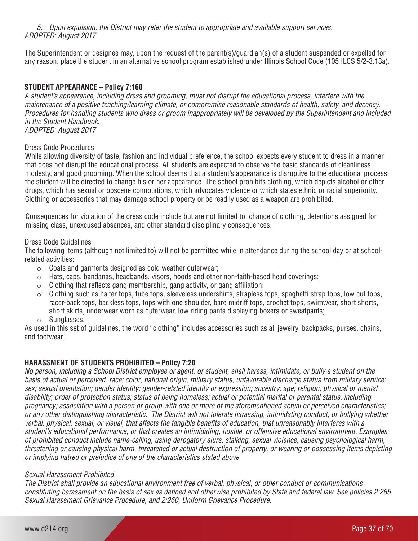*5. Upon expulsion, the District may refer the student to appropriate and available support services. ADOPTED: August 2017*

The Superintendent or designee may, upon the request of the parent(s)/guardian(s) of a student suspended or expelled for any reason, place the student in an alternative school program established under Illinois School Code (105 ILCS 5/2-3.13a).

# **STUDENT APPEARANCE – Policy 7:160**

*A student's appearance, including dress and grooming, must not disrupt the educational process, interfere with the maintenance of a positive teaching/learning climate, or compromise reasonable standards of health, safety, and decency. Procedures for handling students who dress or groom inappropriately will be developed by the Superintendent and included in the Student Handbook. ADOPTED: August 2017*

#### Dress Code Procedures

While allowing diversity of taste, fashion and individual preference, the school expects every student to dress in a manner that does not disrupt the educational process. All students are expected to observe the basic standards of cleanliness, modesty, and good grooming. When the school deems that a student's appearance is disruptive to the educational process, the student will be directed to change his or her appearance. The school prohibits clothing, which depicts alcohol or other drugs, which has sexual or obscene connotations, which advocates violence or which states ethnic or racial superiority. Clothing or accessories that may damage school property or be readily used as a weapon are prohibited.

Consequences for violation of the dress code include but are not limited to: change of clothing, detentions assigned for missing class, unexcused absences, and other standard disciplinary consequences.

#### Dress Code Guidelines

The following items (although not limited to) will not be permitted while in attendance during the school day or at schoolrelated activities:

- $\circ$  Coats and garments designed as cold weather outerwear:
- $\circ$  Hats, caps, bandanas, headbands, visors, hoods and other non-faith-based head coverings;
- $\circ$  Clothing that reflects gang membership, gang activity, or gang affiliation;
- $\circ$  Clothing such as halter tops, tube tops, sleeveless undershirts, strapless tops, spaghetti strap tops, low cut tops, racer-back tops, backless tops, tops with one shoulder, bare midriff tops, crochet tops, swimwear, short shorts, short skirts, underwear worn as outerwear, low riding pants displaying boxers or sweatpants;
- o Sunglasses.

As used in this set of guidelines, the word "clothing" includes accessories such as all jewelry, backpacks, purses, chains, and footwear.

# **HARASSMENT OF STUDENTS PROHIBITED – Policy 7:20**

*No person, including a School District employee or agent, or student, shall harass, intimidate, or bully a student on the basis of actual or perceived: race; color; national origin; military status; unfavorable discharge status from military service; sex; sexual orientation; gender identity; gender-related identity or expression; ancestry; age; religion; physical or mental disability; order of protection status; status of being homeless; actual or potential marital or parental status, including pregnancy; association with a person or group with one or more of the aforementioned actual or perceived characteristics; or any other distinguishing characteristic. The District will not tolerate harassing, intimidating conduct, or bullying whether verbal, physical, sexual, or visual, that affects the tangible benefits of education, that unreasonably interferes with a student's educational performance, or that creates an intimidating, hostile, or offensive educational environment. Examples of prohibited conduct include name-calling, using derogatory slurs, stalking, sexual violence, causing psychological harm, threatening or causing physical harm, threatened or actual destruction of property, or wearing or possessing items depicting or implying hatred or prejudice of one of the characteristics stated above.* 

#### *Sexual Harassment Prohibited*

*The District shall provide an educational environment free of verbal, physical, or other conduct or communications constituting harassment on the basis of sex as defined and otherwise prohibited by State and federal law. See policies 2:265 Sexual Harassment Grievance Procedure, and 2:260, Uniform Grievance Procedure.*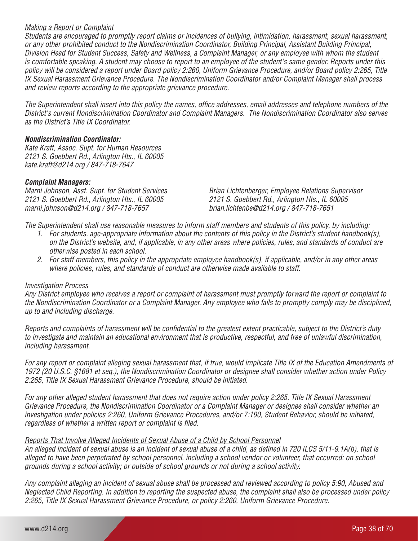#### *Making a Report or Complaint*

*Students are encouraged to promptly report claims or incidences of bullying, intimidation, harassment, sexual harassment, or any other prohibited conduct to the Nondiscrimination Coordinator, Building Principal, Assistant Building Principal, Division Head for Student Success, Safety and Wellness, a Complaint Manager, or any employee with whom the student is comfortable speaking. A student may choose to report to an employee of the student's same gender. Reports under this policy will be considered a report under Board policy 2:260, Uniform Grievance Procedure, and/or Board policy 2:265, Title IX Sexual Harassment Grievance Procedure. The Nondiscrimination Coordinator and/or Complaint Manager shall process and review reports according to the appropriate grievance procedure.*

*The Superintendent shall insert into this policy the names, office addresses, email addresses and telephone numbers of the District's current Nondiscrimination Coordinator and Complaint Managers. The Nondiscrimination Coordinator also serves as the District's Title IX Coordinator.*

#### *Nondiscrimination Coordinator:*

*Kate Kraft, Assoc. Supt. for Human Resources 2121 S. Goebbert Rd., Arlington Hts., IL 60005 kate.kraft@d214.org / 847-718-7647*

#### *Complaint Managers:*

*2121 S. Goebbert Rd., Arlington Hts., IL 60005 2121 S. Goebbert Rd., Arlington Hts., IL 60005 marni.johnson@d214.org / 847-718-7657 brian.lichtenbe@d214.org / 847-718-7651*

*Marni Johnson, Asst. Supt. for Student Services Brian Lichtenberger, Employee Relations Supervisor*

*The Superintendent shall use reasonable measures to inform staff members and students of this policy, by including:*

- *1. For students, age-appropriate information about the contents of this policy in the District's student handbook(s), on the District's website, and, if applicable, in any other areas where policies, rules, and standards of conduct are otherwise posted in each school.*
- *2. For staff members, this policy in the appropriate employee handbook(s), if applicable, and/or in any other areas where policies, rules, and standards of conduct are otherwise made available to staff.*

#### *Investigation Process*

*Any District employee who receives a report or complaint of harassment must promptly forward the report or complaint to the Nondiscrimination Coordinator or a Complaint Manager. Any employee who fails to promptly comply may be disciplined, up to and including discharge.*

*Reports and complaints of harassment will be confidential to the greatest extent practicable, subject to the District's duty to investigate and maintain an educational environment that is productive, respectful, and free of unlawful discrimination, including harassment.*

*For any report or complaint alleging sexual harassment that, if true, would implicate Title IX of the Education Amendments of 1972 (20 U.S.C. §1681 et seq.), the Nondiscrimination Coordinator or designee shall consider whether action under Policy 2:265, Title IX Sexual Harassment Grievance Procedure, should be initiated.*

*For any other alleged student harassment that does not require action under policy 2:265, Title IX Sexual Harassment Grievance Procedure, the Nondiscrimination Coordinator or a Complaint Manager or designee shall consider whether an investigation under policies 2:260, Uniform Grievance Procedures, and/or 7:190, Student Behavior, should be initiated, regardless of whether a written report or complaint is filed.*

# *Reports That Involve Alleged Incidents of Sexual Abuse of a Child by School Personnel*

*An alleged incident of sexual abuse is an incident of sexual abuse of a child, as defined in 720 ILCS 5/11-9.1A(b), that is alleged to have been perpetrated by school personnel, including a school vendor or volunteer, that occurred: on school grounds during a school activity; or outside of school grounds or not during a school activity.*

*Any complaint alleging an incident of sexual abuse shall be processed and reviewed according to policy 5:90, Abused and Neglected Child Reporting. In addition to reporting the suspected abuse, the complaint shall also be processed under policy 2:265, Title IX Sexual Harassment Grievance Procedure, or policy 2:260, Uniform Grievance Procedure.*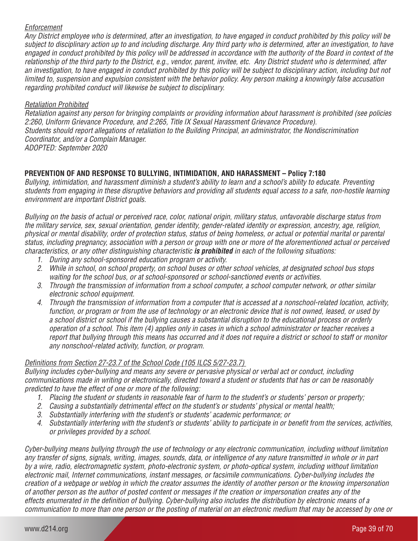#### *Enforcement*

*Any District employee who is determined, after an investigation, to have engaged in conduct prohibited by this policy will be subject to disciplinary action up to and including discharge. Any third party who is determined, after an investigation, to have engaged in conduct prohibited by this policy will be addressed in accordance with the authority of the Board in context of the relationship of the third party to the District, e.g., vendor, parent, invitee, etc. Any District student who is determined, after*  an investigation, to have engaged in conduct prohibited by this policy will be subject to disciplinary action, including but not *limited to, suspension and expulsion consistent with the behavior policy. Any person making a knowingly false accusation regarding prohibited conduct will likewise be subject to disciplinary.*

#### *Retaliation Prohibited*

*Retaliation against any person for bringing complaints or providing information about harassment is prohibited (see policies 2:260, Uniform Grievance Procedure, and 2:265, Title IX Sexual Harassment Grievance Procedure). Students should report allegations of retaliation to the Building Principal, an administrator, the Nondiscrimination Coordinator, and/or a Complain Manager. ADOPTED: September 2020*

# **PREVENTION OF AND RESPONSE TO BULLYING, INTIMIDATION, AND HARASSMENT – Policy 7:180**

*Bullying, intimidation, and harassment diminish a student's ability to learn and a school's ability to educate. Preventing students from engaging in these disruptive behaviors and providing all students equal access to a safe, non-hostile learning environment are important District goals.* 

*Bullying on the basis of actual or perceived race, color, national origin, military status, unfavorable discharge status from the military service, sex, sexual orientation, gender identity, gender-related identity or expression, ancestry, age, religion, physical or mental disability, order of protection status, status of being homeless, or actual or potential marital or parental status, including pregnancy, association with a person or group with one or more of the aforementioned actual or perceived characteristics, or any other distinguishing characteristic is prohibited in each of the following situations:* 

- *1. During any school-sponsored education program or activity.*
- *2. While in school, on school property, on school buses or other school vehicles, at designated school bus stops waiting for the school bus, or at school-sponsored or school-sanctioned events or activities.*
- *3. Through the transmission of information from a school computer, a school computer network, or other similar electronic school equipment.*
- *4. Through the transmission of information from a computer that is accessed at a nonschool-related location, activity, function, or program or from the use of technology or an electronic device that is not owned, leased, or used by a school district or school if the bullying causes a substantial disruption to the educational process or orderly operation of a school. This item (4) applies only in cases in which a school administrator or teacher receives a report that bullying through this means has occurred and it does not require a district or school to staff or monitor any nonschool-related activity, function, or program.*

# *Definitions from Section 27-23.7 of the School Code (105 ILCS 5/27-23.7)*

*Bullying includes cyber-bullying and means any severe or pervasive physical or verbal act or conduct, including communications made in writing or electronically, directed toward a student or students that has or can be reasonably predicted to have the effect of one or more of the following:* 

- *1. Placing the student or students in reasonable fear of harm to the student's or students' person or property;*
- *2. Causing a substantially detrimental effect on the student's or students' physical or mental health;*
- *3. Substantially interfering with the student's or students' academic performance; or*
- *4. Substantially interfering with the student's or students' ability to participate in or benefit from the services, activities, or privileges provided by a school.*

*Cyber-bullying means bullying through the use of technology or any electronic communication, including without limitation any transfer of signs, signals, writing, images, sounds, data, or intelligence of any nature transmitted in whole or in part by a wire, radio, electromagnetic system, photo-electronic system, or photo-optical system, including without limitation electronic mail, Internet communications, instant messages, or facsimile communications. Cyber-bullying includes the creation of a webpage or weblog in which the creator assumes the identity of another person or the knowing impersonation of another person as the author of posted content or messages if the creation or impersonation creates any of the effects enumerated in the definition of bullying. Cyber-bullying also includes the distribution by electronic means of a communication to more than one person or the posting of material on an electronic medium that may be accessed by one or*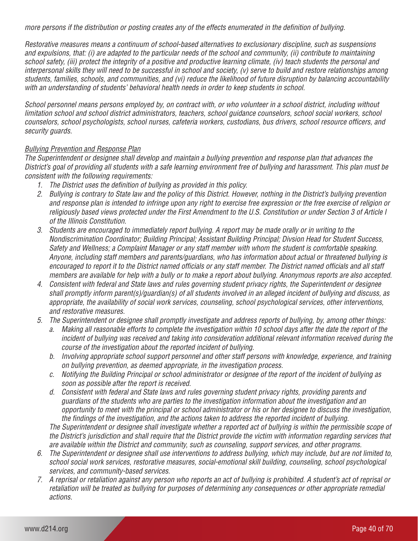*more persons if the distribution or posting creates any of the effects enumerated in the definition of bullying.*

*Restorative measures means a continuum of school-based alternatives to exclusionary discipline, such as suspensions and expulsions, that: (i) are adapted to the particular needs of the school and community, (ii) contribute to maintaining school safety, (iii) protect the integrity of a positive and productive learning climate, (iv) teach students the personal and interpersonal skills they will need to be successful in school and society, (v) serve to build and restore relationships among students, families, schools, and communities, and (vi) reduce the likelihood of future disruption by balancing accountability with an understanding of students' behavioral health needs in order to keep students in school.*

*School personnel means persons employed by, on contract with, or who volunteer in a school district, including without limitation school and school district administrators, teachers, school guidance counselors, school social workers, school counselors, school psychologists, school nurses, cafeteria workers, custodians, bus drivers, school resource officers, and security guards.* 

# *Bullying Prevention and Response Plan*

*The Superintendent or designee shall develop and maintain a bullying prevention and response plan that advances the District's goal of providing all students with a safe learning environment free of bullying and harassment. This plan must be consistent with the following requirements:* 

- *1. The District uses the definition of bullying as provided in this policy.*
- *2. Bullying is contrary to State law and the policy of this District. However, nothing in the District's bullying prevention and response plan is intended to infringe upon any right to exercise free expression or the free exercise of religion or religiously based views protected under the First Amendment to the U.S. Constitution or under Section 3 of Article I of the Illinois Constitution.*
- *3. Students are encouraged to immediately report bullying. A report may be made orally or in writing to the Nondiscrimination Coordinator; Building Principal; Assistant Building Principal; Divsion Head for Student Success, Safety and Wellness; a Complaint Manager or any staff member with whom the student is comfortable speaking. Anyone, including staff members and parents/guardians, who has information about actual or threatened bullying is encouraged to report it to the District named officials or any staff member. The District named officials and all staff members are available for help with a bully or to make a report about bullying. Anonymous reports are also accepted.*
- *4. Consistent with federal and State laws and rules governing student privacy rights, the Superintendent or designee shall promptly inform parent(s)/guardian(s) of all students involved in an alleged incident of bullying and discuss, as appropriate, the availability of social work services, counseling, school psychological services, other interventions, and restorative measures.*
- *5. The Superintendent or designee shall promptly investigate and address reports of bullying, by, among other things:* 
	- *a. Making all reasonable efforts to complete the investigation within 10 school days after the date the report of the incident of bullying was received and taking into consideration additional relevant information received during the course of the investigation about the reported incident of bullying.*
	- *b. Involving appropriate school support personnel and other staff persons with knowledge, experience, and training on bullying prevention, as deemed appropriate, in the investigation process.*
	- *c. Notifying the Building Principal or school administrator or designee of the report of the incident of bullying as soon as possible after the report is received.*
	- *d. Consistent with federal and State laws and rules governing student privacy rights, providing parents and guardians of the students who are parties to the investigation information about the investigation and an opportunity to meet with the principal or school administrator or his or her designee to discuss the investigation, the findings of the investigation, and the actions taken to address the reported incident of bullying.*

*The Superintendent or designee shall investigate whether a reported act of bullying is within the permissible scope of the District's jurisdiction and shall require that the District provide the victim with information regarding services that are available within the District and community, such as counseling, support services, and other programs.*

- *6. The Superintendent or designee shall use interventions to address bullying, which may include, but are not limited to, school social work services, restorative measures, social-emotional skill building, counseling, school psychological services, and community-based services.*
- *7. A reprisal or retaliation against any person who reports an act of bullying is prohibited. A student's act of reprisal or retaliation will be treated as bullying for purposes of determining any consequences or other appropriate remedial actions.*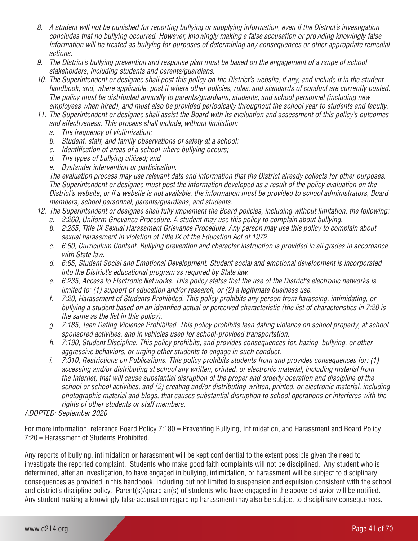- *8. A student will not be punished for reporting bullying or supplying information, even if the District's investigation concludes that no bullying occurred. However, knowingly making a false accusation or providing knowingly false information will be treated as bullying for purposes of determining any consequences or other appropriate remedial actions.*
- *9. The District's bullying prevention and response plan must be based on the engagement of a range of school stakeholders, including students and parents/guardians.*
- *10. The Superintendent or designee shall post this policy on the District's website, if any, and include it in the student handbook, and, where applicable, post it where other policies, rules, and standards of conduct are currently posted. The policy must be distributed annually to parents/guardians, students, and school personnel (including new employees when hired), and must also be provided periodically throughout the school year to students and faculty.*
- *11. The Superintendent or designee shall assist the Board with its evaluation and assessment of this policy's outcomes and effectiveness. This process shall include, without limitation:* 
	- *a. The frequency of victimization;*
	- *b. Student, staff, and family observations of safety at a school;*
	- *c. Identification of areas of a school where bullying occurs;*
	- *d. The types of bullying utilized; and*
	- *e. Bystander intervention or participation.*

*The evaluation process may use relevant data and information that the District already collects for other purposes. The Superintendent or designee must post the information developed as a result of the policy evaluation on the District's website, or if a website is not available, the information must be provided to school administrators, Board members, school personnel, parents/guardians, and students.* 

- *12. The Superintendent or designee shall fully implement the Board policies, including without limitation, the following:* 
	- *a. 2:260, Uniform Grievance Procedure. A student may use this policy to complain about bullying.*
	- *b. 2:265, Title IX Sexual Harassment Grievance Procedure. Any person may use this policy to complain about sexual harassment in violation of Title IX of the Education Act of 1972.*
	- *c. 6:60, Curriculum Content. Bullying prevention and character instruction is provided in all grades in accordance with State law.*
	- *d. 6:65, Student Social and Emotional Development. Student social and emotional development is incorporated into the District's educational program as required by State law.*
	- *e. 6:235, Access to Electronic Networks. This policy states that the use of the District's electronic networks is limited to: (1) support of education and/or research, or (2) a legitimate business use.*
	- *f. 7:20, Harassment of Students Prohibited. This policy prohibits any person from harassing, intimidating, or bullying a student based on an identified actual or perceived characteristic (the list of characteristics in 7:20 is the same as the list in this policy).*
	- *g. 7:185, Teen Dating Violence Prohibited. This policy prohibits teen dating violence on school property, at school sponsored activities, and in vehicles used for school-provided transportation.*
	- *h. 7:190, Student Discipline. This policy prohibits, and provides consequences for, hazing, bullying, or other aggressive behaviors, or urging other students to engage in such conduct.*
	- *i. 7:310, Restrictions on Publications. This policy prohibits students from and provides consequences for: (1) accessing and/or distributing at school any written, printed, or electronic material, including material from the Internet, that will cause substantial disruption of the proper and orderly operation and discipline of the school or school activities, and (2) creating and/or distributing written, printed, or electronic material, including photographic material and blogs, that causes substantial disruption to school operations or interferes with the rights of other students or staff members.*

# *ADOPTED: September 2020*

For more information, reference Board Policy 7:180 **–** Preventing Bullying, Intimidation, and Harassment and Board Policy 7:20 **–** Harassment of Students Prohibited.

Any reports of bullying, intimidation or harassment will be kept confidential to the extent possible given the need to investigate the reported complaint. Students who make good faith complaints will not be disciplined. Any student who is determined, after an investigation, to have engaged in bullying, intimidation, or harassment will be subject to disciplinary consequences as provided in this handbook, including but not limited to suspension and expulsion consistent with the school and district's discipline policy. Parent(s)/guardian(s) of students who have engaged in the above behavior will be notified. Any student making a knowingly false accusation regarding harassment may also be subject to disciplinary consequences.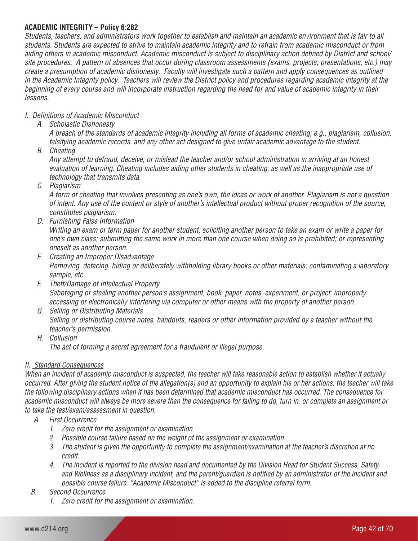# **ACADEMIC INTEGRITY – Policy 6:282**

*Students, teachers, and administrators work together to establish and maintain an academic environment that is fair to all students. Students are expected to strive to maintain academic integrity and to refrain from academic misconduct or from aiding others in academic misconduct. Academic misconduct is subject to disciplinary action defined by District and school/ site procedures. A pattern of absences that occur during classroom assessments (exams, projects, presentations, etc.) may create a presumption of academic dishonesty. Faculty will investigate such a pattern and apply consequences as outlined in the Academic Integrity policy. Teachers will review the District policy and procedures regarding academic integrity at the beginning of every course and will incorporate instruction regarding the need for and value of academic integrity in their lessons.*

# *I. Definitions of Academic Misconduct*

*A. Scholastic Dishonesty*

*A breach of the standards of academic integrity including all forms of academic cheating; e.g., plagiarism, collusion, falsifying academic records, and any other act designed to give unfair academic advantage to the student.*

*B. Cheating*

*Any attempt to defraud, deceive, or mislead the teacher and/or school administration in arriving at an honest evaluation of learning. Cheating includes aiding other students in cheating, as well as the inappropriate use of technology that transmits data.*

*C. Plagiarism*

*A form of cheating that involves presenting as one's own, the ideas or work of another. Plagiarism is not a question of intent. Any use of the content or style of another's intellectual product without proper recognition of the source, constitutes plagiarism.*

*D. Furnishing False Information*

*Writing an exam or term paper for another student; soliciting another person to take an exam or write a paper for one's own class; submitting the same work in more than one course when doing so is prohibited; or representing oneself as another person.*

- *E. Creating an Improper Disadvantage Removing, defacing, hiding or deliberately withholding library books or other materials; contaminating a laboratory sample, etc.*
- *F. Theft/Damage of Intellectual Property Sabotaging or stealing another person's assignment, book, paper, notes, experiment, or project; improperly accessing or electronically interfering via computer or other means with the property of another person.*
- *G. Selling or Distributing Materials Selling or distributing course notes, handouts, readers or other information provided by a teacher without the teacher's permission.*
- *H. Collusion The act of forming a secret agreement for a fraudulent or illegal purpose.*

# *II. Standard Consequences*

*When an incident of academic misconduct is suspected, the teacher will take reasonable action to establish whether it actually occurred. After giving the student notice of the allegation(s) and an opportunity to explain his or her actions, the teacher will take the following disciplinary actions when it has been determined that academic misconduct has occurred. The consequence for academic misconduct will always be more severe than the consequence for failing to do, turn in, or complete an assignment or to take the test/exam/assessment in question.*

- *A. First Occurrence*
	- *1. Zero credit for the assignment or examination.*
	- *2. Possible course failure based on the weight of the assignment or examination.*
	- *3. The student is given the opportunity to complete the assignment/examination at the teacher's discretion at no credit.*
	- *4. The incident is reported to the division head and documented by the Division Head for Student Success, Safety and Wellness as a disciplinary incident, and the parent/guardian is notified by an administrator of the incident and possible course failure. "Academic Misconduct" is added to the discipline referral form.*
- *B. Second Occurrence*
	- *1. Zero credit for the assignment or examination.*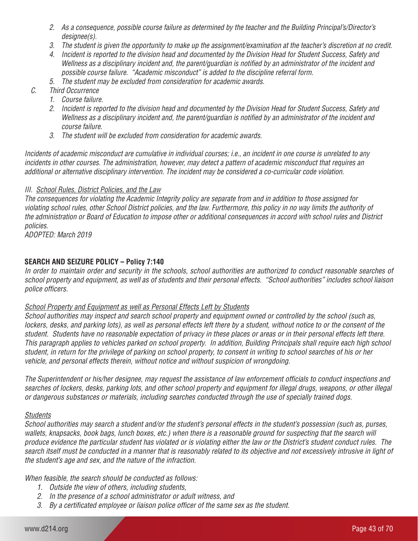- *2. As a consequence, possible course failure as determined by the teacher and the Building Principal's/Director's designee(s).*
- *3. The student is given the opportunity to make up the assignment/examination at the teacher's discretion at no credit.*
- *4. Incident is reported to the division head and documented by the Division Head for Student Success, Safety and Wellness as a disciplinary incident and, the parent/guardian is notified by an administrator of the incident and possible course failure. "Academic misconduct" is added to the discipline referral form.*
- *5. The student may be excluded from consideration for academic awards.*
- *C. Third Occurrence*
	- *1. Course failure.*
	- *2. Incident is reported to the division head and documented by the Division Head for Student Success, Safety and Wellness as a disciplinary incident and, the parent/guardian is notified by an administrator of the incident and course failure.*
	- *3. The student will be excluded from consideration for academic awards.*

*Incidents of academic misconduct are cumulative in individual courses; i.e., an incident in one course is unrelated to any incidents in other courses. The administration, however, may detect a pattern of academic misconduct that requires an additional or alternative disciplinary intervention. The incident may be considered a co-curricular code violation.*

#### *III. School Rules, District Policies, and the Law*

*The consequences for violating the Academic Integrity policy are separate from and in addition to those assigned for violating school rules, other School District policies, and the law. Furthermore, this policy in no way limits the authority of the administration or Board of Education to impose other or additional consequences in accord with school rules and District policies.*

*ADOPTED: March 2019*

# **SEARCH AND SEIZURE POLICY – Policy 7:140**

*In order to maintain order and security in the schools, school authorities are authorized to conduct reasonable searches of school property and equipment, as well as of students and their personal effects. "School authorities" includes school liaison police officers.* 

#### *School Property and Equipment as well as Personal Effects Left by Students*

*School authorities may inspect and search school property and equipment owned or controlled by the school (such as, lockers, desks, and parking lots), as well as personal effects left there by a student, without notice to or the consent of the student. Students have no reasonable expectation of privacy in these places or areas or in their personal effects left there. This paragraph applies to vehicles parked on school property. In addition, Building Principals shall require each high school student, in return for the privilege of parking on school property, to consent in writing to school searches of his or her vehicle, and personal effects therein, without notice and without suspicion of wrongdoing.*

*The Superintendent or his/her designee, may request the assistance of law enforcement officials to conduct inspections and searches of lockers, desks, parking lots, and other school property and equipment for illegal drugs, weapons, or other illegal or dangerous substances or materials, including searches conducted through the use of specially trained dogs.* 

# *Students*

*School authorities may search a student and/or the student's personal effects in the student's possession (such as, purses,*  wallets, knapsacks, book bags, lunch boxes, etc.) when there is a reasonable ground for suspecting that the search will *produce evidence the particular student has violated or is violating either the law or the District's student conduct rules. The search itself must be conducted in a manner that is reasonably related to its objective and not excessively intrusive in light of the student's age and sex, and the nature of the infraction.*

*When feasible, the search should be conducted as follows:* 

- *1. Outside the view of others, including students,*
- *2. In the presence of a school administrator or adult witness, and*
- *3. By a certificated employee or liaison police officer of the same sex as the student.*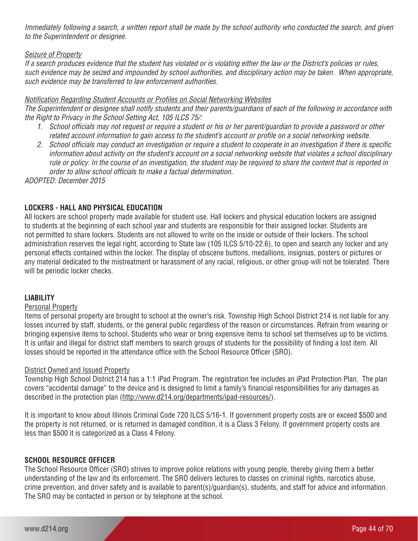*Immediately following a search, a written report shall be made by the school authority who conducted the search, and given to the Superintendent or designee.*

# *Seizure of Property*

*If a search produces evidence that the student has violated or is violating either the law or the District's policies or rules, such evidence may be seized and impounded by school authorities, and disciplinary action may be taken. When appropriate, such evidence may be transferred to law enforcement authorities.* 

# *Notification Regarding Student Accounts or Profiles on Social Networking Websites*

*The Superintendent or designee shall notify students and their parents/guardians of each of the following in accordance with the Right to Privacy in the School Setting Act, 105 ILCS 75/:*

- *1. School officials may not request or require a student or his or her parent/guardian to provide a password or other related account information to gain access to the student's account or profile on a social networking website.*
- *2. School officials may conduct an investigation or require a student to cooperate in an investigation if there is specific information about activity on the student's account on a social networking website that violates a school disciplinary rule or policy. In the course of an investigation, the student may be required to share the content that is reported in order to allow school officials to make a factual determination.*

*ADOPTED: December 2015*

# **LOCKERS - HALL AND PHYSICAL EDUCATION**

All lockers are school property made available for student use. Hall lockers and physical education lockers are assigned to students at the beginning of each school year and students are responsible for their assigned locker. Students are not permitted to share lockers. Students are not allowed to write on the inside or outside of their lockers. The school administration reserves the legal right, according to State law (105 ILCS 5/10-22.6), to open and search any locker and any personal effects contained within the locker. The display of obscene buttons, medallions, insignias, posters or pictures or any material dedicated to the mistreatment or harassment of any racial, religious, or other group will not be tolerated. There will be periodic locker checks.

# **LIABILITY**

#### Personal Property

Items of personal property are brought to school at the owner's risk. Township High School District 214 is not liable for any losses incurred by staff, students, or the general public regardless of the reason or circumstances. Refrain from wearing or bringing expensive items to school. Students who wear or bring expensive items to school set themselves up to be victims. It is unfair and illegal for district staff members to search groups of students for the possibility of finding a lost item. All losses should be reported in the attendance office with the School Resource Officer (SRO).

# District Owned and Issued Property

Township High School District 214 has a 1:1 iPad Program. The registration fee includes an iPad Protection Plan. The plan covers "accidental damage" to the device and is designed to limit a family's financial responsibilities for any damages as described in the protection plan (http://www.d214.org/departments/ipad-resources/).

It is important to know about Illinois Criminal Code 720 ILCS 5/16-1. If government property costs are or exceed \$500 and the property is not returned, or is returned in damaged condition, it is a Class 3 Felony. If government property costs are less than \$500 it is categorized as a Class 4 Felony.

# **SCHOOL RESOURCE OFFICER**

The School Resource Officer (SRO) strives to improve police relations with young people, thereby giving them a better understanding of the law and its enforcement. The SRO delivers lectures to classes on criminal rights, narcotics abuse, crime prevention, and driver safety and is available to parent(s)/guardian(s), students, and staff for advice and information. The SRO may be contacted in person or by telephone at the school.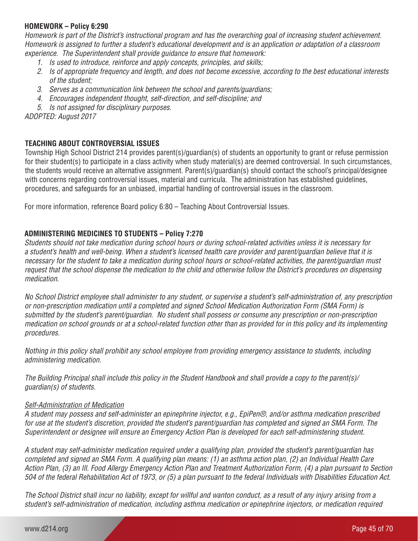# **HOMEWORK – Policy 6:290**

*Homework is part of the District's instructional program and has the overarching goal of increasing student achievement. Homework is assigned to further a student's educational development and is an application or adaptation of a classroom experience. The Superintendent shall provide guidance to ensure that homework:*

- *1. Is used to introduce, reinforce and apply concepts, principles, and skills;*
- *2. Is of appropriate frequency and length, and does not become excessive, according to the best educational interests of the student;*
- *3. Serves as a communication link between the school and parents/guardians;*
- *4. Encourages independent thought, self-direction, and self-discipline; and*
- *5. Is not assigned for disciplinary purposes.*

*ADOPTED: August 2017*

# **TEACHING ABOUT CONTROVERSIAL ISSUES**

Township High School District 214 provides parent(s)/guardian(s) of students an opportunity to grant or refuse permission for their student(s) to participate in a class activity when study material(s) are deemed controversial. In such circumstances, the students would receive an alternative assignment. Parent(s)/guardian(s) should contact the school's principal/designee with concerns regarding controversial issues, material and curricula. The administration has established guidelines, procedures, and safeguards for an unbiased, impartial handling of controversial issues in the classroom.

For more information, reference Board policy 6:80 – Teaching About Controversial Issues.

# **ADMINISTERING MEDICINES TO STUDENTS – Policy 7:270**

*Students should not take medication during school hours or during school-related activities unless it is necessary for a student's health and well-being. When a student's licensed health care provider and parent/guardian believe that it is necessary for the student to take a medication during school hours or school-related activities, the parent/guardian must request that the school dispense the medication to the child and otherwise follow the District's procedures on dispensing medication.*

*No School District employee shall administer to any student, or supervise a student's self-administration of, any prescription or non-prescription medication until a completed and signed School Medication Authorization Form (SMA Form) is submitted by the student's parent/guardian. No student shall possess or consume any prescription or non-prescription medication on school grounds or at a school-related function other than as provided for in this policy and its implementing procedures.*

*Nothing in this policy shall prohibit any school employee from providing emergency assistance to students, including administering medication.*

*The Building Principal shall include this policy in the Student Handbook and shall provide a copy to the parent(s)/ guardian(s) of students.*

#### *Self-Administration of Medication*

*A student may possess and self-administer an epinephrine injector, e.g., EpiPen®, and/or asthma medication prescribed for use at the student's discretion, provided the student's parent/guardian has completed and signed an SMA Form. The Superintendent or designee will ensure an Emergency Action Plan is developed for each self-administering student.* 

*A student may self-administer medication required under a qualifying plan, provided the student's parent/guardian has completed and signed an SMA Form. A qualifying plan means: (1) an asthma action plan, (2) an Individual Health Care Action Plan, (3) an Ill. Food Allergy Emergency Action Plan and Treatment Authorization Form, (4) a plan pursuant to Section 504 of the federal Rehabilitation Act of 1973, or (5) a plan pursuant to the federal Individuals with Disabilities Education Act.* 

*The School District shall incur no liability, except for willful and wanton conduct, as a result of any injury arising from a student's self-administration of medication, including asthma medication or epinephrine injectors, or medication required*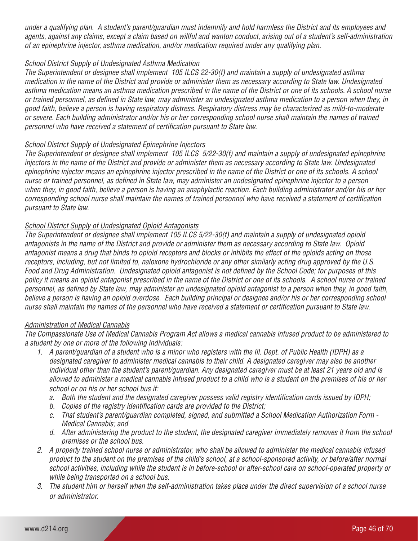*under a qualifying plan. A student's parent/guardian must indemnify and hold harmless the District and its employees and agents, against any claims, except a claim based on willful and wanton conduct, arising out of a student's self-administration of an epinephrine injector, asthma medication, and/or medication required under any qualifying plan.*

#### *School District Supply of Undesignated Asthma Medication*

*The Superintendent or designee shall implement 105 ILCS 22-30(f) and maintain a supply of undesignated asthma medication in the name of the District and provide or administer them as necessary according to State law. Undesignated asthma medication means an asthma medication prescribed in the name of the District or one of its schools. A school nurse or trained personnel, as defined in State law, may administer an undesignated asthma medication to a person when they, in good faith, believe a person is having respiratory distress. Respiratory distress may be characterized as mild-to-moderate or severe. Each building administrator and/or his or her corresponding school nurse shall maintain the names of trained personnel who have received a statement of certification pursuant to State law.*

#### *School District Supply of Undesignated Epinephrine Injectors*

*The Superintendent or designee shall implement 105 ILCS 5/22-30(f) and maintain a supply of undesignated epinephrine injectors in the name of the District and provide or administer them as necessary according to State law. Undesignated epinephrine injector means an epinephrine injector prescribed in the name of the District or one of its schools. A school nurse or trained personnel, as defined in State law, may administer an undesignated epinephrine injector to a person when they, in good faith, believe a person is having an anaphylactic reaction. Each building administrator and/or his or her corresponding school nurse shall maintain the names of trained personnel who have received a statement of certification pursuant to State law.*

#### *School District Supply of Undesignated Opioid Antagonists*

*The Superintendent or designee shall implement 105 ILCS 5/22-30(f) and maintain a supply of undesignated opioid antagonists in the name of the District and provide or administer them as necessary according to State law. Opioid antagonist means a drug that binds to opioid receptors and blocks or inhibits the effect of the opioids acting on those receptors, including, but not limited to, naloxone hydrochloride or any other similarly acting drug approved by the U.S. Food and Drug Administration. Undesignated opioid antagonist is not defined by the School Code; for purposes of this policy it means an opioid antagonist prescribed in the name of the District or one of its schools. A school nurse or trained personnel, as defined by State law, may administer an undesignated opioid antagonist to a person when they, in good faith,*  believe a person is having an opioid overdose. Each building principal or designee and/or his or her corresponding school *nurse shall maintain the names of the personnel who have received a statement or certification pursuant to State law.*

#### *Administration of Medical Cannabis*

*The Compassionate Use of Medical Cannabis Program Act allows a medical cannabis infused product to be administered to a student by one or more of the following individuals:*

- *1. A parent/guardian of a student who is a minor who registers with the Ill. Dept. of Public Health (IDPH) as a designated caregiver to administer medical cannabis to their child. A designated caregiver may also be another individual other than the student's parent/guardian. Any designated caregiver must be at least 21 years old and is allowed to administer a medical cannabis infused product to a child who is a student on the premises of his or her school or on his or her school bus if:*
	- *a. Both the student and the designated caregiver possess valid registry identification cards issued by IDPH;*
	- *b. Copies of the registry identification cards are provided to the District;*
	- *c. That student's parent/guardian completed, signed, and submitted a School Medication Authorization Form Medical Cannabis; and*
	- *d. After administering the product to the student, the designated caregiver immediately removes it from the school premises or the school bus.*
- *2. A properly trained school nurse or administrator, who shall be allowed to administer the medical cannabis infused product to the student on the premises of the child's school, at a school-sponsored activity, or before/after normal school activities, including while the student is in before-school or after-school care on school-operated property or while being transported on a school bus.*
- *3. The student him or herself when the self-administration takes place under the direct supervision of a school nurse or administrator.*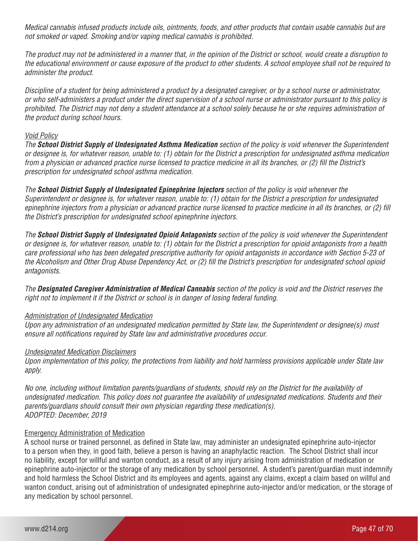*Medical cannabis infused products include oils, ointments, foods, and other products that contain usable cannabis but are not smoked or vaped. Smoking and/or vaping medical cannabis is prohibited.*

*The product may not be administered in a manner that, in the opinion of the District or school, would create a disruption to the educational environment or cause exposure of the product to other students. A school employee shall not be required to administer the product.*

*Discipline of a student for being administered a product by a designated caregiver, or by a school nurse or administrator, or who self-administers a product under the direct supervision of a school nurse or administrator pursuant to this policy is prohibited. The District may not deny a student attendance at a school solely because he or she requires administration of the product during school hours.*

#### *Void Policy*

*The School District Supply of Undesignated Asthma Medication section of the policy is void whenever the Superintendent or designee is, for whatever reason, unable to: (1) obtain for the District a prescription for undesignated asthma medication from a physician or advanced practice nurse licensed to practice medicine in all its branches, or (2) fill the District's prescription for undesignated school asthma medication.*

*The School District Supply of Undesignated Epinephrine Injectors section of the policy is void whenever the Superintendent or designee is, for whatever reason, unable to: (1) obtain for the District a prescription for undesignated epinephrine injectors from a physician or advanced practice nurse licensed to practice medicine in all its branches, or (2) fill the District's prescription for undesignated school epinephrine injectors.* 

*The School District Supply of Undesignated Opioid Antagonists section of the policy is void whenever the Superintendent or designee is, for whatever reason, unable to: (1) obtain for the District a prescription for opioid antagonists from a health care professional who has been delegated prescriptive authority for opioid antagonists in accordance with Section 5-23 of the Alcoholism and Other Drug Abuse Dependency Act, or (2) fill the District's prescription for undesignated school opioid antagonists.* 

*The Designated Caregiver Administration of Medical Cannabis section of the policy is void and the District reserves the right not to implement it if the District or school is in danger of losing federal funding.*

# *Administration of Undesignated Medication*

*Upon any administration of an undesignated medication permitted by State law, the Superintendent or designee(s) must ensure all notifications required by State law and administrative procedures occur.*

# *Undesignated Medication Disclaimers*

*Upon implementation of this policy, the protections from liability and hold harmless provisions applicable under State law apply.*

*No one, including without limitation parents/guardians of students, should rely on the District for the availability of undesignated medication. This policy does not guarantee the availability of undesignated medications. Students and their parents/guardians should consult their own physician regarding these medication(s). ADOPTED: December, 2019*

# Emergency Administration of Medication

A school nurse or trained personnel, as defined in State law, may administer an undesignated epinephrine auto-injector to a person when they, in good faith, believe a person is having an anaphylactic reaction. The School District shall incur no liability, except for willful and wanton conduct, as a result of any injury arising from administration of medication or epinephrine auto-injector or the storage of any medication by school personnel. A student's parent/guardian must indemnify and hold harmless the School District and its employees and agents, against any claims, except a claim based on willful and wanton conduct, arising out of administration of undesignated epinephrine auto-injector and/or medication, or the storage of any medication by school personnel.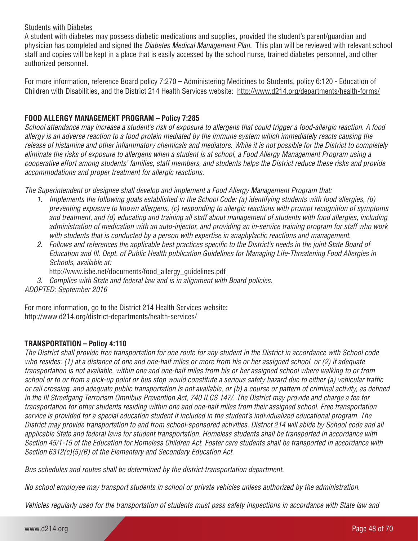# Students with Diabetes

A student with diabetes may possess diabetic medications and supplies, provided the student's parent/guardian and physician has completed and signed the *Diabetes Medical Management Plan.* This plan will be reviewed with relevant school staff and copies will be kept in a place that is easily accessed by the school nurse, trained diabetes personnel, and other authorized personnel.

For more information, reference Board policy 7:270 **–** Administering Medicines to Students, policy 6:120 - Education of Children with Disabilities, and the District 214 Health Services website: http://www.d214.org/departments/health-forms/

# **FOOD ALLERGY MANAGEMENT PROGRAM – Policy 7:285**

*School attendance may increase a student's risk of exposure to allergens that could trigger a food-allergic reaction. A food allergy is an adverse reaction to a food protein mediated by the immune system which immediately reacts causing the release of histamine and other inflammatory chemicals and mediators. While it is not possible for the District to completely eliminate the risks of exposure to allergens when a student is at school, a Food Allergy Management Program using a cooperative effort among students' families, staff members, and students helps the District reduce these risks and provide accommodations and proper treatment for allergic reactions.* 

*The Superintendent or designee shall develop and implement a Food Allergy Management Program that:* 

- *1. Implements the following goals established in the School Code: (a) identifying students with food allergies, (b) preventing exposure to known allergens, (c) responding to allergic reactions with prompt recognition of symptoms and treatment, and (d) educating and training all staff about management of students with food allergies, including administration of medication with an auto-injector, and providing an in-service training program for staff who work with students that is conducted by a person with expertise in anaphylactic reactions and management.*
- *2. Follows and references the applicable best practices specific to the District's needs in the joint State Board of Education and Ill. Dept. of Public Health publication Guidelines for Managing Life-Threatening Food Allergies in Schools, available at:*
	- http://www.isbe.net/documents/food\_allergy\_guidelines.pdf
- *3. Complies with State and federal law and is in alignment with Board policies.*

*ADOPTED: September 2016*

For more information, go to the District 214 Health Services website**:** http://www.d214.org/district-departments/health-services/

# **TRANSPORTATION – Policy 4:110**

*The District shall provide free transportation for one route for any student in the District in accordance with School code who resides: (1) at a distance of one and one-half miles or more from his or her assigned school, or (2) if adequate transportation is not available, within one and one-half miles from his or her assigned school where walking to or from school or to or from a pick-up point or bus stop would constitute a serious safety hazard due to either (a) vehicular traffic or rail crossing, and adequate public transportation is not available, or (b) a course or pattern of criminal activity, as defined in the Ill Streetgang Terrorism Omnibus Prevention Act, 740 ILCS 147/. The District may provide and charge a fee for transportation for other students residing within one and one-half miles from their assigned school. Free transportation service is provided for a special education student if included in the student's individualized educational program. The District may provide transportation to and from school-sponsored activities. District 214 will abide by School code and all applicable State and federal laws for student transportation. Homeless students shall be transported in accordance with Section 45/1-15 of the Education for Homeless Children Act. Foster care students shall be transported in accordance with Section 6312(c)(5)(B) of the Elementary and Secondary Education Act.* 

*Bus schedules and routes shall be determined by the district transportation department.*

*No school employee may transport students in school or private vehicles unless authorized by the administration.* 

*Vehicles regularly used for the transportation of students must pass safety inspections in accordance with State law and*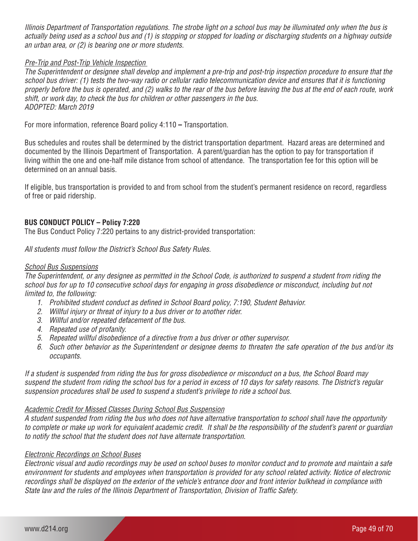*Illinois Department of Transportation regulations. The strobe light on a school bus may be illuminated only when the bus is actually being used as a school bus and (1) is stopping or stopped for loading or discharging students on a highway outside an urban area, or (2) is bearing one or more students.*

#### *Pre-Trip and Post-Trip Vehicle Inspection*

*The Superintendent or designee shall develop and implement a pre-trip and post-trip inspection procedure to ensure that the school bus driver: (1) tests the two-way radio or cellular radio telecommunication device and ensures that it is functioning properly before the bus is operated, and (2) walks to the rear of the bus before leaving the bus at the end of each route, work shift, or work day, to check the bus for children or other passengers in the bus. ADOPTED: March 2019*

For more information, reference Board policy 4:110 **–** Transportation.

Bus schedules and routes shall be determined by the district transportation department. Hazard areas are determined and documented by the Illinois Department of Transportation. A parent/guardian has the option to pay for transportation if living within the one and one-half mile distance from school of attendance. The transportation fee for this option will be determined on an annual basis.

If eligible, bus transportation is provided to and from school from the student's permanent residence on record, regardless of free or paid ridership.

# **BUS CONDUCT POLICY – Policy 7:220**

The Bus Conduct Policy 7:220 pertains to any district-provided transportation:

*All students must follow the District's School Bus Safety Rules.* 

#### *School Bus Suspensions*

*The Superintendent, or any designee as permitted in the School Code, is authorized to suspend a student from riding the*  school bus for up to 10 consecutive school days for engaging in gross disobedience or misconduct, including but not *limited to, the following:*

- *1. Prohibited student conduct as defined in School Board policy, 7:190, Student Behavior.*
- *2. Willful injury or threat of injury to a bus driver or to another rider.*
- *3. Willful and/or repeated defacement of the bus.*
- *4. Repeated use of profanity.*
- *5. Repeated willful disobedience of a directive from a bus driver or other supervisor.*
- *6. Such other behavior as the Superintendent or designee deems to threaten the safe operation of the bus and/or its occupants.*

*If a student is suspended from riding the bus for gross disobedience or misconduct on a bus, the School Board may suspend the student from riding the school bus for a period in excess of 10 days for safety reasons. The District's regular suspension procedures shall be used to suspend a student's privilege to ride a school bus.* 

#### *Academic Credit for Missed Classes During School Bus Suspension*

*A student suspended from riding the bus who does not have alternative transportation to school shall have the opportunity to complete or make up work for equivalent academic credit. It shall be the responsibility of the student's parent or guardian to notify the school that the student does not have alternate transportation.*

#### *Electronic Recordings on School Buses*

*Electronic visual and audio recordings may be used on school buses to monitor conduct and to promote and maintain a safe environment for students and employees when transportation is provided for any school related activity. Notice of electronic recordings shall be displayed on the exterior of the vehicle's entrance door and front interior bulkhead in compliance with State law and the rules of the Illinois Department of Transportation, Division of Traffic Safety.*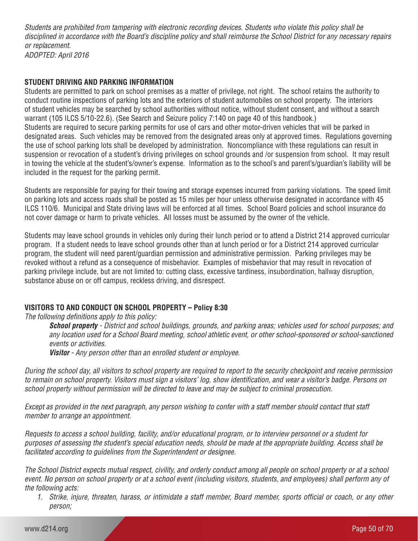*Students are prohibited from tampering with electronic recording devices. Students who violate this policy shall be disciplined in accordance with the Board's discipline policy and shall reimburse the School District for any necessary repairs or replacement.*

*ADOPTED: April 2016*

# **STUDENT DRIVING AND PARKING INFORMATION**

Students are permitted to park on school premises as a matter of privilege, not right. The school retains the authority to conduct routine inspections of parking lots and the exteriors of student automobiles on school property. The interiors of student vehicles may be searched by school authorities without notice, without student consent, and without a search warrant (105 ILCS 5/10-22.6). (See Search and Seizure policy 7:140 on page 40 of this handbook.) Students are required to secure parking permits for use of cars and other motor-driven vehicles that will be parked in designated areas. Such vehicles may be removed from the designated areas only at approved times. Regulations governing the use of school parking lots shall be developed by administration. Noncompliance with these regulations can result in suspension or revocation of a student's driving privileges on school grounds and /or suspension from school. It may result in towing the vehicle at the student's/owner's expense. Information as to the school's and parent's/guardian's liability will be included in the request for the parking permit.

Students are responsible for paying for their towing and storage expenses incurred from parking violations. The speed limit on parking lots and access roads shall be posted as 15 miles per hour unless otherwise designated in accordance with 45 ILCS 110/6. Municipal and State driving laws will be enforced at all times. School Board policies and school insurance do not cover damage or harm to private vehicles. All losses must be assumed by the owner of the vehicle.

Students may leave school grounds in vehicles only during their lunch period or to attend a District 214 approved curricular program. If a student needs to leave school grounds other than at lunch period or for a District 214 approved curricular program, the student will need parent/guardian permission and administrative permission. Parking privileges may be revoked without a refund as a consequence of misbehavior. Examples of misbehavior that may result in revocation of parking privilege include, but are not limited to: cutting class, excessive tardiness, insubordination, hallway disruption, substance abuse on or off campus, reckless driving, and disrespect.

# **VISITORS TO AND CONDUCT ON SCHOOL PROPERTY – Policy 8:30**

*The following definitions apply to this policy:*

*School property - District and school buildings, grounds, and parking areas; vehicles used for school purposes; and any location used for a School Board meeting, school athletic event, or other school-sponsored or school-sanctioned events or activities.*

*Visitor - Any person other than an enrolled student or employee.*

*During the school day, all visitors to school property are required to report to the security checkpoint and receive permission to remain on school property. Visitors must sign a visitors' log, show identification, and wear a visitor's badge. Persons on school property without permission will be directed to leave and may be subject to criminal prosecution.* 

*Except as provided in the next paragraph, any person wishing to confer with a staff member should contact that staff member to arrange an appointment.*

*Requests to access a school building, facility, and/or educational program, or to interview personnel or a student for purposes of assessing the student's special education needs, should be made at the appropriate building. Access shall be facilitated according to guidelines from the Superintendent or designee.*

*The School District expects mutual respect, civility, and orderly conduct among all people on school property or at a school event. No person on school property or at a school event (including visitors, students, and employees) shall perform any of the following acts:*

*1. Strike, injure, threaten, harass, or intimidate a staff member, Board member, sports official or coach, or any other person;*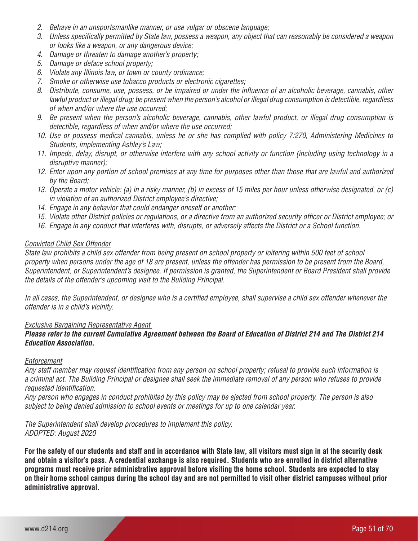- *2. Behave in an unsportsmanlike manner, or use vulgar or obscene language;*
- *3. Unless specifically permitted by State law, possess a weapon, any object that can reasonably be considered a weapon or looks like a weapon, or any dangerous device;*
- *4. Damage or threaten to damage another's property;*
- *5. Damage or deface school property;*
- *6. Violate any Illinois law, or town or county ordinance;*
- *7. Smoke or otherwise use tobacco products or electronic cigarettes;*
- *8. Distribute, consume, use, possess, or be impaired or under the influence of an alcoholic beverage, cannabis, other lawful product or illegal drug; be present when the person's alcohol or illegal drug consumption is detectible, regardless of when and/or where the use occurred;*
- *9. Be present when the person's alcoholic beverage, cannabis, other lawful product, or illegal drug consumption is detectible, regardless of when and/or where the use occurred;*
- *10. Use or possess medical cannabis, unless he or she has complied with policy 7:270, Administering Medicines to Students, implementing Ashley's Law;*
- *11. Impede, delay, disrupt, or otherwise interfere with any school activity or function (including using technology in a disruptive manner);*
- *12. Enter upon any portion of school premises at any time for purposes other than those that are lawful and authorized by the Board;*
- *13. Operate a motor vehicle: (a) in a risky manner, (b) in excess of 15 miles per hour unless otherwise designated, or (c) in violation of an authorized District employee's directive;*
- *14. Engage in any behavior that could endanger oneself or another;*
- *15. Violate other District policies or regulations, or a directive from an authorized security officer or District employee; or*
- *16. Engage in any conduct that interferes with, disrupts, or adversely affects the District or a School function.*

#### *Convicted Child Sex Offender*

*State law prohibits a child sex offender from being present on school property or loitering within 500 feet of school property when persons under the age of 18 are present, unless the offender has permission to be present from the Board, Superintendent, or Superintendent's designee. If permission is granted, the Superintendent or Board President shall provide the details of the offender's upcoming visit to the Building Principal.*

*In all cases, the Superintendent, or designee who is a certified employee, shall supervise a child sex offender whenever the offender is in a child's vicinity.*

#### *Exclusive Bargaining Representative Agent*

# *Please refer to the current Cumulative Agreement between the Board of Education of District 214 and The District 214 Education Association.*

#### *Enforcement*

*Any staff member may request identification from any person on school property; refusal to provide such information is a criminal act. The Building Principal or designee shall seek the immediate removal of any person who refuses to provide requested identification.*

*Any person who engages in conduct prohibited by this policy may be ejected from school property. The person is also subject to being denied admission to school events or meetings for up to one calendar year.* 

*The Superintendent shall develop procedures to implement this policy. ADOPTED: August 2020*

**For the safety of our students and staff and in accordance with State law, all visitors must sign in at the security desk and obtain a visitor's pass. A credential exchange is also required. Students who are enrolled in district alternative programs must receive prior administrative approval before visiting the home school. Students are expected to stay on their home school campus during the school day and are not permitted to visit other district campuses without prior administrative approval.**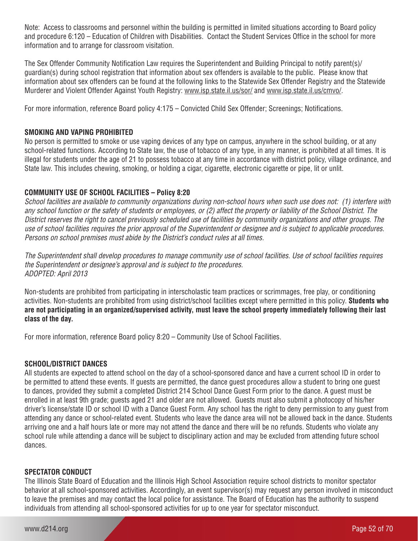Note: Access to classrooms and personnel within the building is permitted in limited situations according to Board policy and procedure 6:120 – Education of Children with Disabilities. Contact the Student Services Office in the school for more information and to arrange for classroom visitation.

The Sex Offender Community Notification Law requires the Superintendent and Building Principal to notify parent(s)/ guardian(s) during school registration that information about sex offenders is available to the public. Please know that information about sex offenders can be found at the following links to the Statewide Sex Offender Registry and the Statewide Murderer and Violent Offender Against Youth Registry: www.isp.state.il.us/sor/ and www.isp.state.il.us/cmvo/.

For more information, reference Board policy 4:175 – Convicted Child Sex Offender; Screenings; Notifications.

# **SMOKING AND VAPING PROHIBITED**

No person is permitted to smoke or use vaping devices of any type on campus, anywhere in the school building, or at any school-related functions. According to State law, the use of tobacco of any type, in any manner, is prohibited at all times. It is illegal for students under the age of 21 to possess tobacco at any time in accordance with district policy, village ordinance, and State law. This includes chewing, smoking, or holding a cigar, cigarette, electronic cigarette or pipe, lit or unlit.

# **COMMUNITY USE OF SCHOOL FACILITIES – Policy 8:20**

*School facilities are available to community organizations during non-school hours when such use does not: (1) interfere with any school function or the safety of students or employees, or (2) affect the property or liability of the School District. The District reserves the right to cancel previously scheduled use of facilities by community organizations and other groups. The use of school facilities requires the prior approval of the Superintendent or designee and is subject to applicable procedures. Persons on school premises must abide by the District's conduct rules at all times.*

*The Superintendent shall develop procedures to manage community use of school facilities. Use of school facilities requires the Superintendent or designee's approval and is subject to the procedures. ADOPTED: April 2013*

Non-students are prohibited from participating in interscholastic team practices or scrimmages, free play, or conditioning activities. Non-students are prohibited from using district/school facilities except where permitted in this policy. **Students who are not participating in an organized/supervised activity, must leave the school property immediately following their last class of the day.**

For more information, reference Board policy 8:20 – Community Use of School Facilities.

#### **SCHOOL/DISTRICT DANCES**

All students are expected to attend school on the day of a school-sponsored dance and have a current school ID in order to be permitted to attend these events. If quests are permitted, the dance quest procedures allow a student to bring one quest to dances, provided they submit a completed District 214 School Dance Guest Form prior to the dance. A guest must be enrolled in at least 9th grade; guests aged 21 and older are not allowed. Guests must also submit a photocopy of his/her driver's license/state ID or school ID with a Dance Guest Form. Any school has the right to deny permission to any guest from attending any dance or school-related event. Students who leave the dance area will not be allowed back in the dance. Students arriving one and a half hours late or more may not attend the dance and there will be no refunds. Students who violate any school rule while attending a dance will be subject to disciplinary action and may be excluded from attending future school dances.

#### **SPECTATOR CONDUCT**

The Illinois State Board of Education and the Illinois High School Association require school districts to monitor spectator behavior at all school-sponsored activities. Accordingly, an event supervisor(s) may request any person involved in misconduct to leave the premises and may contact the local police for assistance. The Board of Education has the authority to suspend individuals from attending all school-sponsored activities for up to one year for spectator misconduct.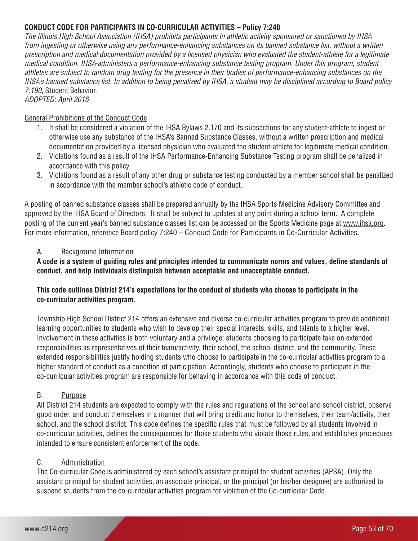# **CONDUCT CODE FOR PARTICIPANTS IN CO-CURRICULAR ACTIVITIES – Policy 7:240**

*The Illinois High School Association (IHSA) prohibits participants in athletic activity sponsored or sanctioned by IHSA from ingesting or otherwise using any performance-enhancing substances on its banned substance list, without a written prescription and medical documentation provided by a licensed physician who evaluated the student-athlete for a legitimate medical condition. IHSA administers a performance-enhancing substance testing program. Under this program, student athletes are subject to random drug testing for the presence in their bodies of performance-enhancing substances on the IHSA's banned substance list. In addition to being penalized by IHSA, a student may be disciplined according to Board policy 7:190,* Student Behavior*. ADOPTED: April 2016*

# General Prohibitions of the Conduct Code

- 1. It shall be considered a violation of the IHSA Bylaws 2.170 and its subsections for any student-athlete to ingest or otherwise use any substance of the IHSA's Banned Substance Classes, without a written prescription and medical documentation provided by a licensed physician who evaluated the student-athlete for legitimate medical condition.
- 2. Violations found as a result of the IHSA Performance-Enhancing Substance Testing program shall be penalized in accordance with this policy.
- 3. Violations found as a result of any other drug or substance testing conducted by a member school shall be penalized in accordance with the member school's athletic code of conduct.

A posting of banned substance classes shall be prepared annually by the IHSA Sports Medicine Advisory Committee and approved by the IHSA Board of Directors. It shall be subject to updates at any point during a school term. A complete posting of the current year's banned substance classes list can be accessed on the Sports Medicine page at www.ihsa.org. For more information, reference Board policy 7:240 – Conduct Code for Participants in Co-Curricular Activities.

# A. Background Information

**A code is a system of guiding rules and principles intended to communicate norms and values, define standards of conduct, and help individuals distinguish between acceptable and unacceptable conduct.**

# **This code outlines District 214's expectations for the conduct of students who choose to participate in the co-curricular activities program.**

Township High School District 214 offers an extensive and diverse co-curricular activities program to provide additional learning opportunities to students who wish to develop their special interests, skills, and talents to a higher level. Involvement in these activities is both voluntary and a privilege; students choosing to participate take on extended responsibilities as representatives of their team/activity, their school, the school district, and the community. These extended responsibilities justify holding students who choose to participate in the co-curricular activities program to a higher standard of conduct as a condition of participation. Accordingly, students who choose to participate in the co-curricular activities program are responsible for behaving in accordance with this code of conduct.

# B. Purpose

All District 214 students are expected to comply with the rules and regulations of the school and school district, observe good order, and conduct themselves in a manner that will bring credit and honor to themselves, their team/activity, their school, and the school district. This code defines the specific rules that must be followed by all students involved in co-curricular activities, defines the consequences for those students who violate those rules, and establishes procedures intended to ensure consistent enforcement of the code.

# C. Administration

The Co-curricular Code is administered by each school's assistant principal for student activities (APSA). Only the assistant principal for student activities, an associate principal, or the principal (or his/her designee) are authorized to suspend students from the co-curricular activities program for violation of the Co-curricular Code.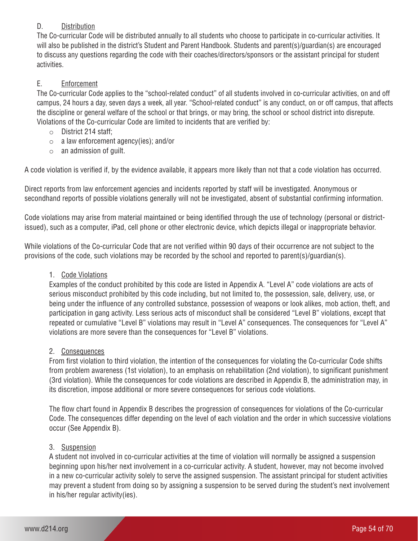# D. Distribution

The Co-curricular Code will be distributed annually to all students who choose to participate in co-curricular activities. It will also be published in the district's Student and Parent Handbook. Students and parent(s)/guardian(s) are encouraged to discuss any questions regarding the code with their coaches/directors/sponsors or the assistant principal for student activities.

# E. Enforcement

The Co-curricular Code applies to the "school-related conduct" of all students involved in co-curricular activities, on and off campus, 24 hours a day, seven days a week, all year. "School-related conduct" is any conduct, on or off campus, that affects the discipline or general welfare of the school or that brings, or may bring, the school or school district into disrepute. Violations of the Co-curricular Code are limited to incidents that are verified by:

- o District 214 staff;
- $\circ$  a law enforcement agency(ies); and/or
- $\circ$  an admission of quilt.

A code violation is verified if, by the evidence available, it appears more likely than not that a code violation has occurred.

Direct reports from law enforcement agencies and incidents reported by staff will be investigated. Anonymous or secondhand reports of possible violations generally will not be investigated, absent of substantial confirming information.

Code violations may arise from material maintained or being identified through the use of technology (personal or districtissued), such as a computer, iPad, cell phone or other electronic device, which depicts illegal or inappropriate behavior.

While violations of the Co-curricular Code that are not verified within 90 days of their occurrence are not subject to the provisions of the code, such violations may be recorded by the school and reported to parent(s)/guardian(s).

# 1. Code Violations

Examples of the conduct prohibited by this code are listed in Appendix A. "Level A" code violations are acts of serious misconduct prohibited by this code including, but not limited to, the possession, sale, delivery, use, or being under the influence of any controlled substance, possession of weapons or look alikes, mob action, theft, and participation in gang activity. Less serious acts of misconduct shall be considered "Level B" violations, except that repeated or cumulative "Level B" violations may result in "Level A" consequences. The consequences for "Level A" violations are more severe than the consequences for "Level B" violations.

# 2. Consequences

From first violation to third violation, the intention of the consequences for violating the Co-curricular Code shifts from problem awareness (1st violation), to an emphasis on rehabilitation (2nd violation), to significant punishment (3rd violation). While the consequences for code violations are described in Appendix B, the administration may, in its discretion, impose additional or more severe consequences for serious code violations.

The flow chart found in Appendix B describes the progression of consequences for violations of the Co-curricular Code. The consequences differ depending on the level of each violation and the order in which successive violations occur (See Appendix B).

# 3. Suspension

A student not involved in co-curricular activities at the time of violation will normally be assigned a suspension beginning upon his/her next involvement in a co-curricular activity. A student, however, may not become involved in a new co-curricular activity solely to serve the assigned suspension. The assistant principal for student activities may prevent a student from doing so by assigning a suspension to be served during the student's next involvement in his/her regular activity(ies).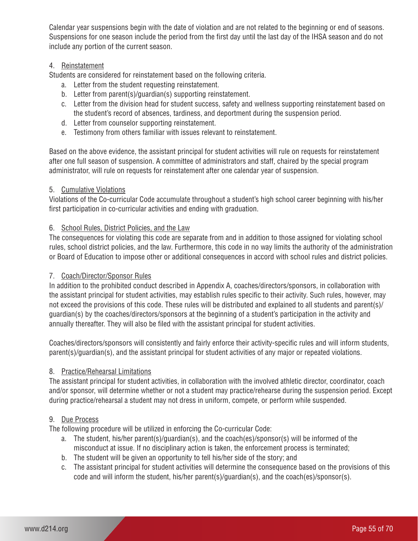Calendar year suspensions begin with the date of violation and are not related to the beginning or end of seasons. Suspensions for one season include the period from the first day until the last day of the IHSA season and do not include any portion of the current season.

# 4. Reinstatement

Students are considered for reinstatement based on the following criteria.

- a. Letter from the student requesting reinstatement.
- b. Letter from parent(s)/guardian(s) supporting reinstatement.
- c. Letter from the division head for student success, safety and wellness supporting reinstatement based on the student's record of absences, tardiness, and deportment during the suspension period.
- d. Letter from counselor supporting reinstatement.
- e. Testimony from others familiar with issues relevant to reinstatement.

Based on the above evidence, the assistant principal for student activities will rule on requests for reinstatement after one full season of suspension. A committee of administrators and staff, chaired by the special program administrator, will rule on requests for reinstatement after one calendar year of suspension.

# 5. Cumulative Violations

Violations of the Co-curricular Code accumulate throughout a student's high school career beginning with his/her first participation in co-curricular activities and ending with graduation.

# 6. School Rules, District Policies, and the Law

The consequences for violating this code are separate from and in addition to those assigned for violating school rules, school district policies, and the law. Furthermore, this code in no way limits the authority of the administration or Board of Education to impose other or additional consequences in accord with school rules and district policies.

# 7. Coach/Director/Sponsor Rules

In addition to the prohibited conduct described in Appendix A, coaches/directors/sponsors, in collaboration with the assistant principal for student activities, may establish rules specific to their activity. Such rules, however, may not exceed the provisions of this code. These rules will be distributed and explained to all students and parent(s)/ guardian(s) by the coaches/directors/sponsors at the beginning of a student's participation in the activity and annually thereafter. They will also be filed with the assistant principal for student activities.

Coaches/directors/sponsors will consistently and fairly enforce their activity-specific rules and will inform students, parent(s)/guardian(s), and the assistant principal for student activities of any major or repeated violations.

# 8. Practice/Rehearsal Limitations

The assistant principal for student activities, in collaboration with the involved athletic director, coordinator, coach and/or sponsor, will determine whether or not a student may practice/rehearse during the suspension period. Except during practice/rehearsal a student may not dress in uniform, compete, or perform while suspended.

# 9. Due Process

The following procedure will be utilized in enforcing the Co-curricular Code:

- a. The student, his/her parent(s)/guardian(s), and the coach(es)/sponsor(s) will be informed of the misconduct at issue. If no disciplinary action is taken, the enforcement process is terminated;
- b. The student will be given an opportunity to tell his/her side of the story; and
- c. The assistant principal for student activities will determine the consequence based on the provisions of this code and will inform the student, his/her parent(s)/guardian(s), and the coach(es)/sponsor(s).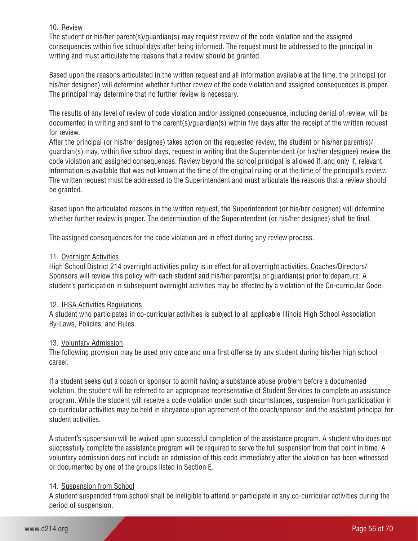# 10. Review

The student or his/her parent(s)/guardian(s) may request review of the code violation and the assigned consequences within five school days after being informed. The request must be addressed to the principal in writing and must articulate the reasons that a review should be granted.

Based upon the reasons articulated in the written request and all information available at the time, the principal (or his/her designee) will determine whether further review of the code violation and assigned consequences is proper. The principal may determine that no further review is necessary.

The results of any level of review of code violation and/or assigned consequence, including denial of review, will be documented in writing and sent to the parent(s)/guardian(s) within five days after the receipt of the written request for review.

After the principal (or his/her designee) takes action on the requested review, the student or his/her parent(s)/ guardian(s) may, within five school days, request in writing that the Superintendent (or his/her designee) review the code violation and assigned consequences. Review beyond the school principal is allowed if, and only if, relevant information is available that was not known at the time of the original ruling or at the time of the principal's review. The written request must be addressed to the Superintendent and must articulate the reasons that a review should be granted.

Based upon the articulated reasons in the written request, the Superintendent (or his/her designee) will determine whether further review is proper. The determination of the Superintendent (or his/her designee) shall be final.

The assigned consequences for the code violation are in effect during any review process.

# 11. Overnight Activities

High School District 214 overnight activities policy is in effect for all overnight activities. Coaches/Directors/ Sponsors will review this policy with each student and his/her parent(s) or guardian(s) prior to departure. A student's participation in subsequent overnight activities may be affected by a violation of the Co-curricular Code.

# 12. IHSA Activities Regulations

A student who participates in co-curricular activities is subject to all applicable Illinois High School Association By-Laws, Policies, and Rules.

# 13. Voluntary Admission

The following provision may be used only once and on a first offense by any student during his/her high school career.

If a student seeks out a coach or sponsor to admit having a substance abuse problem before a documented violation, the student will be referred to an appropriate representative of Student Services to complete an assistance program. While the student will receive a code violation under such circumstances, suspension from participation in co-curricular activities may be held in abeyance upon agreement of the coach/sponsor and the assistant principal for student activities.

A student's suspension will be waived upon successful completion of the assistance program. A student who does not successfully complete the assistance program will be required to serve the full suspension from that point in time. A voluntary admission does not include an admission of this code immediately after the violation has been witnessed or documented by one of the groups listed in Section E.

# 14. Suspension from School

A student suspended from school shall be ineligible to attend or participate in any co-curricular activities during the period of suspension.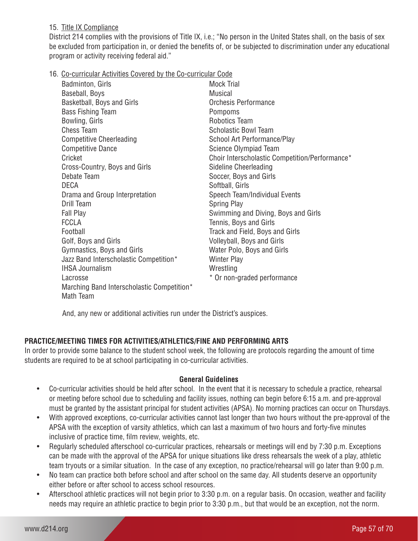# 15. Title IX Compliance

District 214 complies with the provisions of Title IX, i.e.; "No person in the United States shall, on the basis of sex be excluded from participation in, or denied the benefits of, or be subjected to discrimination under any educational program or activity receiving federal aid."

16. Co-curricular Activities Covered by the Co-curricular Code

| Badminton, Girls                           | <b>Mock Trial</b>                              |
|--------------------------------------------|------------------------------------------------|
| Baseball, Boys                             | Musical                                        |
| Basketball, Boys and Girls                 | Orchesis Performance                           |
| <b>Bass Fishing Team</b>                   | Pompoms                                        |
| Bowling, Girls                             | Robotics Team                                  |
| <b>Chess Team</b>                          | <b>Scholastic Bowl Team</b>                    |
| <b>Competitive Cheerleading</b>            | School Art Performance/Play                    |
| <b>Competitive Dance</b>                   | Science Olympiad Team                          |
| Cricket                                    | Choir Interscholastic Competition/Performance* |
| Cross-Country, Boys and Girls              | Sideline Cheerleading                          |
| Debate Team                                | Soccer, Boys and Girls                         |
| <b>DECA</b>                                | Softball, Girls                                |
| Drama and Group Interpretation             | Speech Team/Individual Events                  |
| Drill Team                                 | <b>Spring Play</b>                             |
| Fall Play                                  | Swimming and Diving, Boys and Girls            |
| <b>FCCLA</b>                               | Tennis, Boys and Girls                         |
| Football                                   | Track and Field, Boys and Girls                |
| Golf, Boys and Girls                       | Volleyball, Boys and Girls                     |
| Gymnastics, Boys and Girls                 | Water Polo, Boys and Girls                     |
| Jazz Band Interscholastic Competition*     | <b>Winter Play</b>                             |
| <b>IHSA Journalism</b>                     | Wrestling                                      |
| Lacrosse                                   | * Or non-graded performance                    |
| Marching Band Interscholastic Competition* |                                                |
| Math Team                                  |                                                |

And, any new or additional activities run under the District's auspices.

# **PRACTICE/MEETING TIMES FOR ACTIVITIES/ATHLETICS/FINE AND PERFORMING ARTS**

In order to provide some balance to the student school week, the following are protocols regarding the amount of time students are required to be at school participating in co-curricular activities.

# **General Guidelines**

- Co-curricular activities should be held after school. In the event that it is necessary to schedule a practice, rehearsal or meeting before school due to scheduling and facility issues, nothing can begin before 6:15 a.m. and pre-approval must be granted by the assistant principal for student activities (APSA). No morning practices can occur on Thursdays.
- With approved exceptions, co-curricular activities cannot last longer than two hours without the pre-approval of the APSA with the exception of varsity athletics, which can last a maximum of two hours and forty-five minutes inclusive of practice time, film review, weights, etc.
- Regularly scheduled afterschool co-curricular practices, rehearsals or meetings will end by 7:30 p.m. Exceptions can be made with the approval of the APSA for unique situations like dress rehearsals the week of a play, athletic team tryouts or a similar situation. In the case of any exception, no practice/rehearsal will go later than 9:00 p.m.
- No team can practice both before school and after school on the same day. All students deserve an opportunity either before or after school to access school resources.
- Afterschool athletic practices will not begin prior to 3:30 p.m. on a regular basis. On occasion, weather and facility needs may require an athletic practice to begin prior to 3:30 p.m., but that would be an exception, not the norm.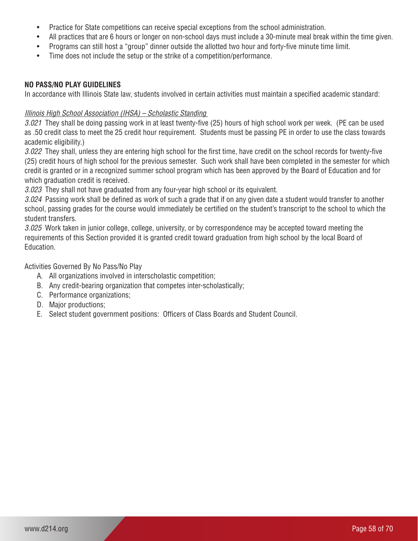- Practice for State competitions can receive special exceptions from the school administration.
- All practices that are 6 hours or longer on non-school days must include a 30-minute meal break within the time given.
- Programs can still host a "group" dinner outside the allotted two hour and forty-five minute time limit.
- Time does not include the setup or the strike of a competition/performance.

# **NO PASS/NO PLAY GUIDELINES**

In accordance with Illinois State law, students involved in certain activities must maintain a specified academic standard:

# *Illinois High School Association (IHSA) – Scholastic Standing*

*3.021* They shall be doing passing work in at least twenty-five (25) hours of high school work per week. (PE can be used as .50 credit class to meet the 25 credit hour requirement. Students must be passing PE in order to use the class towards academic eligibility.)

*3.022* They shall, unless they are entering high school for the first time, have credit on the school records for twenty-five (25) credit hours of high school for the previous semester. Such work shall have been completed in the semester for which credit is granted or in a recognized summer school program which has been approved by the Board of Education and for which graduation credit is received.

*3.023* They shall not have graduated from any four-year high school or its equivalent.

*3.024* Passing work shall be defined as work of such a grade that if on any given date a student would transfer to another school, passing grades for the course would immediately be certified on the student's transcript to the school to which the student transfers.

*3.025* Work taken in junior college, college, university, or by correspondence may be accepted toward meeting the requirements of this Section provided it is granted credit toward graduation from high school by the local Board of Education.

Activities Governed By No Pass/No Play

- A. All organizations involved in interscholastic competition;
- B. Any credit-bearing organization that competes inter-scholastically;
- C. Performance organizations;
- D. Major productions;
- E. Select student government positions: Officers of Class Boards and Student Council.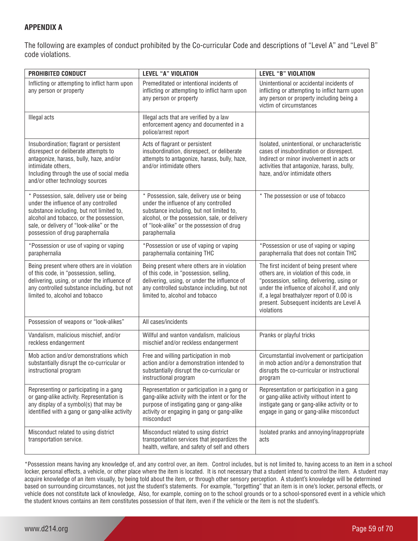# **APPENDIX A**

The following are examples of conduct prohibited by the Co-curricular Code and descriptions of "Level A" and "Level B" code violations.

| <b>PROHIBITED CONDUCT</b>                                                                                                                                                                                                                                 | <b>LEVEL "A" VIOLATION</b>                                                                                                                                                                                                                    | <b>LEVEL "B" VIOLATION</b>                                                                                                                                                                                                                                                                   |
|-----------------------------------------------------------------------------------------------------------------------------------------------------------------------------------------------------------------------------------------------------------|-----------------------------------------------------------------------------------------------------------------------------------------------------------------------------------------------------------------------------------------------|----------------------------------------------------------------------------------------------------------------------------------------------------------------------------------------------------------------------------------------------------------------------------------------------|
| Inflicting or attempting to inflict harm upon<br>any person or property                                                                                                                                                                                   | Premeditated or intentional incidents of<br>inflicting or attempting to inflict harm upon<br>any person or property                                                                                                                           | Unintentional or accidental incidents of<br>inflicting or attempting to inflict harm upon<br>any person or property including being a<br>victim of circumstances                                                                                                                             |
| Illegal acts                                                                                                                                                                                                                                              | Illegal acts that are verified by a law<br>enforcement agency and documented in a<br>police/arrest report                                                                                                                                     |                                                                                                                                                                                                                                                                                              |
| Insubordination; flagrant or persistent<br>disrespect or deliberate attempts to<br>antagonize, harass, bully, haze, and/or<br>intimidate others,<br>Including through the use of social media<br>and/or other technology sources                          | Acts of flagrant or persistent<br>insubordination, disrespect, or deliberate<br>attempts to antagonize, harass, bully, haze,<br>and/or intimidate others                                                                                      | Isolated, unintentional, or uncharacteristic<br>cases of insubordination or disrespect.<br>Indirect or minor involvement in acts or<br>activities that antagonize, harass, bully,<br>haze, and/or intimidate others                                                                          |
| * Possession, sale, delivery use or being<br>under the influence of any controlled<br>substance including, but not limited to,<br>alcohol and tobacco, or the possession,<br>sale, or delivery of "look-alike" or the<br>possession of drug paraphernalia | * Possession, sale, delivery use or being<br>under the influence of any controlled<br>substance including, but not limited to,<br>alcohol, or the possession, sale, or delivery<br>of "look-alike" or the possession of drug<br>paraphernalia | * The possession or use of tobacco                                                                                                                                                                                                                                                           |
| *Possession or use of vaping or vaping<br>paraphernalia                                                                                                                                                                                                   | *Possession or use of vaping or vaping<br>paraphernalia containing THC                                                                                                                                                                        | *Possession or use of vaping or vaping<br>paraphernalia that does not contain THC                                                                                                                                                                                                            |
| Being present where others are in violation<br>of this code, in "possession, selling,<br>delivering, using, or under the influence of<br>any controlled substance including, but not<br>limited to, alcohol and tobacco                                   | Being present where others are in violation<br>of this code, in "possession, selling,<br>delivering, using, or under the influence of<br>any controlled substance including, but not<br>limited to, alcohol and tobacco                       | The first incident of being present where<br>others are, in violation of this code, in<br>"possession, selling, delivering, using or<br>under the influence of alcohol if, and only<br>if, a legal breathalyzer report of 0.00 is<br>present. Subsequent incidents are Level A<br>violations |
| Possession of weapons or "look-alikes"                                                                                                                                                                                                                    | All cases/incidents                                                                                                                                                                                                                           |                                                                                                                                                                                                                                                                                              |
| Vandalism, malicious mischief, and/or<br>reckless endangerment                                                                                                                                                                                            | Willful and wanton vandalism, malicious<br>mischief and/or reckless endangerment                                                                                                                                                              | Pranks or playful tricks                                                                                                                                                                                                                                                                     |
| Mob action and/or demonstrations which<br>substantially disrupt the co-curricular or<br>instructional program                                                                                                                                             | Free and willing participation in mob<br>action and/or a demonstration intended to<br>substantially disrupt the co-curricular or<br>instructional program                                                                                     | Circumstantial involvement or participation<br>in mob action and/or a demonstration that<br>disrupts the co-curricular or instructional<br>program                                                                                                                                           |
| Representing or participating in a gang<br>or gang-alike activity. Representation is<br>any display of a symbol(s) that may be<br>identified with a gang or gang-alike activity                                                                           | Representation or participation in a gang or<br>gang-alike activity with the intent or for the<br>purpose of instigating gang or gang-alike<br>activity or engaging in gang or gang-alike<br>misconduct                                       | Representation or participation in a gang<br>or gang-alike activity without intent to<br>instigate gang or gang-alike activity or to<br>engage in gang or gang-alike misconduct                                                                                                              |
| Misconduct related to using district<br>transportation service.                                                                                                                                                                                           | Misconduct related to using district<br>transportation services that jeopardizes the<br>health, welfare, and safety of self and others                                                                                                        | Isolated pranks and annoying/inappropriate<br>acts                                                                                                                                                                                                                                           |

\*Possession means having any knowledge of, and any control over, an item. Control includes, but is not limited to, having access to an item in a school locker, personal effects, a vehicle, or other place where the item is located. It is not necessary that a student intend to control the item. A student may acquire knowledge of an item visually, by being told about the item, or through other sensory perception. A student's knowledge will be determined based on surrounding circumstances, not just the student's statements. For example, "forgetting" that an item is in one's locker, personal effects, or vehicle does not constitute lack of knowledge, Also, for example, coming on to the school grounds or to a school-sponsored event in a vehicle which the student knows contains an item constitutes possession of that item, even if the vehicle or the item is not the student's.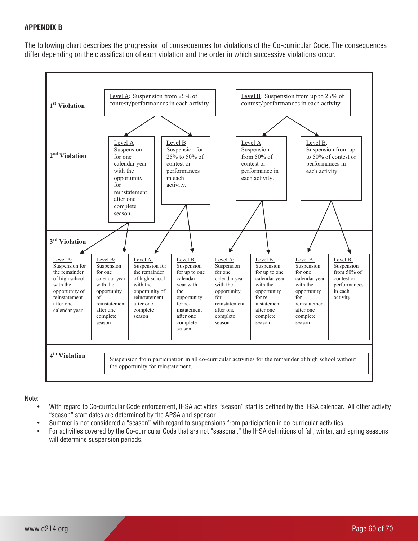# **APPENDIX B APPENDIX B**

The following chart describes the progression of consequences for violations of the Co-curricular Code. The consequences differ depending on the classification of each violation and the order in which successive violations occur.



Note:

- .<br>• With regard to Co-curricular Code enforcement, IHSA activities "season" start is defined by the IHSA calendar. All other activity "season" start dates are determined by the APSA and sponsor. other data are determined by the ADCA and sponsor.
- Summer is not considered a "season" with regard to suspensions from participation in co-curricular activities.
- For activities covered by the Co-curricular Code that are not "seasonal," the IHSA definitions of fall, winter, and spring seasons will determine suspension periods. nus uuvuluu by mu oo ummunar oodu mararu nor.<br>mine eugnengion periode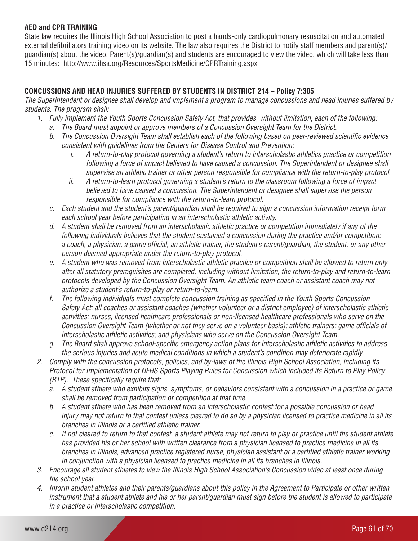# **AED and CPR TRAINING**

State law requires the Illinois High School Association to post a hands-only cardiopulmonary resuscitation and automated external defibrillators training video on its website. The law also requires the District to notify staff members and parent(s)/ guardian(s) about the video. Parent(s)/guardian(s) and students are encouraged to view the video, which will take less than 15 minutes: http://www.ihsa.org/Resources/SportsMedicine/CPRTraining.aspx

# **CONCUSSIONS AND HEAD INJURIES SUFFERED BY STUDENTS IN DISTRICT 214** – **Policy 7:305**

*The Superintendent or designee shall develop and implement a program to manage concussions and head injuries suffered by students. The program shall:*

- *1. Fully implement the Youth Sports Concussion Safety Act, that provides, without limitation, each of the following:* 
	- *a. The Board must appoint or approve members of a Concussion Oversight Team for the District.*
	- *b. The Concussion Oversight Team shall establish each of the following based on peer-reviewed scientific evidence consistent with guidelines from the Centers for Disease Control and Prevention:* 
		- *i. A return-to-play protocol governing a student's return to interscholastic athletics practice or competition following a force of impact believed to have caused a concussion. The Superintendent or designee shall supervise an athletic trainer or other person responsible for compliance with the return-to-play protocol.*
		- *ii. A return-to-learn protocol governing a student's return to the classroom following a force of impact believed to have caused a concussion. The Superintendent or designee shall supervise the person responsible for compliance with the return-to-learn protocol.*
	- *c. Each student and the student's parent/guardian shall be required to sign a concussion information receipt form each school year before participating in an interscholastic athletic activity.*
	- *d. A student shall be removed from an interscholastic athletic practice or competition immediately if any of the following individuals believes that the student sustained a concussion during the practice and/or competition: a coach, a physician, a game official, an athletic trainer, the student's parent/guardian, the student, or any other person deemed appropriate under the return-to-play protocol.*
	- *e. A student who was removed from interscholastic athletic practice or competition shall be allowed to return only after all statutory prerequisites are completed, including without limitation, the return-to-play and return-to-learn protocols developed by the Concussion Oversight Team. An athletic team coach or assistant coach may not authorize a student's return-to-play or return-to-learn.*
	- *f. The following individuals must complete concussion training as specified in the Youth Sports Concussion Safety Act: all coaches or assistant coaches (whether volunteer or a district employee) of interscholastic athletic activities; nurses, licensed healthcare professionals or non-licensed healthcare professionals who serve on the Concussion Oversight Team (whether or not they serve on a volunteer basis); athletic trainers; game officials of interscholastic athletic activities; and physicians who serve on the Concussion Oversight Team.*
	- *g. The Board shall approve school-specific emergency action plans for interscholastic athletic activities to address the serious injuries and acute medical conditions in which a student's condition may deteriorate rapidly.*
- *2. Comply with the concussion protocols, policies, and by-laws of the Illinois High School Association, including its Protocol for Implementation of NFHS Sports Playing Rules for Concussion which included its Return to Play Policy (RTP). These specifically require that:*
	- *a. A student athlete who exhibits signs, symptoms, or behaviors consistent with a concussion in a practice or game shall be removed from participation or competition at that time.*
	- *b. A student athlete who has been removed from an interscholastic contest for a possible concussion or head injury may not return to that contest unless cleared to do so by a physician licensed to practice medicine in all its branches in Illinois or a certified athletic trainer.*
	- *c. If not cleared to return to that contest, a student athlete may not return to play or practice until the student athlete has provided his or her school with written clearance from a physician licensed to practice medicine in all its branches in Illinois, advanced practice registered nurse, physician assistant or a certified athletic trainer working in conjunction with a physician licensed to practice medicine in all its branches in Illinois.*
- *3. Encourage all student athletes to view the Illinois High School Association's Concussion video at least once during the school year.*
- *4. Inform student athletes and their parents/guardians about this policy in the Agreement to Participate or other written instrument that a student athlete and his or her parent/guardian must sign before the student is allowed to participate in a practice or interscholastic competition.*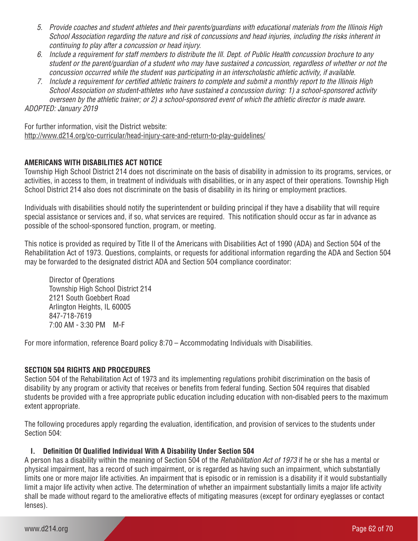- *5. Provide coaches and student athletes and their parents/guardians with educational materials from the Illinois High School Association regarding the nature and risk of concussions and head injuries, including the risks inherent in continuing to play after a concussion or head injury.*
- *6. Include a requirement for staff members to distribute the Ill. Dept. of Public Health concussion brochure to any student or the parent/guardian of a student who may have sustained a concussion, regardless of whether or not the concussion occurred while the student was participating in an interscholastic athletic activity, if available.*
- *7. Include a requirement for certified athletic trainers to complete and submit a monthly report to the Illinois High School Association on student-athletes who have sustained a concussion during: 1) a school-sponsored activity overseen by the athletic trainer; or 2) a school-sponsored event of which the athletic director is made aware.*

*ADOPTED: January 2019*

For further information, visit the District website: http://www.d214.org/co-curricular/head-injury-care-and-return-to-play-guidelines/

# **AMERICANS WITH DISABILITIES ACT NOTICE**

Township High School District 214 does not discriminate on the basis of disability in admission to its programs, services, or activities, in access to them, in treatment of individuals with disabilities, or in any aspect of their operations. Township High School District 214 also does not discriminate on the basis of disability in its hiring or employment practices.

Individuals with disabilities should notify the superintendent or building principal if they have a disability that will require special assistance or services and, if so, what services are required. This notification should occur as far in advance as possible of the school-sponsored function, program, or meeting.

This notice is provided as required by Title II of the Americans with Disabilities Act of 1990 (ADA) and Section 504 of the Rehabilitation Act of 1973. Questions, complaints, or requests for additional information regarding the ADA and Section 504 may be forwarded to the designated district ADA and Section 504 compliance coordinator:

Director of Operations Township High School District 214 2121 South Goebbert Road Arlington Heights, IL 60005 847-718-7619 7:00 AM - 3:30 PM M-F

For more information, reference Board policy 8:70 – Accommodating Individuals with Disabilities.

# **SECTION 504 RIGHTS AND PROCEDURES**

Section 504 of the Rehabilitation Act of 1973 and its implementing regulations prohibit discrimination on the basis of disability by any program or activity that receives or benefits from federal funding. Section 504 requires that disabled students be provided with a free appropriate public education including education with non-disabled peers to the maximum extent appropriate.

The following procedures apply regarding the evaluation, identification, and provision of services to the students under Section 504:

# **I. Definition Of Qualified Individual With A Disability Under Section 504**

A person has a disability within the meaning of Section 504 of the *Rehabilitation Act of 1973* if he or she has a mental or physical impairment, has a record of such impairment, or is regarded as having such an impairment, which substantially limits one or more major life activities. An impairment that is episodic or in remission is a disability if it would substantially limit a major life activity when active. The determination of whether an impairment substantially limits a major life activity shall be made without regard to the ameliorative effects of mitigating measures (except for ordinary eyeglasses or contact lenses).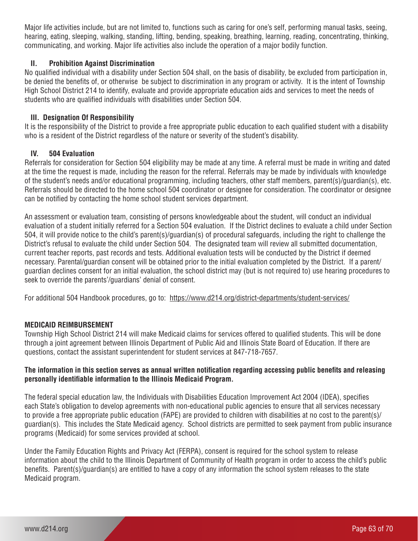Major life activities include, but are not limited to, functions such as caring for one's self, performing manual tasks, seeing, hearing, eating, sleeping, walking, standing, lifting, bending, speaking, breathing, learning, reading, concentrating, thinking, communicating, and working. Major life activities also include the operation of a major bodily function.

# **II. Prohibition Against Discrimination**

No qualified individual with a disability under Section 504 shall, on the basis of disability, be excluded from participation in, be denied the benefits of, or otherwise be subject to discrimination in any program or activity. It is the intent of Township High School District 214 to identify, evaluate and provide appropriate education aids and services to meet the needs of students who are qualified individuals with disabilities under Section 504.

# **III. Designation Of Responsibility**

It is the responsibility of the District to provide a free appropriate public education to each qualified student with a disability who is a resident of the District regardless of the nature or severity of the student's disability.

# **IV. 504 Evaluation**

Referrals for consideration for Section 504 eligibility may be made at any time. A referral must be made in writing and dated at the time the request is made, including the reason for the referral. Referrals may be made by individuals with knowledge of the student's needs and/or educational programming, including teachers, other staff members, parent(s)/guardian(s), etc. Referrals should be directed to the home school 504 coordinator or designee for consideration. The coordinator or designee can be notified by contacting the home school student services department.

An assessment or evaluation team, consisting of persons knowledgeable about the student, will conduct an individual evaluation of a student initially referred for a Section 504 evaluation. If the District declines to evaluate a child under Section 504, it will provide notice to the child's parent(s)/guardian(s) of procedural safeguards, including the right to challenge the District's refusal to evaluate the child under Section 504. The designated team will review all submitted documentation, current teacher reports, past records and tests. Additional evaluation tests will be conducted by the District if deemed necessary. Parental/guardian consent will be obtained prior to the initial evaluation completed by the District. If a parent/ guardian declines consent for an initial evaluation, the school district may (but is not required to) use hearing procedures to seek to override the parents'/guardians' denial of consent.

For additional 504 Handbook procedures, go to: https://www.d214.org/district-departments/student-services/

# **MEDICAID REIMBURSEMENT**

Township High School District 214 will make Medicaid claims for services offered to qualified students. This will be done through a joint agreement between Illinois Department of Public Aid and Illinois State Board of Education. If there are questions, contact the assistant superintendent for student services at 847-718-7657.

# **The information in this section serves as annual written notification regarding accessing public benefits and releasing personally identifiable information to the Illinois Medicaid Program.**

The federal special education law, the Individuals with Disabilities Education Improvement Act 2004 (IDEA), specifies each State's obligation to develop agreements with non-educational public agencies to ensure that all services necessary to provide a free appropriate public education (FAPE) are provided to children with disabilities at no cost to the parent(s)/ guardian(s). This includes the State Medicaid agency. School districts are permitted to seek payment from public insurance programs (Medicaid) for some services provided at school.

Under the Family Education Rights and Privacy Act (FERPA), consent is required for the school system to release information about the child to the Illinois Department of Community of Health program in order to access the child's public benefits. Parent(s)/guardian(s) are entitled to have a copy of any information the school system releases to the state Medicaid program.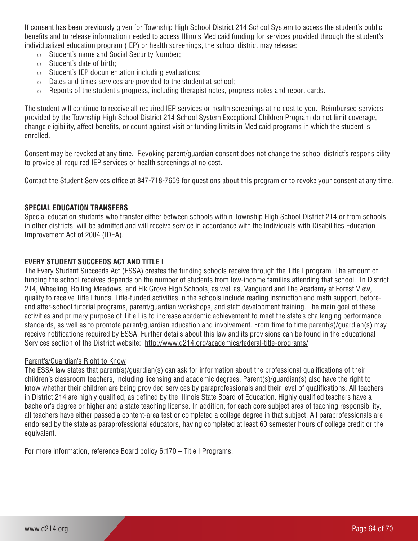If consent has been previously given for Township High School District 214 School System to access the student's public benefits and to release information needed to access Illinois Medicaid funding for services provided through the student's individualized education program (IEP) or health screenings, the school district may release:

- o Student's name and Social Security Number;
- o Student's date of birth;
- $\circ$  Student's IEP documentation including evaluations;
- o Dates and times services are provided to the student at school;
- o Reports of the student's progress, including therapist notes, progress notes and report cards.

The student will continue to receive all required IEP services or health screenings at no cost to you. Reimbursed services provided by the Township High School District 214 School System Exceptional Children Program do not limit coverage, change eligibility, affect benefits, or count against visit or funding limits in Medicaid programs in which the student is enrolled.

Consent may be revoked at any time. Revoking parent/guardian consent does not change the school district's responsibility to provide all required IEP services or health screenings at no cost.

Contact the Student Services office at 847-718-7659 for questions about this program or to revoke your consent at any time.

#### **SPECIAL EDUCATION TRANSFERS**

Special education students who transfer either between schools within Township High School District 214 or from schools in other districts, will be admitted and will receive service in accordance with the Individuals with Disabilities Education Improvement Act of 2004 (IDEA).

#### **EVERY STUDENT SUCCEEDS ACT AND TITLE I**

The Every Student Succeeds Act (ESSA) creates the funding schools receive through the Title I program. The amount of funding the school receives depends on the number of students from low-income families attending that school. In District 214, Wheeling, Rolling Meadows, and Elk Grove High Schools, as well as, Vanguard and The Academy at Forest View, qualify to receive Title I funds. Title-funded activities in the schools include reading instruction and math support, beforeand after-school tutorial programs, parent/guardian workshops, and staff development training. The main goal of these activities and primary purpose of Title I is to increase academic achievement to meet the state's challenging performance standards, as well as to promote parent/guardian education and involvement. From time to time parent(s)/guardian(s) may receive notifications required by ESSA. Further details about this law and its provisions can be found in the Educational Services section of the District website: http://www.d214.org/academics/federal-title-programs/

#### Parent's/Guardian's Right to Know

The ESSA law states that parent(s)/guardian(s) can ask for information about the professional qualifications of their children's classroom teachers, including licensing and academic degrees. Parent(s)/guardian(s) also have the right to know whether their children are being provided services by paraprofessionals and their level of qualifications. All teachers in District 214 are highly qualified, as defined by the Illinois State Board of Education. Highly qualified teachers have a bachelor's degree or higher and a state teaching license. In addition, for each core subject area of teaching responsibility, all teachers have either passed a content-area test or completed a college degree in that subject. All paraprofessionals are endorsed by the state as paraprofessional educators, having completed at least 60 semester hours of college credit or the equivalent.

For more information, reference Board policy 6:170 – Title I Programs.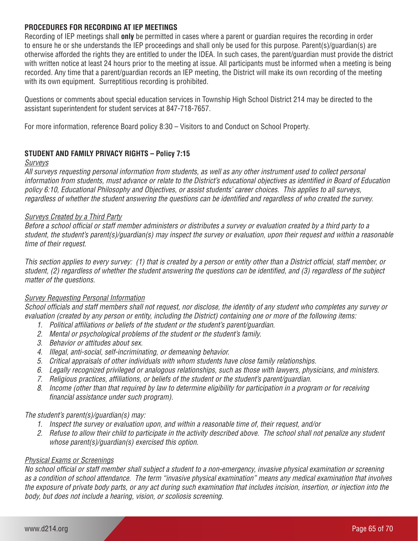# **PROCEDURES FOR RECORDING AT IEP MEETINGS**

Recording of IEP meetings shall **only** be permitted in cases where a parent or guardian requires the recording in order to ensure he or she understands the IEP proceedings and shall only be used for this purpose. Parent(s)/guardian(s) are otherwise afforded the rights they are entitled to under the IDEA. In such cases, the parent/guardian must provide the district with written notice at least 24 hours prior to the meeting at issue. All participants must be informed when a meeting is being recorded. Any time that a parent/guardian records an IEP meeting, the District will make its own recording of the meeting with its own equipment. Surreptitious recording is prohibited.

Questions or comments about special education services in Township High School District 214 may be directed to the assistant superintendent for student services at 847-718-7657.

For more information, reference Board policy 8:30 – Visitors to and Conduct on School Property.

# **STUDENT AND FAMILY PRIVACY RIGHTS – Policy 7:15**

#### *Surveys*

*All surveys requesting personal information from students, as well as any other instrument used to collect personal information from students, must advance or relate to the District's educational objectives as identified in Board of Education policy 6:10, Educational Philosophy and Objectives, or assist students' career choices. This applies to all surveys, regardless of whether the student answering the questions can be identified and regardless of who created the survey.*

# *Surveys Created by a Third Party*

*Before a school official or staff member administers or distributes a survey or evaluation created by a third party to a student, the student's parent(s)/guardian(s) may inspect the survey or evaluation, upon their request and within a reasonable time of their request.*

*This section applies to every survey: (1) that is created by a person or entity other than a District official, staff member, or student, (2) regardless of whether the student answering the questions can be identified, and (3) regardless of the subject matter of the questions.*

# *Survey Requesting Personal Information*

*School officials and staff members shall not request, nor disclose, the identity of any student who completes any survey or evaluation (created by any person or entity, including the District) containing one or more of the following items:*

- *1. Political affiliations or beliefs of the student or the student's parent/guardian.*
- *2. Mental or psychological problems of the student or the student's family.*
- *3. Behavior or attitudes about sex.*
- *4. Illegal, anti-social, self-incriminating, or demeaning behavior.*
- *5. Critical appraisals of other individuals with whom students have close family relationships.*
- *6. Legally recognized privileged or analogous relationships, such as those with lawyers, physicians, and ministers.*
- *7. Religious practices, affiliations, or beliefs of the student or the student's parent/guardian.*
- *8. Income (other than that required by law to determine eligibility for participation in a program or for receiving financial assistance under such program).*

# *The student's parent(s)/guardian(s) may:*

- *1. Inspect the survey or evaluation upon, and within a reasonable time of, their request, and/or*
- *2. Refuse to allow their child to participate in the activity described above. The school shall not penalize any student whose parent(s)/guardian(s) exercised this option.*

# *Physical Exams or Screenings*

*No school official or staff member shall subject a student to a non-emergency, invasive physical examination or screening as a condition of school attendance. The term "invasive physical examination" means any medical examination that involves the exposure of private body parts, or any act during such examination that includes incision, insertion, or injection into the body, but does not include a hearing, vision, or scoliosis screening.*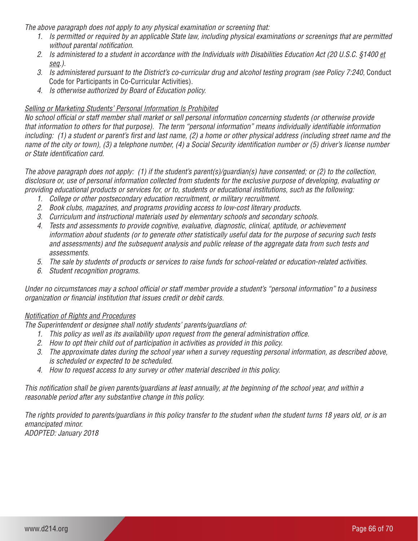*The above paragraph does not apply to any physical examination or screening that:*

- *1. Is permitted or required by an applicable State law, including physical examinations or screenings that are permitted without parental notification.*
- *2. Is administered to a student in accordance with the Individuals with Disabilities Education Act (20 U.S.C. §1400 et seq.).*
- *3. Is administered pursuant to the District's co-curricular drug and alcohol testing program (see Policy 7:240,* Conduct Code for Participants in Co-Curricular Activities).
- *4. Is otherwise authorized by Board of Education policy.*

# *Selling or Marketing Students' Personal Information Is Prohibited*

*No school official or staff member shall market or sell personal information concerning students (or otherwise provide that information to others for that purpose). The term "personal information" means individually identifiable information including: (1) a student or parent's first and last name, (2) a home or other physical address (including street name and the name of the city or town), (3) a telephone number, (4) a Social Security identification number or (5) driver's license number or State identification card.* 

*The above paragraph does not apply: (1) if the student's parent(s)/guardian(s) have consented; or (2) to the collection, disclosure or, use of personal information collected from students for the exclusive purpose of developing, evaluating or providing educational products or services for, or to, students or educational institutions, such as the following:* 

- *1. College or other postsecondary education recruitment, or military recruitment.*
- *2. Book clubs, magazines, and programs providing access to low-cost literary products.*
- *3. Curriculum and instructional materials used by elementary schools and secondary schools.*
- *4. Tests and assessments to provide cognitive, evaluative, diagnostic, clinical, aptitude, or achievement information about students (or to generate other statistically useful data for the purpose of securing such tests and assessments) and the subsequent analysis and public release of the aggregate data from such tests and assessments.*
- *5. The sale by students of products or services to raise funds for school-related or education-related activities.*
- *6. Student recognition programs.*

*Under no circumstances may a school official or staff member provide a student's "personal information" to a business organization or financial institution that issues credit or debit cards.* 

# *Notification of Rights and Procedures*

*The Superintendent or designee shall notify students' parents/guardians of:*

- *1. This policy as well as its availability upon request from the general administration office.*
- *2. How to opt their child out of participation in activities as provided in this policy.*
- *3. The approximate dates during the school year when a survey requesting personal information, as described above, is scheduled or expected to be scheduled.*
- *4. How to request access to any survey or other material described in this policy.*

*This notification shall be given parents/guardians at least annually, at the beginning of the school year, and within a reasonable period after any substantive change in this policy.*

*The rights provided to parents/guardians in this policy transfer to the student when the student turns 18 years old, or is an emancipated minor. ADOPTED: January 2018*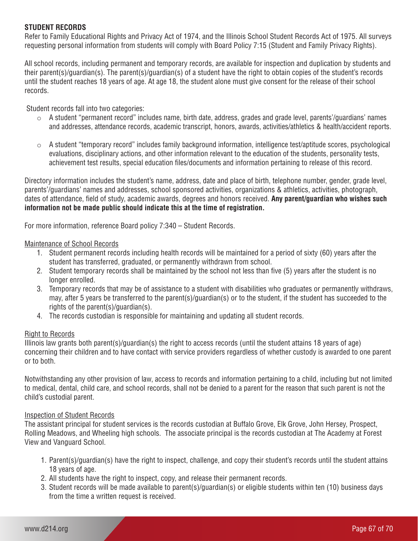# **STUDENT RECORDS**

Refer to Family Educational Rights and Privacy Act of 1974, and the Illinois School Student Records Act of 1975. All surveys requesting personal information from students will comply with Board Policy 7:15 (Student and Family Privacy Rights).

All school records, including permanent and temporary records, are available for inspection and duplication by students and their parent(s)/guardian(s). The parent(s)/guardian(s) of a student have the right to obtain copies of the student's records until the student reaches 18 years of age. At age 18, the student alone must give consent for the release of their school records.

Student records fall into two categories:

- $\circ$  A student "permanent record" includes name, birth date, address, grades and grade level, parents'/guardians' names and addresses, attendance records, academic transcript, honors, awards, activities/athletics & health/accident reports.
- $\circ$  A student "temporary record" includes family background information, intelligence test/aptitude scores, psychological evaluations, disciplinary actions, and other information relevant to the education of the students, personality tests, achievement test results, special education files/documents and information pertaining to release of this record.

Directory information includes the student's name, address, date and place of birth, telephone number, gender, grade level, parents'/guardians' names and addresses, school sponsored activities, organizations & athletics, activities, photograph, dates of attendance, field of study, academic awards, degrees and honors received. **Any parent/guardian who wishes such information not be made public should indicate this at the time of registration.**

For more information, reference Board policy 7:340 – Student Records.

#### Maintenance of School Records

- 1. Student permanent records including health records will be maintained for a period of sixty (60) years after the student has transferred, graduated, or permanently withdrawn from school.
- 2. Student temporary records shall be maintained by the school not less than five (5) years after the student is no longer enrolled.
- 3. Temporary records that may be of assistance to a student with disabilities who graduates or permanently withdraws, may, after 5 years be transferred to the parent(s)/guardian(s) or to the student, if the student has succeeded to the rights of the parent(s)/guardian(s).
- 4. The records custodian is responsible for maintaining and updating all student records.

# Right to Records

Illinois law grants both parent(s)/guardian(s) the right to access records (until the student attains 18 years of age) concerning their children and to have contact with service providers regardless of whether custody is awarded to one parent or to both.

Notwithstanding any other provision of law, access to records and information pertaining to a child, including but not limited to medical, dental, child care, and school records, shall not be denied to a parent for the reason that such parent is not the child's custodial parent.

# Inspection of Student Records

The assistant principal for student services is the records custodian at Buffalo Grove, Elk Grove, John Hersey, Prospect, Rolling Meadows, and Wheeling high schools. The associate principal is the records custodian at The Academy at Forest View and Vanguard School.

- 1. Parent(s)/guardian(s) have the right to inspect, challenge, and copy their student's records until the student attains 18 years of age.
- 2. All students have the right to inspect, copy, and release their permanent records.
- 3. Student records will be made available to parent(s)/guardian(s) or eligible students within ten (10) business days from the time a written request is received.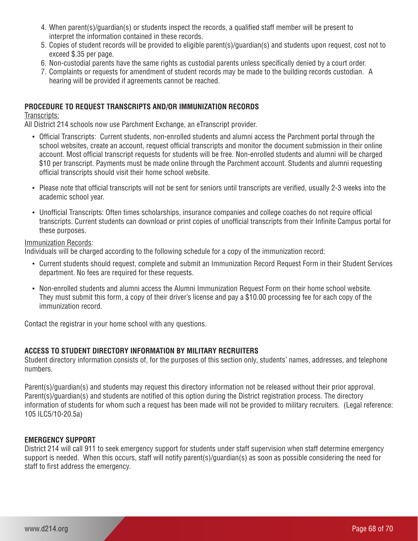- 4. When parent(s)/guardian(s) or students inspect the records, a qualified staff member will be present to interpret the information contained in these records.
- 5. Copies of student records will be provided to eligible parent(s)/guardian(s) and students upon request, cost not to exceed \$.35 per page.
- 6. Non-custodial parents have the same rights as custodial parents unless specifically denied by a court order.
- 7. Complaints or requests for amendment of student records may be made to the building records custodian. A hearing will be provided if agreements cannot be reached.

# **PROCEDURE TO REQUEST TRANSCRIPTS AND/OR IMMUNIZATION RECORDS**

#### Transcripts:

All District 214 schools now use Parchment Exchange, an eTranscript provider.

- • Official Transcripts: Current students, non-enrolled students and alumni access the Parchment portal through the school websites, create an account, request official transcripts and monitor the document submission in their online account. Most official transcript requests for students will be free. Non-enrolled students and alumni will be charged \$10 per transcript. Payments must be made online through the Parchment account. Students and alumni requesting official transcripts should visit their home school website.
- • Please note that official transcripts will not be sent for seniors until transcripts are verified, usually 2-3 weeks into the academic school year.
- • Unofficial Transcripts: Often times scholarships, insurance companies and college coaches do not require official transcripts. Current students can download or print copies of unofficial transcripts from their Infinite Campus portal for these purposes.

#### Immunization Records:

Individuals will be charged according to the following schedule for a copy of the immunization record:

- • Current students should request, complete and submit an Immunization Record Request Form in their Student Services department. No fees are required for these requests.
- • Non-enrolled students and alumni access the Alumni Immunization Request Form on their home school website. They must submit this form, a copy of their driver's license and pay a \$10.00 processing fee for each copy of the immunization record.

Contact the registrar in your home school with any questions.

# **ACCESS TO STUDENT DIRECTORY INFORMATION BY MILITARY RECRUITERS**

Student directory information consists of, for the purposes of this section only, students' names, addresses, and telephone numbers.

Parent(s)/guardian(s) and students may request this directory information not be released without their prior approval. Parent(s)/guardian(s) and students are notified of this option during the District registration process. The directory information of students for whom such a request has been made will not be provided to military recruiters. (Legal reference: 105 ILC5/10-20.5a)

#### **EMERGENCY SUPPORT**

District 214 will call 911 to seek emergency support for students under staff supervision when staff determine emergency support is needed. When this occurs, staff will notify parent(s)/guardian(s) as soon as possible considering the need for staff to first address the emergency.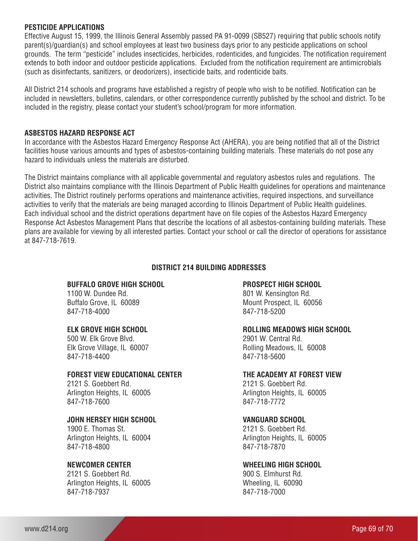#### **PESTICIDE APPLICATIONS**

Effective August 15, 1999, the Illinois General Assembly passed PA 91-0099 (SB527) requiring that public schools notify parent(s)/guardian(s) and school employees at least two business days prior to any pesticide applications on school grounds. The term "pesticide" includes insecticides, herbicides, rodenticides, and fungicides. The notification requirement extends to both indoor and outdoor pesticide applications. Excluded from the notification requirement are antimicrobials (such as disinfectants, sanitizers, or deodorizers), insecticide baits, and rodenticide baits.

All District 214 schools and programs have established a registry of people who wish to be notified. Notification can be included in newsletters, bulletins, calendars, or other correspondence currently published by the school and district. To be included in the registry, please contact your student's school/program for more information.

# **ASBESTOS HAZARD RESPONSE ACT**

In accordance with the Asbestos Hazard Emergency Response Act (AHERA), you are being notified that all of the District facilities house various amounts and types of asbestos-containing building materials. These materials do not pose any hazard to individuals unless the materials are disturbed.

The District maintains compliance with all applicable governmental and regulatory asbestos rules and regulations. The District also maintains compliance with the Illinois Department of Public Health guidelines for operations and maintenance activities. The District routinely performs operations and maintenance activities, required inspections, and surveillance activities to verify that the materials are being managed according to Illinois Department of Public Health guidelines. Each individual school and the district operations department have on file copies of the Asbestos Hazard Emergency Response Act Asbestos Management Plans that describe the locations of all asbestos-containing building materials. These plans are available for viewing by all interested parties. Contact your school or call the director of operations for assistance at 847-718-7619.

#### **DISTRICT 214 BUILDING ADDRESSES**

#### **BUFFALO GROVE HIGH SCHOOL**

1100 W. Dundee Rd. Buffalo Grove, IL 60089 847-718-4000

#### **ELK GROVE HIGH SCHOOL**

500 W. Elk Grove Blvd. Elk Grove Village, IL 60007 847-718-4400

#### **FOREST VIEW EDUCATIONAL CENTER**

2121 S. Goebbert Rd. Arlington Heights, IL 60005 847-718-7600

#### **JOHN HERSEY HIGH SCHOOL**

1900 E. Thomas St. Arlington Heights, IL 60004 847-718-4800

# **NEWCOMER CENTER**

2121 S. Goebbert Rd. Arlington Heights, IL 60005 847-718-7937

#### **PROSPECT HIGH SCHOOL**

801 W. Kensington Rd. Mount Prospect, IL 60056 847-718-5200

#### **ROLLING MEADOWS HIGH SCHOOL**

2901 W. Central Rd. Rolling Meadows, IL 60008 847-718-5600

#### **THE ACADEMY AT FOREST VIEW**

2121 S. Goebbert Rd. Arlington Heights, IL 60005 847-718-7772

#### **VANGUARD SCHOOL**

2121 S. Goebbert Rd. Arlington Heights, IL 60005 847-718-7870

#### **WHEELING HIGH SCHOOL**

900 S. Elmhurst Rd. Wheeling, IL 60090 847-718-7000